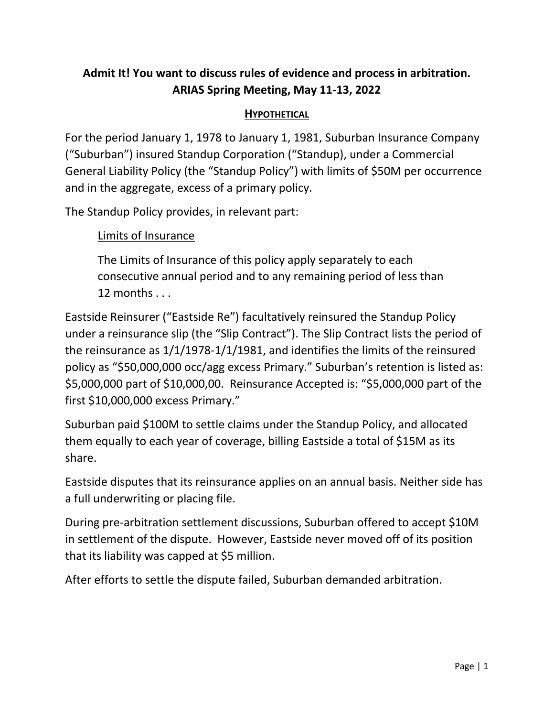# **Admit It! You want to discuss rules of evidence and process in arbitration. ARIAS Spring Meeting, May 11-13, 2022**

# **HYPOTHETICAL**

For the period January 1, 1978 to January 1, 1981, Suburban Insurance Company ("Suburban") insured Standup Corporation ("Standup), under a Commercial General Liability Policy (the "Standup Policy") with limits of \$50M per occurrence and in the aggregate, excess of a primary policy.

The Standup Policy provides, in relevant part:

# Limits of Insurance

The Limits of Insurance of this policy apply separately to each consecutive annual period and to any remaining period of less than 12 months . . .

Eastside Reinsurer ("Eastside Re") facultatively reinsured the Standup Policy under a reinsurance slip (the "Slip Contract"). The Slip Contract lists the period of the reinsurance as 1/1/1978-1/1/1981, and identifies the limits of the reinsured policy as "\$50,000,000 occ/agg excess Primary." Suburban's retention is listed as: \$5,000,000 part of \$10,000,00. Reinsurance Accepted is: "\$5,000,000 part of the first \$10,000,000 excess Primary."

Suburban paid \$100M to settle claims under the Standup Policy, and allocated them equally to each year of coverage, billing Eastside a total of \$15M as its share.

Eastside disputes that its reinsurance applies on an annual basis. Neither side has a full underwriting or placing file.

During pre-arbitration settlement discussions, Suburban offered to accept \$10M in settlement of the dispute. However, Eastside never moved off of its position that its liability was capped at \$5 million.

After efforts to settle the dispute failed, Suburban demanded arbitration.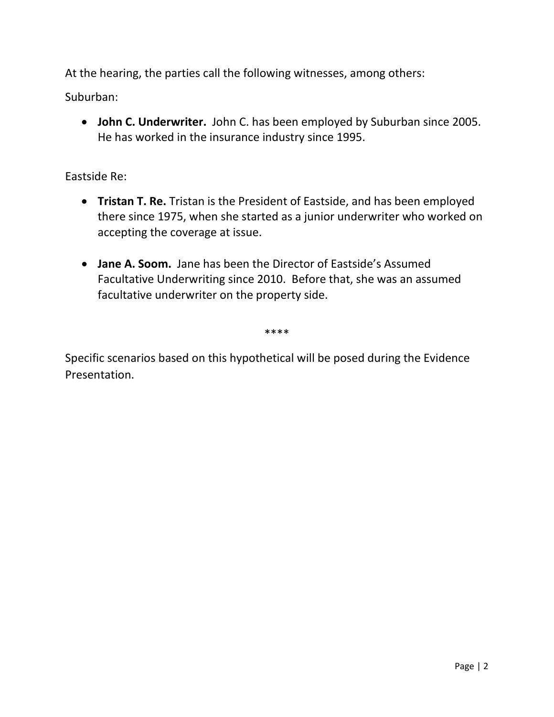At the hearing, the parties call the following witnesses, among others:

Suburban:

• **John C. Underwriter.** John C. has been employed by Suburban since 2005. He has worked in the insurance industry since 1995.

# Eastside Re:

- **Tristan T. Re.** Tristan is the President of Eastside, and has been employed there since 1975, when she started as a junior underwriter who worked on accepting the coverage at issue.
- **Jane A. Soom.** Jane has been the Director of Eastside's Assumed Facultative Underwriting since 2010. Before that, she was an assumed facultative underwriter on the property side.

\*\*\*\*

Specific scenarios based on this hypothetical will be posed during the Evidence Presentation.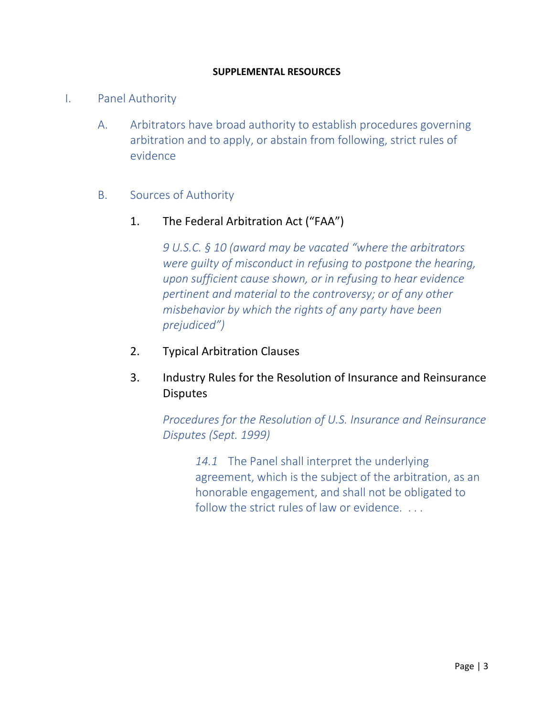### **SUPPLEMENTAL RESOURCES**

# I. Panel Authority

A. Arbitrators have broad authority to establish procedures governing arbitration and to apply, or abstain from following, strict rules of evidence

# B. Sources of Authority

# 1. The Federal Arbitration Act ("FAA")

*9 U.S.C. § 10 (award may be vacated "where the arbitrators were guilty of misconduct in refusing to postpone the hearing, upon sufficient cause shown, or in refusing to hear evidence pertinent and material to the controversy; or of any other misbehavior by which the rights of any party have been prejudiced")* 

# 2. Typical Arbitration Clauses

# 3. Industry Rules for the Resolution of Insurance and Reinsurance **Disputes**

*Procedures for the Resolution of U.S. Insurance and Reinsurance Disputes (Sept. 1999)*

> *14.1* The Panel shall interpret the underlying agreement, which is the subject of the arbitration, as an honorable engagement, and shall not be obligated to follow the strict rules of law or evidence. ...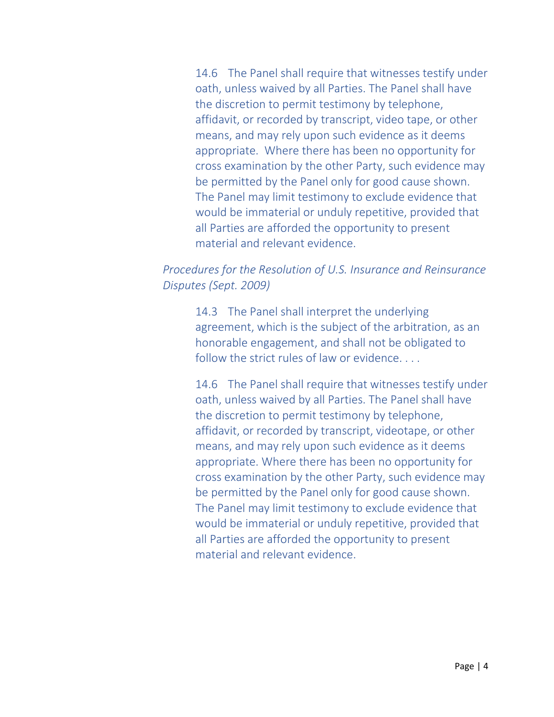14.6 The Panel shall require that witnesses testify under oath, unless waived by all Parties. The Panel shall have the discretion to permit testimony by telephone, affidavit, or recorded by transcript, video tape, or other means, and may rely upon such evidence as it deems appropriate. Where there has been no opportunity for cross examination by the other Party, such evidence may be permitted by the Panel only for good cause shown. The Panel may limit testimony to exclude evidence that would be immaterial or unduly repetitive, provided that all Parties are afforded the opportunity to present material and relevant evidence.

# *Procedures for the Resolution of U.S. Insurance and Reinsurance Disputes (Sept. 2009)*

14.3 The Panel shall interpret the underlying agreement, which is the subject of the arbitration, as an honorable engagement, and shall not be obligated to follow the strict rules of law or evidence....

14.6 The Panel shall require that witnesses testify under oath, unless waived by all Parties. The Panel shall have the discretion to permit testimony by telephone, affidavit, or recorded by transcript, videotape, or other means, and may rely upon such evidence as it deems appropriate. Where there has been no opportunity for cross examination by the other Party, such evidence may be permitted by the Panel only for good cause shown. The Panel may limit testimony to exclude evidence that would be immaterial or unduly repetitive, provided that all Parties are afforded the opportunity to present material and relevant evidence.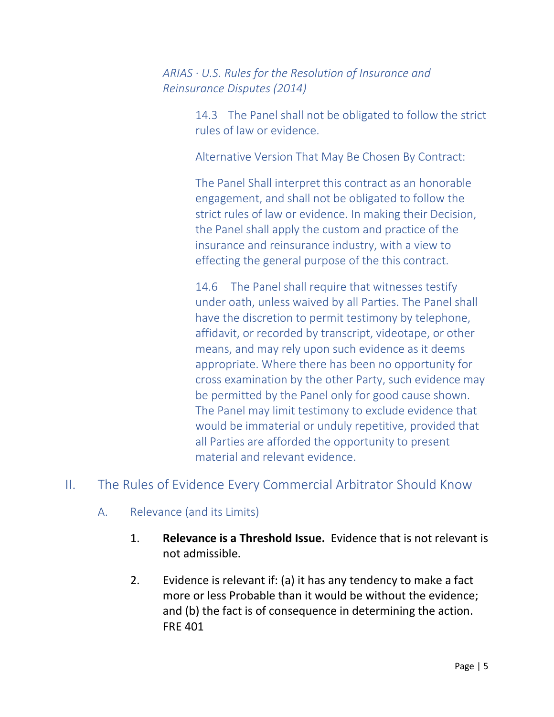*ARIAS ∙ U.S. Rules for the Resolution of Insurance and Reinsurance Disputes (2014)*

> 14.3 The Panel shall not be obligated to follow the strict rules of law or evidence.

Alternative Version That May Be Chosen By Contract:

The Panel Shall interpret this contract as an honorable engagement, and shall not be obligated to follow the strict rules of law or evidence. In making their Decision, the Panel shall apply the custom and practice of the insurance and reinsurance industry, with a view to effecting the general purpose of the this contract.

14.6 The Panel shall require that witnesses testify under oath, unless waived by all Parties. The Panel shall have the discretion to permit testimony by telephone, affidavit, or recorded by transcript, videotape, or other means, and may rely upon such evidence as it deems appropriate. Where there has been no opportunity for cross examination by the other Party, such evidence may be permitted by the Panel only for good cause shown. The Panel may limit testimony to exclude evidence that would be immaterial or unduly repetitive, provided that all Parties are afforded the opportunity to present material and relevant evidence.

# II. The Rules of Evidence Every Commercial Arbitrator Should Know

- A. Relevance (and its Limits)
	- 1. **Relevance is a Threshold Issue.** Evidence that is not relevant is not admissible.
	- 2. Evidence is relevant if: (a) it has any tendency to make a fact more or less Probable than it would be without the evidence; and (b) the fact is of consequence in determining the action. FRE 401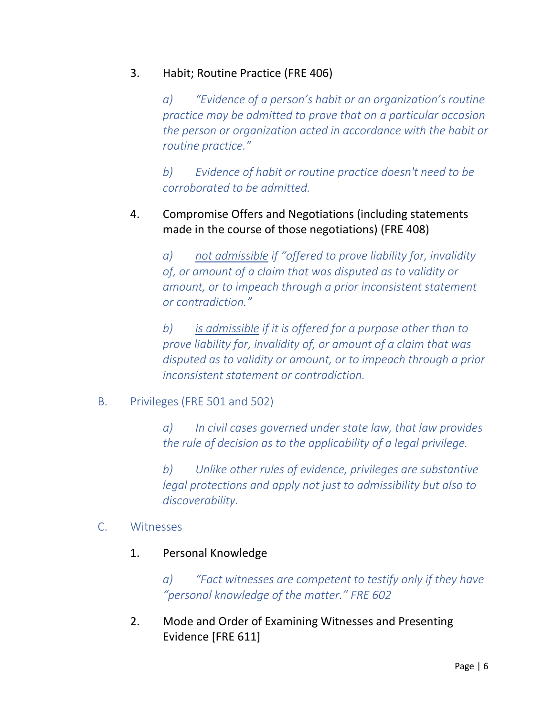# 3. Habit; Routine Practice (FRE 406)

*a) "Evidence of a person's habit or an organization's routine practice may be admitted to prove that on a particular occasion the person or organization acted in accordance with the habit or routine practice."* 

*b) Evidence of habit or routine practice doesn't need to be corroborated to be admitted.* 

# 4. Compromise Offers and Negotiations (including statements made in the course of those negotiations) (FRE 408)

*a) not admissible if "offered to prove liability for, invalidity of, or amount of a claim that was disputed as to validity or amount, or to impeach through a prior inconsistent statement or contradiction."*

*b) is admissible if it is offered for a purpose other than to prove liability for, invalidity of, or amount of a claim that was disputed as to validity or amount, or to impeach through a prior inconsistent statement or contradiction.* 

# B. Privileges (FRE 501 and 502)

*a) In civil cases governed under state law, that law provides the rule of decision as to the applicability of a legal privilege.* 

*b) Unlike other rules of evidence, privileges are substantive legal protections and apply not just to admissibility but also to discoverability.*

# C. Witnesses

1. Personal Knowledge

*a) "Fact witnesses are competent to testify only if they have "personal knowledge of the matter." FRE 602*

2. Mode and Order of Examining Witnesses and Presenting Evidence [FRE 611]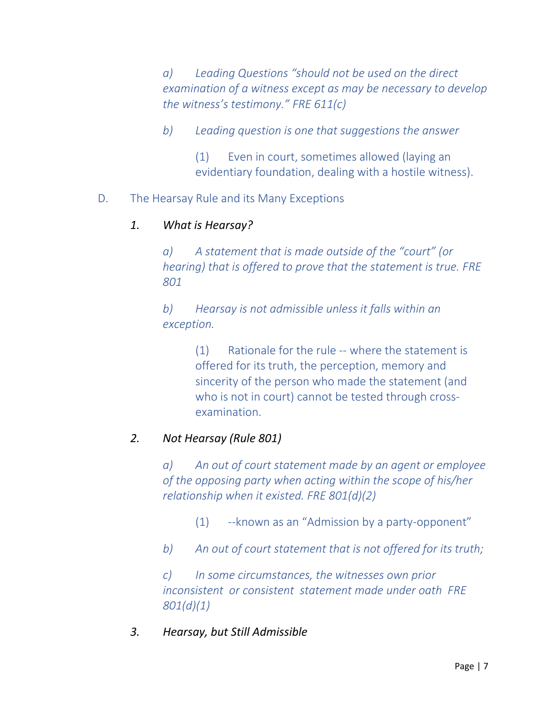*a) Leading Questions "should not be used on the direct examination of a witness except as may be necessary to develop the witness's testimony." FRE 611(c)* 

*b) Leading question is one that suggestions the answer* 

(1) Even in court, sometimes allowed (laying an evidentiary foundation, dealing with a hostile witness).

# D. The Hearsay Rule and its Many Exceptions

# *1. What is Hearsay?*

*a) A statement that is made outside of the "court" (or hearing) that is offered to prove that the statement is true. FRE 801*

*b) Hearsay is not admissible unless it falls within an exception.*

> (1) Rationale for the rule -- where the statement is offered for its truth, the perception, memory and sincerity of the person who made the statement (and who is not in court) cannot be tested through crossexamination.

# *2. Not Hearsay (Rule 801)*

*a) An out of court statement made by an agent or employee of the opposing party when acting within the scope of his/her relationship when it existed. FRE 801(d)(2)*

(1) --known as an "Admission by a party-opponent"

*b) An out of court statement that is not offered for its truth;*

*c) In some circumstances, the witnesses own prior inconsistent or consistent statement made under oath FRE 801(d)(1)*

# *3. Hearsay, but Still Admissible*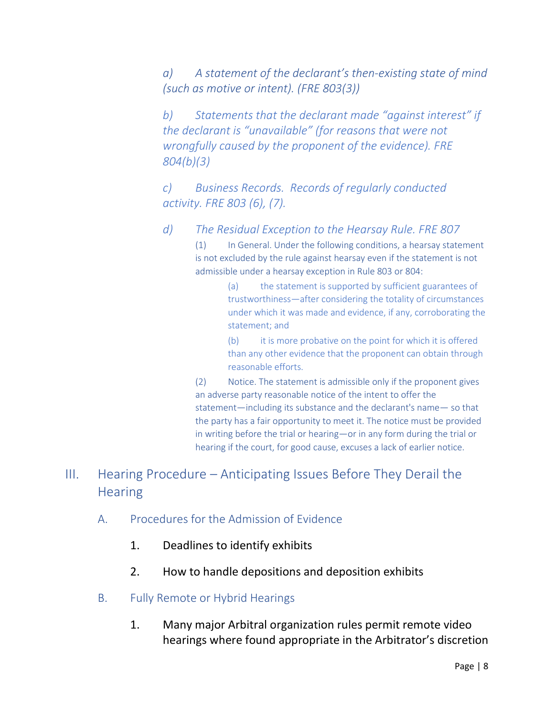*a) A statement of the declarant's then-existing state of mind (such as motive or intent). (FRE 803(3))*

*b) Statements that the declarant made "against interest" if the declarant is "unavailable" (for reasons that were not wrongfully caused by the proponent of the evidence). FRE 804(b)(3)*

*c) Business Records. Records of regularly conducted activity. FRE 803 (6), (7).*

*d) The Residual Exception to the Hearsay Rule. FRE 807*

(1) In General. Under the following conditions, a hearsay statement is not excluded by the rule against hearsay even if the statement is not admissible under a hearsay exception in Rule 803 or 804:

> (a) the statement is supported by sufficient guarantees of trustworthiness—after considering the totality of circumstances under which it was made and evidence, if any, corroborating the statement; and

> (b) it is more probative on the point for which it is offered than any other evidence that the proponent can obtain through reasonable efforts.

(2) Notice. The statement is admissible only if the proponent gives an adverse party reasonable notice of the intent to offer the statement—including its substance and the declarant's name— so that the party has a fair opportunity to meet it. The notice must be provided in writing before the trial or hearing—or in any form during the trial or hearing if the court, for good cause, excuses a lack of earlier notice.

# III. Hearing Procedure – Anticipating Issues Before They Derail the **Hearing**

- A. Procedures for the Admission of Evidence
	- 1. Deadlines to identify exhibits
	- 2. How to handle depositions and deposition exhibits
- B. Fully Remote or Hybrid Hearings
	- 1. Many major Arbitral organization rules permit remote video hearings where found appropriate in the Arbitrator's discretion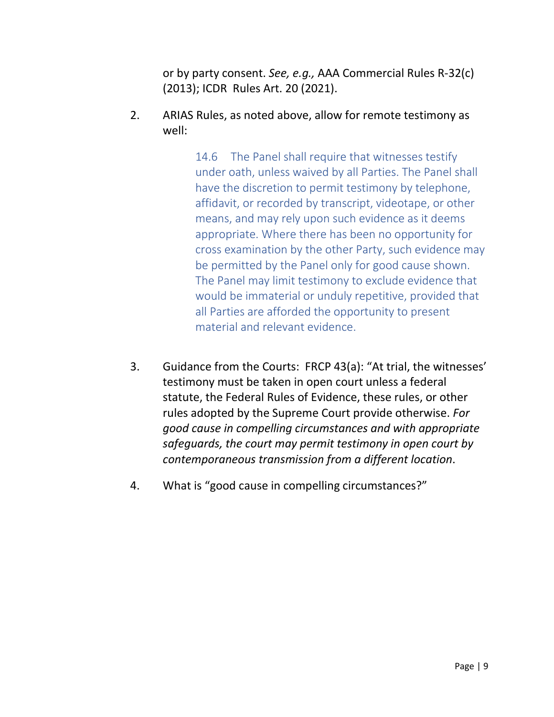or by party consent. *See, e.g.,* AAA Commercial Rules R-32(c) (2013); ICDR Rules Art. 20 (2021).

2. ARIAS Rules, as noted above, allow for remote testimony as well:

> 14.6 The Panel shall require that witnesses testify under oath, unless waived by all Parties. The Panel shall have the discretion to permit testimony by telephone, affidavit, or recorded by transcript, videotape, or other means, and may rely upon such evidence as it deems appropriate. Where there has been no opportunity for cross examination by the other Party, such evidence may be permitted by the Panel only for good cause shown. The Panel may limit testimony to exclude evidence that would be immaterial or unduly repetitive, provided that all Parties are afforded the opportunity to present material and relevant evidence.

- 3. Guidance from the Courts: FRCP 43(a): "At trial, the witnesses' testimony must be taken in open court unless a federal statute, the Federal Rules of Evidence, these rules, or other rules adopted by the Supreme Court provide otherwise. *For good cause in compelling circumstances and with appropriate safeguards, the court may permit testimony in open court by contemporaneous transmission from a different location*.
- 4. What is "good cause in compelling circumstances?"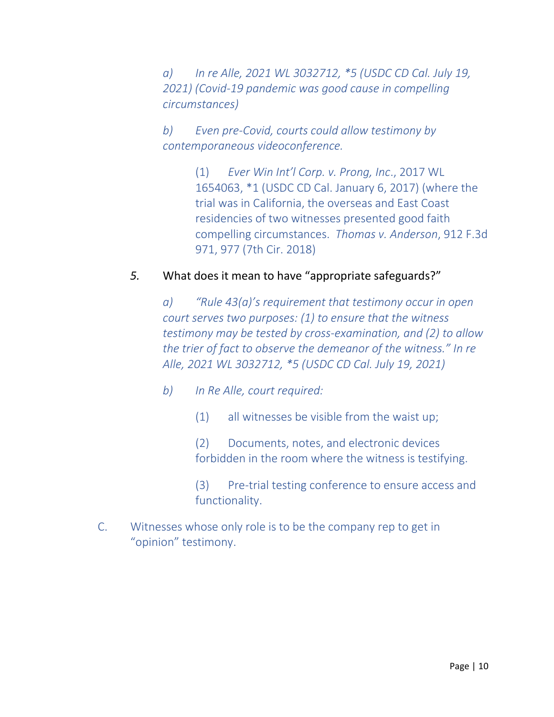*a) In re Alle, 2021 WL 3032712, \*5 (USDC CD Cal. July 19, 2021) (Covid-19 pandemic was good cause in compelling circumstances)*

*b) Even pre-Covid, courts could allow testimony by contemporaneous videoconference.* 

> (1) *Ever Win Int'l Corp. v. Prong, Inc*., 2017 WL 1654063, \*1 (USDC CD Cal. January 6, 2017) (where the trial was in California, the overseas and East Coast residencies of two witnesses presented good faith compelling circumstances. *Thomas v. Anderson*, 912 F.3d 971, 977 (7th Cir. 2018)

# *5.* What does it mean to have "appropriate safeguards?"

*a) "Rule 43(a)'s requirement that testimony occur in open court serves two purposes: (1) to ensure that the witness testimony may be tested by cross-examination, and (2) to allow the trier of fact to observe the demeanor of the witness." In re Alle, 2021 WL 3032712, \*5 (USDC CD Cal. July 19, 2021)*

- *b) In Re Alle, court required:*
	- (1) all witnesses be visible from the waist up;

(2) Documents, notes, and electronic devices forbidden in the room where the witness is testifying.

(3) Pre-trial testing conference to ensure access and functionality.

C. Witnesses whose only role is to be the company rep to get in "opinion" testimony.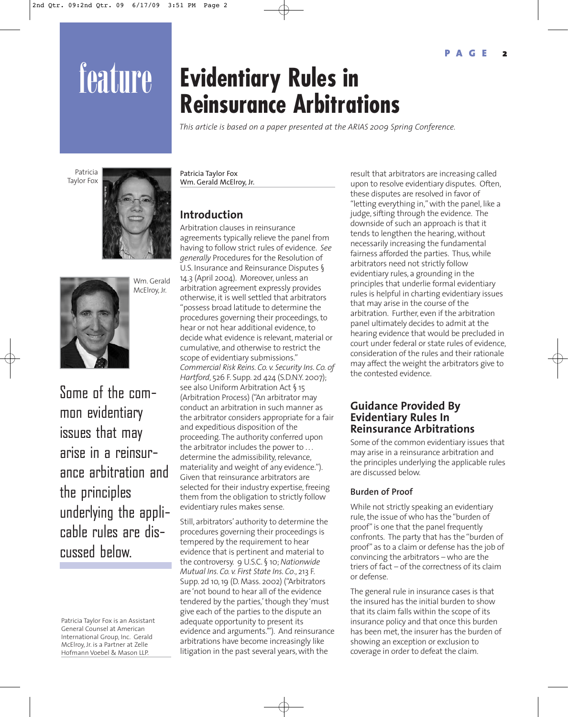# feature **Evidentiary Rules in Reinsurance Arbitrations**

*This article is based on a paper presented at the ARIAS 2009 Spring Conference.*

Patricia Taylor Fox





Wm. Gerald McElroy, Jr.

Some of the common evidentiary issues that may arise in a reinsurance arbitration and the principles underlying the applicable rules are discussed below.

Patricia Taylor Fox is an Assistant General Counsel at American International Group, Inc. Gerald McElroy, Jr. is a Partner at Zelle Hofmann Voebel & Mason LLP.

Patricia Taylor Fox Wm. Gerald McElroy, Jr.

# **Introduction**

Arbitration clauses in reinsurance agreements typically relieve the panel from having to follow strict rules of evidence. *See generally* Procedures for the Resolution of U.S. Insurance and Reinsurance Disputes § 14.3 (April 2004). Moreover, unless an arbitration agreement expressly provides otherwise, it is well settled that arbitrators "possess broad latitude to determine the procedures governing their proceedings, to hear or not hear additional evidence, to decide what evidence is relevant, material or cumulative, and otherwise to restrict the scope of evidentiary submissions." *Commercial Risk Reins. Co. v. Security Ins. Co. of Hartford*, 526 F. Supp. 2d 424 (S.D.N.Y. 2007); see also Uniform Arbitration Act § 15 (Arbitration Process) ("An arbitrator may conduct an arbitration in such manner as the arbitrator considers appropriate for a fair and expeditious disposition of the proceeding. The authority conferred upon the arbitrator includes the power to . . . determine the admissibility, relevance, materiality and weight of any evidence."). Given that reinsurance arbitrators are selected for their industry expertise, freeing them from the obligation to strictly follow evidentiary rules makes sense.

Still, arbitrators' authority to determine the procedures governing their proceedings is tempered by the requirement to hear evidence that is pertinent and material to the controversy. 9 U.S.C. § 10; *Nationwide Mutual Ins. Co. v. First State Ins. Co*., 213 F. Supp. 2d 10, 19 (D. Mass. 2002) ("Arbitrators are 'not bound to hear all of the evidence tendered by the parties,' though they 'must give each of the parties to the dispute an adequate opportunity to present its evidence and arguments.'"). And reinsurance arbitrations have become increasingly like litigation in the past several years, with the

result that arbitrators are increasing called upon to resolve evidentiary disputes. Often, these disputes are resolved in favor of "letting everything in," with the panel, like a judge, sifting through the evidence. The downside of such an approach is that it tends to lengthen the hearing, without necessarily increasing the fundamental fairness afforded the parties. Thus, while arbitrators need not strictly follow evidentiary rules, a grounding in the principles that underlie formal evidentiary rules is helpful in charting evidentiary issues that may arise in the course of the arbitration. Further, even if the arbitration panel ultimately decides to admit at the hearing evidence that would be precluded in court under federal or state rules of evidence, consideration of the rules and their rationale may affect the weight the arbitrators give to the contested evidence.

# **Guidance Provided By Evidentiary Rules In Reinsurance Arbitrations**

Some of the common evidentiary issues that may arise in a reinsurance arbitration and the principles underlying the applicable rules are discussed below.

# **Burden of Proof**

While not strictly speaking an evidentiary rule, the issue of who has the "burden of proof" is one that the panel frequently confronts. The party that has the "burden of proof" as to a claim or defense has the job of convincing the arbitrators – who are the triers of fact – of the correctness of its claim or defense.

The general rule in insurance cases is that the insured has the initial burden to show that its claim falls within the scope of its insurance policy and that once this burden has been met, the insurer has the burden of showing an exception or exclusion to coverage in order to defeat the claim.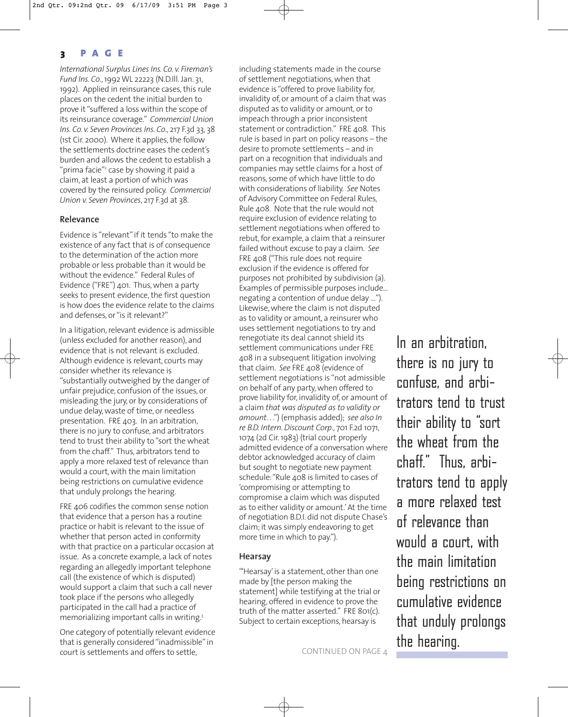# **3 PAGE**

*International Surplus Lines Ins. Co. v. Fireman's Fund Ins. Co*., 1992 WL 22223 (N.D.Ill. Jan. 31, 1992). Applied in reinsurance cases, this rule places on the cedent the initial burden to prove it "suffered a loss within the scope of its reinsurance coverage." *Commercial Union Ins. Co. v. Seven Provinces Ins. Co*., 217 F.3d 33, 38 (1st Cir. 2000). Where it applies, the follow the settlements doctrine eases the cedent's burden and allows the cedent to establish a "prima facie"<sup>2</sup> case by showing it paid a claim, at least a portion of which was covered by the reinsured policy. *Commercial Union v. Seven Provinces*, 217 F.3d at 38.

## **Relevance**

Evidence is "relevant" if it tends "to make the existence of any fact that is of consequence to the determination of the action more probable or less probable than it would be without the evidence." Federal Rules of Evidence ("FRE") 401. Thus, when a party seeks to present evidence, the first question is how does the evidence relate to the claims and defenses, or "is it relevant?"

In a litigation, relevant evidence is admissible (unless excluded for another reason), and evidence that is not relevant is excluded. Although evidence is relevant, courts may consider whether its relevance is "substantially outweighed by the danger of unfair prejudice, confusion of the issues, or misleading the jury, or by considerations of undue delay, waste of time, or needless presentation. FRE 403. In an arbitration, there is no jury to confuse, and arbitrators tend to trust their ability to "sort the wheat from the chaff." Thus, arbitrators tend to apply a more relaxed test of relevance than would a court, with the main limitation being restrictions on cumulative evidence that unduly prolongs the hearing.

FRE 406 codifies the common sense notion that evidence that a person has a routine practice or habit is relevant to the issue of whether that person acted in conformity with that practice on a particular occasion at issue. As a concrete example, a lack of notes regarding an allegedly important telephone call (the existence of which is disputed) would support a claim that such a call never took place if the persons who allegedly participated in the call had a practice of memorializing important calls in writing.<sup>3</sup>

One category of potentially relevant evidence that is generally considered "inadmissible" in court is settlements and offers to settle,

including statements made in the course of settlement negotiations, when that evidence is "offered to prove liability for, invalidity of, or amount of a claim that was disputed as to validity or amount, or to impeach through a prior inconsistent statement or contradiction." FRE 408. This rule is based in part on policy reasons – the desire to promote settlements – and in part on a recognition that individuals and companies may settle claims for a host of reasons, some of which have little to do with considerations of liability. *See* Notes of Advisory Committee on Federal Rules, Rule 408. Note that the rule would not require exclusion of evidence relating to settlement negotiations when offered to rebut, for example, a claim that a reinsurer failed without excuse to pay a claim. *See* FRE 408 ("This rule does not require exclusion if the evidence is offered for purposes not prohibited by subdivision (a). Examples of permissible purposes include... negating a contention of undue delay …"). Likewise, where the claim is not disputed as to validity or amount, a reinsurer who uses settlement negotiations to try and renegotiate its deal cannot shield its settlement communications under FRE 408 in a subsequent litigation involving that claim. *See* FRE 408 (evidence of settlement negotiations is "not admissible on behalf of any party, when offered to prove liability for, invalidity of, or amount of a claim *that was disputed as to validity or amount*. . .") (emphasis added); *see also In re B.D. Intern. Discount Corp*., 701 F.2d 1071, 1074 (2d Cir. 1983) (trial court properly admitted evidence of a conversation where debtor acknowledged accuracy of claim but sought to negotiate new payment schedule: "Rule 408 is limited to cases of 'compromising or attempting to compromise a claim which was disputed as to either validity or amount.' At the time of negotiation B.D.I. did not dispute Chase's claim; it was simply endeavoring to get more time in which to pay.").

#### **Hearsay**

"Hearsay' is a statement, other than one made by [the person making the statement] while testifying at the trial or hearing, offered in evidence to prove the truth of the matter asserted." FRE 801(c). Subject to certain exceptions, hearsay is

In an arbitration, there is no jury to confuse, and arbitrators tend to trust their ability to "sort the wheat from the chaff." Thus, arbitrators tend to apply a more relaxed test of relevance than would a court, with the main limitation being restrictions on cumulative evidence that unduly prolongs the hearing.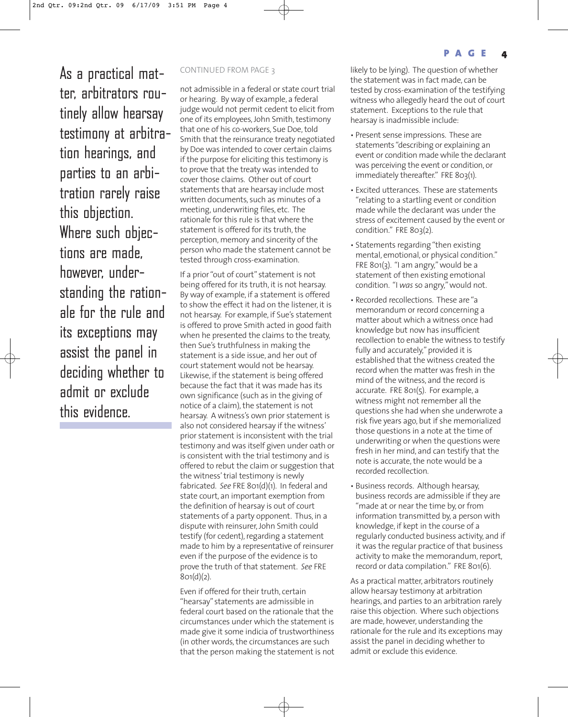As a practical mat- CONTINUED FROM PAGE 3 ter, arbitrators routinely allow hearsay testimony at arbitration hearings, and parties to an arbitration rarely raise this objection. Where such objections are made, however, understanding the rationale for the rule and its exceptions may assist the panel in deciding whether to admit or exclude this evidence.

not admissible in a federal or state court trial or hearing. By way of example, a federal judge would not permit cedent to elicit from one of its employees, John Smith, testimony that one of his co-workers, Sue Doe, told Smith that the reinsurance treaty negotiated by Doe was intended to cover certain claims if the purpose for eliciting this testimony is to prove that the treaty was intended to cover those claims. Other out of court statements that are hearsay include most written documents, such as minutes of a meeting, underwriting files, etc. The rationale for this rule is that where the statement is offered for its truth, the perception, memory and sincerity of the person who made the statement cannot be tested through cross-examination.

If a prior "out of court" statement is not being offered for its truth, it is not hearsay. By way of example, if a statement is offered to show the effect it had on the listener, it is not hearsay. For example, if Sue's statement is offered to prove Smith acted in good faith when he presented the claims to the treaty, then Sue's truthfulness in making the statement is a side issue, and her out of court statement would not be hearsay. Likewise, if the statement is being offered because the fact that it was made has its own significance (such as in the giving of notice of a claim), the statement is not hearsay. A witness's own prior statement is also not considered hearsay if the witness' prior statement is inconsistent with the trial testimony and was itself given under oath or is consistent with the trial testimony and is offered to rebut the claim or suggestion that the witness' trial testimony is newly fabricated. *See* FRE 801(d)(1). In federal and state court, an important exemption from the definition of hearsay is out of court statements of a party opponent. Thus, in a dispute with reinsurer, John Smith could testify (for cedent), regarding a statement made to him by a representative of reinsurer even if the purpose of the evidence is to prove the truth of that statement. *See* FRE  $801(d)(2)$ .

Even if offered for their truth, certain "hearsay" statements are admissible in federal court based on the rationale that the circumstances under which the statement is made give it some indicia of trustworthiness (in other words, the circumstances are such that the person making the statement is not likely to be lying). The question of whether the statement was in fact made, can be tested by cross-examination of the testifying witness who allegedly heard the out of court statement. Exceptions to the rule that hearsay is inadmissible include:

- Present sense impressions. These are statements "describing or explaining an event or condition made while the declarant was perceiving the event or condition, or immediately thereafter." FRE 803(1).
- Excited utterances. These are statements "relating to a startling event or condition made while the declarant was under the stress of excitement caused by the event or condition." FRE 803(2).
- Statements regarding "then existing mental, emotional, or physical condition." FRE 801(3). "I am angry," would be a statement of then existing emotional condition. "I *was* so angry," would not.
- Recorded recollections. These are "a memorandum or record concerning a matter about which a witness once had knowledge but now has insufficient recollection to enable the witness to testify fully and accurately," provided it is established that the witness created the record when the matter was fresh in the mind of the witness, and the record is accurate. FRE 801(5). For example, a witness might not remember all the questions she had when she underwrote a risk five years ago, but if she memorialized those questions in a note at the time of underwriting or when the questions were fresh in her mind, and can testify that the note is accurate, the note would be a recorded recollection.
- Business records. Although hearsay, business records are admissible if they are "made at or near the time by, or from information transmitted by, a person with knowledge, if kept in the course of a regularly conducted business activity, and if it was the regular practice of that business activity to make the memorandum, report, record or data compilation." FRE 801(6).

As a practical matter, arbitrators routinely allow hearsay testimony at arbitration hearings, and parties to an arbitration rarely raise this objection. Where such objections are made, however, understanding the rationale for the rule and its exceptions may assist the panel in deciding whether to admit or exclude this evidence.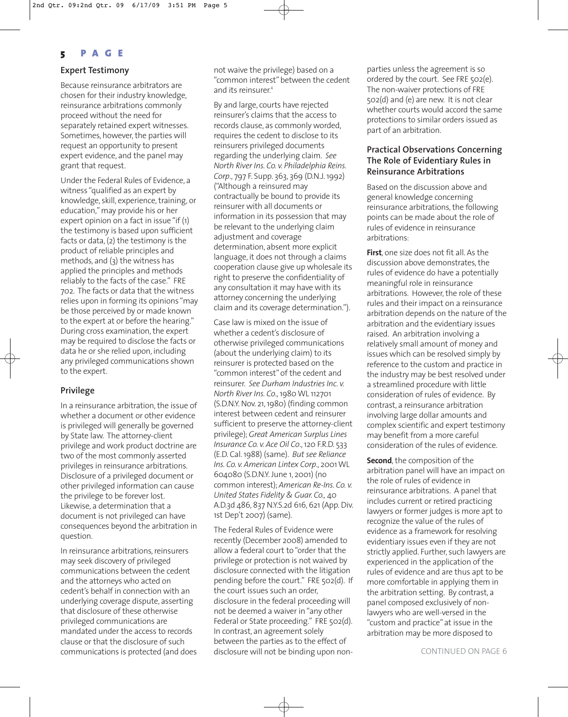## **5 PAGE**

## **Expert Testimony**

Because reinsurance arbitrators are chosen for their industry knowledge, reinsurance arbitrations commonly proceed without the need for separately retained expert witnesses. Sometimes, however, the parties will request an opportunity to present expert evidence, and the panel may grant that request.

Under the Federal Rules of Evidence, a witness "qualified as an expert by knowledge, skill, experience, training, or education," may provide his or her expert opinion on a fact in issue "if (1) the testimony is based upon sufficient facts or data, (2) the testimony is the product of reliable principles and methods, and (3) the witness has applied the principles and methods reliably to the facts of the case." FRE 702. The facts or data that the witness relies upon in forming its opinions "may be those perceived by or made known to the expert at or before the hearing." During cross examination, the expert may be required to disclose the facts or data he or she relied upon, including any privileged communications shown to the expert.

#### **Privilege**

In a reinsurance arbitration, the issue of whether a document or other evidence is privileged will generally be governed by State law. The attorney-client privilege and work product doctrine are two of the most commonly asserted privileges in reinsurance arbitrations. Disclosure of a privileged document or other privileged information can cause the privilege to be forever lost. Likewise, a determination that a document is not privileged can have consequences beyond the arbitration in question.

In reinsurance arbitrations, reinsurers may seek discovery of privileged communications between the cedent and the attorneys who acted on cedent's behalf in connection with an underlying coverage dispute, asserting that disclosure of these otherwise privileged communications are mandated under the access to records clause or that the disclosure of such communications is protected (and does not waive the privilege) based on a "common interest" between the cedent and its reinsurer.<sup>4</sup>

By and large, courts have rejected reinsurer's claims that the access to records clause, as commonly worded, requires the cedent to disclose to its reinsurers privileged documents regarding the underlying claim. *See North River Ins. Co. v. Philadelphia Reins. Corp*., 797 F. Supp. 363, 369 (D.N.J. 1992) ("Although a reinsured may contractually be bound to provide its reinsurer with all documents or information in its possession that may be relevant to the underlying claim adjustment and coverage determination, absent more explicit language, it does not through a claims cooperation clause give up wholesale its right to preserve the confidentiality of any consultation it may have with its attorney concerning the underlying claim and its coverage determination.").

Case law is mixed on the issue of whether a cedent's disclosure of otherwise privileged communications (about the underlying claim) to its reinsurer is protected based on the "common interest" of the cedent and reinsurer. *See Durham Industries Inc. v. North River Ins. Co*., 1980 WL 112701 (S.D.N.Y. Nov. 21, 1980) (finding common interest between cedent and reinsurer sufficient to preserve the attorney-client privilege); *Great American Surplus Lines Insurance Co. v. Ace Oil Co*., 120 F.R.D. 533 (E.D. Cal. 1988) (same). *But see Reliance Ins. Co. v. American Lintex Corp*., 2001 WL 604080 (S.D.N.Y. June 1, 2001) (no common interest); *American Re-Ins. Co. v. United States Fidelity & Guar. Co.,* 40 A.D.3d 486, 837 N.Y.S.2d 616, 621 (App. Div. 1st Dep't 2007) (same).

The Federal Rules of Evidence were recently (December 2008) amended to allow a federal court to "order that the privilege or protection is not waived by disclosure connected with the litigation pending before the court." FRE 502(d). If the court issues such an order, disclosure in the federal proceeding will not be deemed a waiver in "any other Federal or State proceeding." FRE 502(d). In contrast, an agreement solely between the parties as to the effect of disclosure will not be binding upon nonparties unless the agreement is so ordered by the court. See FRE 502(e). The non-waiver protections of FRE 502(d) and (e) are new. It is not clear whether courts would accord the same protections to similar orders issued as part of an arbitration.

#### **Practical Observations Concerning The Role of Evidentiary Rules in Reinsurance Arbitrations**

Based on the discussion above and general knowledge concerning reinsurance arbitrations, the following points can be made about the role of rules of evidence in reinsurance arbitrations:

**First**, one size does not fit all. As the discussion above demonstrates, the rules of evidence do have a potentially meaningful role in reinsurance arbitrations. However, the role of these rules and their impact on a reinsurance arbitration depends on the nature of the arbitration and the evidentiary issues raised. An arbitration involving a relatively small amount of money and issues which can be resolved simply by reference to the custom and practice in the industry may be best resolved under a streamlined procedure with little consideration of rules of evidence. By contrast, a reinsurance arbitration involving large dollar amounts and complex scientific and expert testimony may benefit from a more careful consideration of the rules of evidence.

**Second**, the composition of the arbitration panel will have an impact on the role of rules of evidence in reinsurance arbitrations. A panel that includes current or retired practicing lawyers or former judges is more apt to recognize the value of the rules of evidence as a framework for resolving evidentiary issues even if they are not strictly applied. Further, such lawyers are experienced in the application of the rules of evidence and are thus apt to be more comfortable in applying them in the arbitration setting. By contrast, a panel composed exclusively of nonlawyers who are well-versed in the "custom and practice" at issue in the arbitration may be more disposed to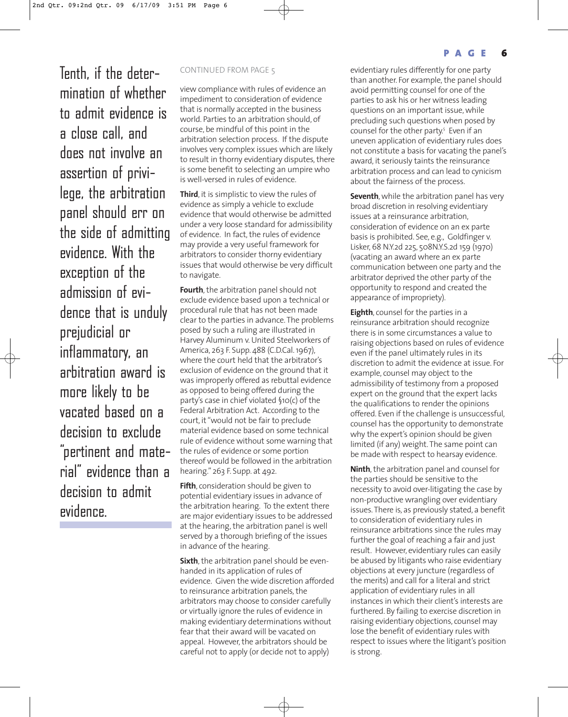Tenth, if the deter- CONTINUED FROM PAGE 5 mination of whether to admit evidence is a close call, and does not involve an assertion of privilege, the arbitration panel should err on the side of admitting evidence. With the exception of the admission of evidence that is unduly prejudicial or inflammatory, an arbitration award is more likely to be vacated based on a decision to exclude "pertinent and material" evidence than a decision to admit evidence.

view compliance with rules of evidence an impediment to consideration of evidence that is normally accepted in the business world. Parties to an arbitration should, of course, be mindful of this point in the arbitration selection process. If the dispute involves very complex issues which are likely to result in thorny evidentiary disputes, there is some benefit to selecting an umpire who is well-versed in rules of evidence.

**Third**, it is simplistic to view the rules of evidence as simply a vehicle to exclude evidence that would otherwise be admitted under a very loose standard for admissibility of evidence. In fact, the rules of evidence may provide a very useful framework for arbitrators to consider thorny evidentiary issues that would otherwise be very difficult to navigate.

**Fourth**, the arbitration panel should not exclude evidence based upon a technical or procedural rule that has not been made clear to the parties in advance. The problems posed by such a ruling are illustrated in Harvey Aluminum v. United Steelworkers of America, 263 F. Supp. 488 (C.D.Cal. 1967), where the court held that the arbitrator's exclusion of evidence on the ground that it was improperly offered as rebuttal evidence as opposed to being offered during the party's case in chief violated §10(c) of the Federal Arbitration Act. According to the court, it "would not be fair to preclude material evidence based on some technical rule of evidence without some warning that the rules of evidence or some portion thereof would be followed in the arbitration hearing." 263 F. Supp. at 492.

**Fifth**, consideration should be given to potential evidentiary issues in advance of the arbitration hearing. To the extent there are major evidentiary issues to be addressed at the hearing, the arbitration panel is well served by a thorough briefing of the issues in advance of the hearing.

**Sixth**, the arbitration panel should be evenhanded in its application of rules of evidence. Given the wide discretion afforded to reinsurance arbitration panels, the arbitrators may choose to consider carefully or virtually ignore the rules of evidence in making evidentiary determinations without fear that their award will be vacated on appeal. However, the arbitrators should be careful not to apply (or decide not to apply)

evidentiary rules differently for one party than another. For example, the panel should avoid permitting counsel for one of the parties to ask his or her witness leading questions on an important issue, while precluding such questions when posed by counsel for the other party.<sup>5</sup> Even if an uneven application of evidentiary rules does not constitute a basis for vacating the panel's award, it seriously taints the reinsurance arbitration process and can lead to cynicism about the fairness of the process.

**Seventh**, while the arbitration panel has very broad discretion in resolving evidentiary issues at a reinsurance arbitration, consideration of evidence on an ex parte basis is prohibited. See, e.g., Goldfinger v. Lisker, 68 N.Y.2d 225, 508N.Y.S.2d 159 (1970) (vacating an award where an ex parte communication between one party and the arbitrator deprived the other party of the opportunity to respond and created the appearance of impropriety).

**Eighth**, counsel for the parties in a reinsurance arbitration should recognize there is in some circumstances a value to raising objections based on rules of evidence even if the panel ultimately rules in its discretion to admit the evidence at issue. For example, counsel may object to the admissibility of testimony from a proposed expert on the ground that the expert lacks the qualifications to render the opinions offered. Even if the challenge is unsuccessful, counsel has the opportunity to demonstrate why the expert's opinion should be given limited (if any) weight. The same point can be made with respect to hearsay evidence.

**Ninth**, the arbitration panel and counsel for the parties should be sensitive to the necessity to avoid over-litigating the case by non-productive wrangling over evidentiary issues. There is, as previously stated, a benefit to consideration of evidentiary rules in reinsurance arbitrations since the rules may further the goal of reaching a fair and just result. However, evidentiary rules can easily be abused by litigants who raise evidentiary objections at every juncture (regardless of the merits) and call for a literal and strict application of evidentiary rules in all instances in which their client's interests are furthered. By failing to exercise discretion in raising evidentiary objections, counsel may lose the benefit of evidentiary rules with respect to issues where the litigant's position is strong.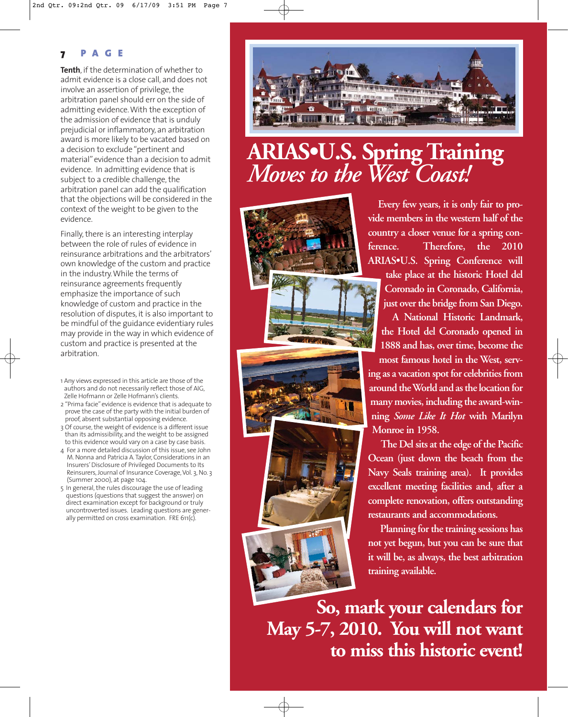# **7 PAGE**

**Tenth**, if the determination of whether to admit evidence is a close call, and does not involve an assertion of privilege, the arbitration panel should err on the side of admitting evidence. With the exception of the admission of evidence that is unduly prejudicial or inflammatory, an arbitration award is more likely to be vacated based on a decision to exclude "pertinent and material" evidence than a decision to admit evidence. In admitting evidence that is subject to a credible challenge, the arbitration panel can add the qualification that the objections will be considered in the context of the weight to be given to the evidence.

Finally, there is an interesting interplay between the role of rules of evidence in reinsurance arbitrations and the arbitrators' own knowledge of the custom and practice in the industry. While the terms of reinsurance agreements frequently emphasize the importance of such knowledge of custom and practice in the resolution of disputes, it is also important to be mindful of the guidance evidentiary rules may provide in the way in which evidence of custom and practice is presented at the arbitration.

- 1 Any views expressed in this article are those of the authors and do not necessarily reflect those of AIG, Zelle Hofmann or Zelle Hofmann's clients.
- 2 "Prima facie" evidence is evidence that is adequate to prove the case of the party with the initial burden of proof, absent substantial opposing evidence.
- 3 Of course, the weight of evidence is a different issue than its admissibility, and the weight to be assigned to this evidence would vary on a case by case basis.
- 4 For a more detailed discussion of this issue, see John M. Nonna and Patricia A. Taylor, Considerations in an Insurers' Disclosure of Privileged Documents to Its Reinsurers, Journal of Insurance Coverage, Vol. 3, No. 3 (Summer 2000), at page 104.
- 5 In general, the rules discourage the use of leading questions (questions that suggest the answer) on direct examination except for background or truly uncontroverted issues. Leading questions are generally permitted on cross examination. FRE 611(c).



# **ARIAS•U.S. Spring Training** *Moves to the West Coast!*

**Every few years, it is only fair to provide members in the western half of the country a closer venue for a spring conference. Therefore, the 2010 ARIAS•U.S. Spring Conference will**

**take place at the historic Hotel del Coronado in Coronado, California, just over the bridge from San Diego.**

**A National Historic Landmark, the Hotel del Coronado opened in 1888 and has, over time, become the**

**most famous hotel in the West, serving as a vacation spot for celebrities from around the World and as the location for many movies, including the award-winning** *Some Like It Hot* **with Marilyn Monroe in 1958.**

**The Del sits at the edge of the Pacific Ocean (just down the beach from the Navy Seals training area). It provides excellent meeting facilities and, after a complete renovation, offers outstanding restaurants and accommodations.** 

**Planning for the training sessions has not yet begun, but you can be sure that it will be, as always, the best arbitration training available.** 

**So, mark your calendars for May 5-7, 2010. You will not want to miss this historic event!**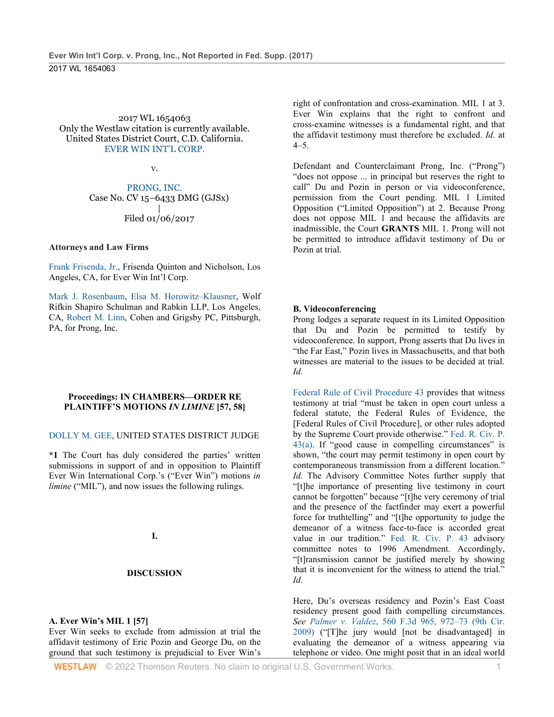2017 WL 1654063 Only the Westlaw citation is currently available. United States District Court, C.D. California. [EVER WIN INT'L CORP.](http://www.westlaw.com/Search/Results.html?query=advanced%3a+OAID(5028864240)&saveJuris=False&contentType=BUSINESS-INVESTIGATOR&startIndex=1&contextData=(sc.Default)&categoryPageUrl=Home%2fCompanyInvestigator&originationContext=document&vr=3.0&rs=cblt1.0&transitionType=DocumentItem)

v.

[PRONG, INC.](http://www.westlaw.com/Search/Results.html?query=advanced%3a+OAID(5038059845)&saveJuris=False&contentType=BUSINESS-INVESTIGATOR&startIndex=1&contextData=(sc.Default)&categoryPageUrl=Home%2fCompanyInvestigator&originationContext=document&vr=3.0&rs=cblt1.0&transitionType=DocumentItem) Case No. CV 15–6433 DMG (GJSx) | Filed 01/06/2017

#### **Attorneys and Law Firms**

[Frank Frisenda, Jr.,](http://www.westlaw.com/Link/Document/FullText?findType=h&pubNum=176284&cite=0102264001&originatingDoc=I4c52e110300111e79eadef7f77b52ba6&refType=RQ&originationContext=document&vr=3.0&rs=cblt1.0&transitionType=DocumentItem&contextData=(sc.UserEnteredCitation)) Frisenda Quinton and Nicholson, Los Angeles, CA, for Ever Win Int'l Corp.

[Mark J. Rosenbaum,](http://www.westlaw.com/Link/Document/FullText?findType=h&pubNum=176284&cite=0228472201&originatingDoc=I4c52e110300111e79eadef7f77b52ba6&refType=RQ&originationContext=document&vr=3.0&rs=cblt1.0&transitionType=DocumentItem&contextData=(sc.UserEnteredCitation)) [Elsa M. Horowitz–Klausner,](http://www.westlaw.com/Link/Document/FullText?findType=h&pubNum=176284&cite=0337017301&originatingDoc=I4c52e110300111e79eadef7f77b52ba6&refType=RQ&originationContext=document&vr=3.0&rs=cblt1.0&transitionType=DocumentItem&contextData=(sc.UserEnteredCitation)) Wolf Rifkin Shapiro Schulman and Rabkin LLP, Los Angeles, CA, [Robert M. Linn,](http://www.westlaw.com/Link/Document/FullText?findType=h&pubNum=176284&cite=0234009201&originatingDoc=I4c52e110300111e79eadef7f77b52ba6&refType=RQ&originationContext=document&vr=3.0&rs=cblt1.0&transitionType=DocumentItem&contextData=(sc.UserEnteredCitation)) Cohen and Grigsby PC, Pittsburgh, PA, for Prong, Inc.

#### **Proceedings: IN CHAMBERS—ORDER RE PLAINTIFF'S MOTIONS** *IN LIMINE* **[57, 58]**

#### [DOLLY M. GEE,](http://www.westlaw.com/Link/Document/FullText?findType=h&pubNum=176284&cite=0189083901&originatingDoc=I4c52e110300111e79eadef7f77b52ba6&refType=RQ&originationContext=document&vr=3.0&rs=cblt1.0&transitionType=DocumentItem&contextData=(sc.UserEnteredCitation)) UNITED STATES DISTRICT JUDGE

**\*1** The Court has duly considered the parties' written submissions in support of and in opposition to Plaintiff Ever Win International Corp.'s ("Ever Win") motions *in limine* ("MIL"), and now issues the following rulings.

#### **I.**

#### **DISCUSSION**

#### **A. Ever Win's MIL 1 [57]**

Ever Win seeks to exclude from admission at trial the affidavit testimony of Eric Pozin and George Du, on the ground that such testimony is prejudicial to Ever Win's

right of confrontation and cross-examination. MIL 1 at 3. Ever Win explains that the right to confront and cross-examine witnesses is a fundamental right, and that the affidavit testimony must therefore be excluded. *Id.* at  $4-5.$ 

Defendant and Counterclaimant Prong, Inc. ("Prong") "does not oppose ... in principal but reserves the right to call" Du and Pozin in person or via videoconference, permission from the Court pending. MIL 1 Limited Opposition ("Limited Opposition") at 2. Because Prong does not oppose MIL 1 and because the affidavits are inadmissible, the Court **GRANTS** MIL 1. Prong will not be permitted to introduce affidavit testimony of Du or Pozin at trial.

#### **B. Videoconferencing**

Prong lodges a separate request in its Limited Opposition that Du and Pozin be permitted to testify by videoconference. In support, Prong asserts that Du lives in "the Far East," Pozin lives in Massachusetts, and that both witnesses are material to the issues to be decided at trial. *Id.*

[Federal Rule of Civil Procedure 43](http://www.westlaw.com/Link/Document/FullText?findType=L&pubNum=1000600&cite=USFRCPR43&originatingDoc=I4c52e110300111e79eadef7f77b52ba6&refType=LQ&originationContext=document&vr=3.0&rs=cblt1.0&transitionType=DocumentItem&contextData=(sc.UserEnteredCitation)) provides that witness testimony at trial "must be taken in open court unless a federal statute, the Federal Rules of Evidence, the [Federal Rules of Civil Procedure], or other rules adopted by the Supreme Court provide otherwise." [Fed. R. Civ. P.](http://www.westlaw.com/Link/Document/FullText?findType=L&pubNum=1000600&cite=USFRCPR43&originatingDoc=I4c52e110300111e79eadef7f77b52ba6&refType=LQ&originationContext=document&vr=3.0&rs=cblt1.0&transitionType=DocumentItem&contextData=(sc.UserEnteredCitation))   $43(a)$ . If "good cause in compelling circumstances" is shown, "the court may permit testimony in open court by contemporaneous transmission from a different location." *Id.* The Advisory Committee Notes further supply that "[t]he importance of presenting live testimony in court cannot be forgotten" because "[t]he very ceremony of trial and the presence of the factfinder may exert a powerful force for truthtelling" and "[t]he opportunity to judge the demeanor of a witness face-to-face is accorded great value in our tradition." [Fed. R. Civ. P. 43](http://www.westlaw.com/Link/Document/FullText?findType=L&pubNum=1000600&cite=USFRCPR43&originatingDoc=I4c52e110300111e79eadef7f77b52ba6&refType=LQ&originationContext=document&vr=3.0&rs=cblt1.0&transitionType=DocumentItem&contextData=(sc.UserEnteredCitation)) advisory committee notes to 1996 Amendment. Accordingly, "[t]ransmission cannot be justified merely by showing that it is inconvenient for the witness to attend the trial." *Id.*

Here, Du's overseas residency and Pozin's East Coast residency present good faith compelling circumstances. *See Palmer v. Valdez*[, 560 F.3d 965, 972–73 \(9th Cir.](http://www.westlaw.com/Link/Document/FullText?findType=Y&serNum=2018419672&pubNum=0000506&originatingDoc=I4c52e110300111e79eadef7f77b52ba6&refType=RP&fi=co_pp_sp_506_972&originationContext=document&vr=3.0&rs=cblt1.0&transitionType=DocumentItem&contextData=(sc.UserEnteredCitation)#co_pp_sp_506_972)  [2009\)](http://www.westlaw.com/Link/Document/FullText?findType=Y&serNum=2018419672&pubNum=0000506&originatingDoc=I4c52e110300111e79eadef7f77b52ba6&refType=RP&fi=co_pp_sp_506_972&originationContext=document&vr=3.0&rs=cblt1.0&transitionType=DocumentItem&contextData=(sc.UserEnteredCitation)#co_pp_sp_506_972) ("[T]he jury would [not be disadvantaged] in evaluating the demeanor of a witness appearing via telephone or video. One might posit that in an ideal world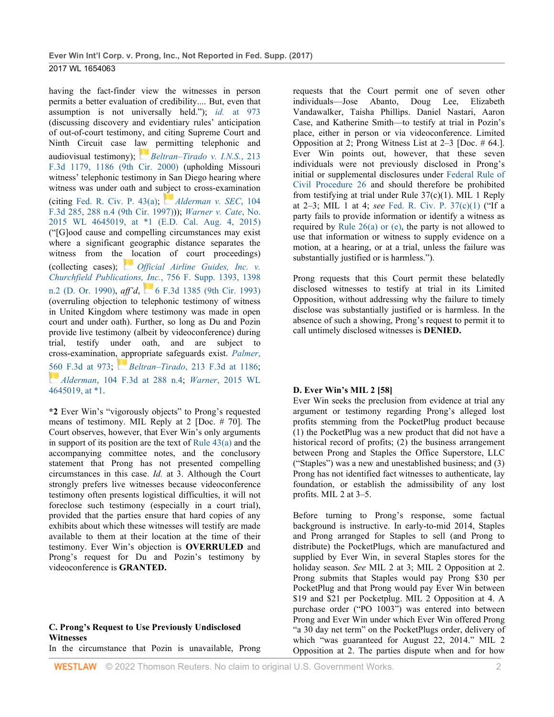having the fact-finder view the witnesses in person permits a better evaluation of credibility.... But, even that assumption is not universally held."); *id.* [at 973](http://www.westlaw.com/Link/Document/FullText?findType=Y&serNum=2018419672&pubNum=0000506&originatingDoc=I4c52e110300111e79eadef7f77b52ba6&refType=RP&fi=co_pp_sp_506_973&originationContext=document&vr=3.0&rs=cblt1.0&transitionType=DocumentItem&contextData=(sc.UserEnteredCitation)#co_pp_sp_506_973) (discussing discovery and evidentiary rules' anticipation of out-of-court testimony, and citing Supreme Court and Ninth Circuit case l[aw](https://1.next.westlaw.com/Link/RelatedInformation/Flag?documentGuid=I061f9f8c798411d98c82a53fc8ac8757&transitionType=InlineKeyCiteFlags&originationContext=docHeaderFlag&Rank=0&ppcid=a24eddc121004246a04311a335df4ada&contextData=(sc.UserEnteredCitation)) permitting telephonic and audiovisual testimony); *[Beltran–Tirado v. I.N.S.](http://www.westlaw.com/Link/Document/FullText?findType=Y&serNum=2000364029&pubNum=0000506&originatingDoc=I4c52e110300111e79eadef7f77b52ba6&refType=RP&fi=co_pp_sp_506_1186&originationContext=document&vr=3.0&rs=cblt1.0&transitionType=DocumentItem&contextData=(sc.UserEnteredCitation)#co_pp_sp_506_1186)*, 213 [F.3d 1179, 1186 \(9th Cir. 2000\)](http://www.westlaw.com/Link/Document/FullText?findType=Y&serNum=2000364029&pubNum=0000506&originatingDoc=I4c52e110300111e79eadef7f77b52ba6&refType=RP&fi=co_pp_sp_506_1186&originationContext=document&vr=3.0&rs=cblt1.0&transitionType=DocumentItem&contextData=(sc.UserEnteredCitation)#co_pp_sp_506_1186) (upholding Missouri witness' telephonic testimony in San Diego hearing where witness was under oath and subject to cross-examination (citing [Fed. R. Civ. P. 43\(a\);](http://www.westlaw.com/Link/Document/FullText?findType=L&pubNum=1000600&cite=USFRCPR43&originatingDoc=I4c52e110300111e79eadef7f77b52ba6&refType=LQ&originationContext=document&vr=3.0&rs=cblt1.0&transitionType=DocumentItem&contextData=(sc.UserEnteredCitation)) *[Alderman v. SEC](http://www.westlaw.com/Link/Document/FullText?findType=Y&serNum=1997027863&pubNum=0000506&originatingDoc=I4c52e110300111e79eadef7f77b52ba6&refType=RP&fi=co_pp_sp_506_288&originationContext=document&vr=3.0&rs=cblt1.0&transitionType=DocumentItem&contextData=(sc.UserEnteredCitation)#co_pp_sp_506_288)*, 104 [F.3d 285, 288 n.4 \(9th Cir. 1997\)\)](http://www.westlaw.com/Link/Document/FullText?findType=Y&serNum=1997027863&pubNum=0000506&originatingDoc=I4c52e110300111e79eadef7f77b52ba6&refType=RP&fi=co_pp_sp_506_288&originationContext=document&vr=3.0&rs=cblt1.0&transitionType=DocumentItem&contextData=(sc.UserEnteredCitation)#co_pp_sp_506_288)); *[Warner v. Cate](http://www.westlaw.com/Link/Document/FullText?findType=Y&serNum=2036823314&pubNum=0000999&originatingDoc=I4c52e110300111e79eadef7f77b52ba6&refType=RP&originationContext=document&vr=3.0&rs=cblt1.0&transitionType=DocumentItem&contextData=(sc.UserEnteredCitation))*, No. [2015 WL 4645019, at \\*1 \(E.D. Cal. Aug. 4, 2015\)](http://www.westlaw.com/Link/Document/FullText?findType=Y&serNum=2036823314&pubNum=0000999&originatingDoc=I4c52e110300111e79eadef7f77b52ba6&refType=RP&originationContext=document&vr=3.0&rs=cblt1.0&transitionType=DocumentItem&contextData=(sc.UserEnteredCitation)) ("[G]ood cause and compelling circumstances may exist where a significant geographic distance separates the witness from the [lo](https://1.next.westlaw.com/Link/RelatedInformation/Flag?documentGuid=I1416d2fd55d711d997e0acd5cbb90d3f&transitionType=InlineKeyCiteFlags&originationContext=docHeaderFlag&Rank=0&ppcid=a24eddc121004246a04311a335df4ada&contextData=(sc.UserEnteredCitation))cation of court proceedings) (collecting cases); *[Official Airline Guides, Inc. v.](http://www.westlaw.com/Link/Document/FullText?findType=Y&serNum=1991029552&pubNum=0000345&originatingDoc=I4c52e110300111e79eadef7f77b52ba6&refType=RP&fi=co_pp_sp_345_1398&originationContext=document&vr=3.0&rs=cblt1.0&transitionType=DocumentItem&contextData=(sc.UserEnteredCitation)#co_pp_sp_345_1398)  [Churchfield Publications, Inc.](http://www.westlaw.com/Link/Document/FullText?findType=Y&serNum=1991029552&pubNum=0000345&originatingDoc=I4c52e110300111e79eadef7f77b52ba6&refType=RP&fi=co_pp_sp_345_1398&originationContext=document&vr=3.0&rs=cblt1.0&transitionType=DocumentItem&contextData=(sc.UserEnteredCitation)#co_pp_sp_345_1398)*, 756 F. Supp. 1393, 1398 [n.2 \(D. Or. 1990\),](http://www.westlaw.com/Link/Document/FullText?findType=Y&serNum=1991029552&pubNum=0000345&originatingDoc=I4c52e110300111e79eadef7f77b52ba6&refType=RP&fi=co_pp_sp_345_1398&originationContext=document&vr=3.0&rs=cblt1.0&transitionType=DocumentItem&contextData=(sc.UserEnteredCitation)#co_pp_sp_345_1398) *aff'd*,[6 F.3d 1385 \(9th Cir. 1993\)](http://www.westlaw.com/Link/Document/FullText?findType=Y&serNum=1993193258&pubNum=0000506&originatingDoc=I4c52e110300111e79eadef7f77b52ba6&refType=RP&originationContext=document&vr=3.0&rs=cblt1.0&transitionType=DocumentItem&contextData=(sc.UserEnteredCitation)) (overruling objection to telephonic testimony of witness in United Kingdom where testimony was made in open court and under oath). Further, so long as Du and Pozin provide live testimony (albeit by videoconference) during trial, testify under oath, and are subject to cross-examination, appropriate safeguards exist. *[Palmer](http://www.westlaw.com/Link/Document/FullText?findType=Y&serNum=2018419672&pubNum=0000506&originatingDoc=I4c52e110300111e79eadef7f77b52ba6&refType=RP&fi=co_pp_sp_506_973&originationContext=document&vr=3.0&rs=cblt1.0&transitionType=DocumentItem&contextData=(sc.UserEnteredCitation)#co_pp_sp_506_973)*, [560 F.3d at 973;](http://www.westlaw.com/Link/Document/FullText?findType=Y&serNum=2018419672&pubNum=0000506&originatingDoc=I4c52e110300111e79eadef7f77b52ba6&refType=RP&fi=co_pp_sp_506_973&originationContext=document&vr=3.0&rs=cblt1.0&transitionType=DocumentItem&contextData=(sc.UserEnteredCitation)#co_pp_sp_506_973) *[B](https://1.next.westlaw.com/Link/RelatedInformation/Flag?documentGuid=I061f9f8c798411d98c82a53fc8ac8757&transitionType=InlineKeyCiteFlags&originationContext=docHeaderFlag&Rank=0&ppcid=a24eddc121004246a04311a335df4ada&contextData=(sc.UserEnteredCitation))eltran–Tirado*[, 213 F.3d at 1186;](http://www.westlaw.com/Link/Document/FullText?findType=Y&serNum=2000364029&pubNum=0000506&originatingDoc=I4c52e110300111e79eadef7f77b52ba6&refType=RP&fi=co_pp_sp_506_1186&originationContext=document&vr=3.0&rs=cblt1.0&transitionType=DocumentItem&contextData=(sc.UserEnteredCitation)#co_pp_sp_506_1186) *[A](https://1.next.westlaw.com/Link/RelatedInformation/Flag?documentGuid=I683e7676940d11d993e6d35cc61aab4a&transitionType=InlineKeyCiteFlags&originationContext=docHeaderFlag&Rank=0&ppcid=a24eddc121004246a04311a335df4ada&contextData=(sc.UserEnteredCitation))lderman*[, 104 F.3d at 288 n.4;](http://www.westlaw.com/Link/Document/FullText?findType=Y&serNum=1997027863&pubNum=0000506&originatingDoc=I4c52e110300111e79eadef7f77b52ba6&refType=RP&fi=co_pp_sp_506_288&originationContext=document&vr=3.0&rs=cblt1.0&transitionType=DocumentItem&contextData=(sc.UserEnteredCitation)#co_pp_sp_506_288) *Warner*[, 2015 WL](http://www.westlaw.com/Link/Document/FullText?findType=Y&serNum=2036823314&pubNum=0000999&originatingDoc=I4c52e110300111e79eadef7f77b52ba6&refType=RP&originationContext=document&vr=3.0&rs=cblt1.0&transitionType=DocumentItem&contextData=(sc.UserEnteredCitation))  [4645019, at \\*1.](http://www.westlaw.com/Link/Document/FullText?findType=Y&serNum=2036823314&pubNum=0000999&originatingDoc=I4c52e110300111e79eadef7f77b52ba6&refType=RP&originationContext=document&vr=3.0&rs=cblt1.0&transitionType=DocumentItem&contextData=(sc.UserEnteredCitation))

**\*2** Ever Win's "vigorously objects" to Prong's requested means of testimony. MIL Reply at 2 [Doc. # 70]. The Court observes, however, that Ever Win's only arguments in support of its position are the text of Rule  $43(a)$  and the accompanying committee notes, and the conclusory statement that Prong has not presented compelling circumstances in this case. *Id.* at 3. Although the Court strongly prefers live witnesses because videoconference testimony often presents logistical difficulties, it will not foreclose such testimony (especially in a court trial), provided that the parties ensure that hard copies of any exhibits about which these witnesses will testify are made available to them at their location at the time of their testimony. Ever Win's objection is **OVERRULED** and Prong's request for Du and Pozin's testimony by videoconference is **GRANTED.**

#### **C. Prong's Request to Use Previously Undisclosed Witnesses**

In the circumstance that Pozin is unavailable, Prong

requests that the Court permit one of seven other individuals—Jose Abanto, Doug Lee, Elizabeth Vandawalker, Taisha Phillips. Daniel Nastari, Aaron Case, and Katherine Smith—to testify at trial in Pozin's place, either in person or via videoconference. Limited Opposition at 2; Prong Witness List at 2–3 [Doc. # 64.]. Ever Win points out, however, that these seven individuals were not previously disclosed in Prong's initial or supplemental disclosures under [Federal Rule of](http://www.westlaw.com/Link/Document/FullText?findType=L&pubNum=1000600&cite=USFRCPR26&originatingDoc=I4c52e110300111e79eadef7f77b52ba6&refType=LQ&originationContext=document&vr=3.0&rs=cblt1.0&transitionType=DocumentItem&contextData=(sc.UserEnteredCitation))  [Civil Procedure 26](http://www.westlaw.com/Link/Document/FullText?findType=L&pubNum=1000600&cite=USFRCPR26&originatingDoc=I4c52e110300111e79eadef7f77b52ba6&refType=LQ&originationContext=document&vr=3.0&rs=cblt1.0&transitionType=DocumentItem&contextData=(sc.UserEnteredCitation)) and should therefore be prohibited from testifying at trial under Rule  $37(c)(1)$ . MIL 1 Reply at 2–3; MIL 1 at 4; *see* [Fed. R. Civ. P. 37\(c\)\(1\)](http://www.westlaw.com/Link/Document/FullText?findType=L&pubNum=1000600&cite=USFRCPR37&originatingDoc=I4c52e110300111e79eadef7f77b52ba6&refType=LQ&originationContext=document&vr=3.0&rs=cblt1.0&transitionType=DocumentItem&contextData=(sc.UserEnteredCitation)) ("If a party fails to provide information or identify a witness as required by Rule  $26(a)$  or (e), the party is not allowed to use that information or witness to supply evidence on a motion, at a hearing, or at a trial, unless the failure was substantially justified or is harmless.").

Prong requests that this Court permit these belatedly disclosed witnesses to testify at trial in its Limited Opposition, without addressing why the failure to timely disclose was substantially justified or is harmless. In the absence of such a showing, Prong's request to permit it to call untimely disclosed witnesses is **DENIED.**

#### **D. Ever Win's MIL 2 [58]**

Ever Win seeks the preclusion from evidence at trial any argument or testimony regarding Prong's alleged lost profits stemming from the PocketPlug product because (1) the PocketPlug was a new product that did not have a historical record of profits; (2) the business arrangement between Prong and Staples the Office Superstore, LLC ("Staples") was a new and unestablished business; and (3) Prong has not identified fact witnesses to authenticate, lay foundation, or establish the admissibility of any lost profits. MIL 2 at 3–5.

Before turning to Prong's response, some factual background is instructive. In early-to-mid 2014, Staples and Prong arranged for Staples to sell (and Prong to distribute) the PocketPlugs, which are manufactured and supplied by Ever Win, in several Staples stores for the holiday season. *See* MIL 2 at 3; MIL 2 Opposition at 2. Prong submits that Staples would pay Prong \$30 per PocketPlug and that Prong would pay Ever Win between \$19 and \$21 per Pocketplug. MIL 2 Opposition at 4. A purchase order ("PO 1003") was entered into between Prong and Ever Win under which Ever Win offered Prong "a 30 day net term" on the PocketPlugs order, delivery of which "was guaranteed for August 22, 2014." MIL 2 Opposition at 2. The parties dispute when and for how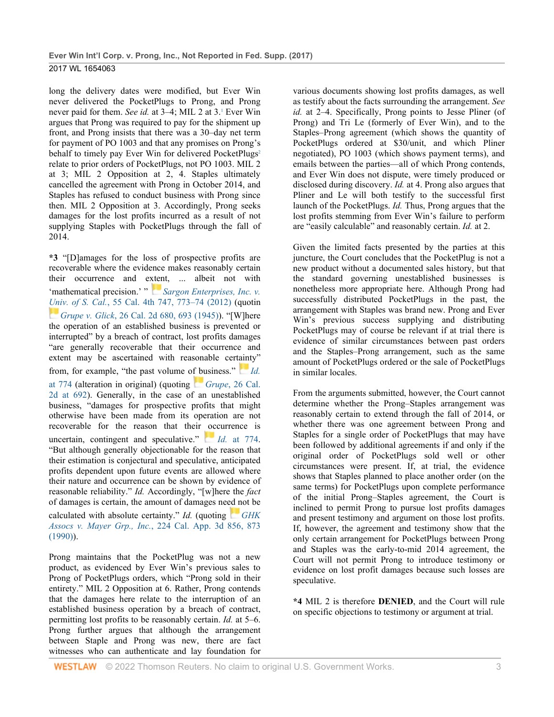long the delivery dates were modified, but Ever Win never delivered the PocketPlugs to Prong, and Prong never paid for them. *See id.* at 3–4; MIL 2 at 3.1 Ever Win argues that Prong was required to pay for the shipment up front, and Prong insists that there was a 30–day net term for payment of PO 1003 and that any promises on Prong's behalf to timely pay Ever Win for delivered PocketPlugs<sup>2</sup> relate to prior orders of PocketPlugs, not PO 1003. MIL 2 at 3; MIL 2 Opposition at 2, 4. Staples ultimately cancelled the agreement with Prong in October 2014, and Staples has refused to conduct business with Prong since then. MIL 2 Opposition at 3. Accordingly, Prong seeks damages for the lost profits incurred as a result of not supplying Staples with PocketPlugs through the fall of 2014.

**\*3** "[D]amages for the loss of prospective profits are recoverable where the evidence makes reasonably certain their occurrence and e[xten](https://1.next.westlaw.com/Link/RelatedInformation/Flag?documentGuid=I1316b47637f011e280719c3f0e80bdd0&transitionType=InlineKeyCiteFlags&originationContext=docHeaderFlag&Rank=0&ppcid=a24eddc121004246a04311a335df4ada&contextData=(sc.UserEnteredCitation))t, ... albeit not with 'mathematical precision.' " *Sargon Enterprises, Inc. v. [Uni](https://1.next.westlaw.com/Link/RelatedInformation/Flag?documentGuid=I25983e31fad611d9b386b232635db992&transitionType=InlineKeyCiteFlags&originationContext=docHeaderFlag&Rank=0&ppcid=a24eddc121004246a04311a335df4ada&contextData=(sc.UserEnteredCitation))v. of S. Cal.*[, 55 Cal. 4th 747, 773–74 \(2012\)](http://www.westlaw.com/Link/Document/FullText?findType=Y&serNum=2029268209&pubNum=0004040&originatingDoc=I4c52e110300111e79eadef7f77b52ba6&refType=RP&fi=co_pp_sp_4040_773&originationContext=document&vr=3.0&rs=cblt1.0&transitionType=DocumentItem&contextData=(sc.UserEnteredCitation)#co_pp_sp_4040_773) (quotin *[G](https://1.next.westlaw.com/Link/RelatedInformation/Flag?documentGuid=I25983e31fad611d9b386b232635db992&transitionType=InlineKeyCiteFlags&originationContext=docHeaderFlag&Rank=0&ppcid=a24eddc121004246a04311a335df4ada&contextData=(sc.UserEnteredCitation))rupe v. Glick*[, 26 Cal. 2d 680, 693 \(1945\)\)](http://www.westlaw.com/Link/Document/FullText?findType=Y&serNum=1945112024&pubNum=0000231&originatingDoc=I4c52e110300111e79eadef7f77b52ba6&refType=RP&fi=co_pp_sp_231_693&originationContext=document&vr=3.0&rs=cblt1.0&transitionType=DocumentItem&contextData=(sc.UserEnteredCitation)#co_pp_sp_231_693). "[W]here the operation of an established business is prevented or interrupted" by a breach of contract, lost profits damages "are generally recoverable that their occurrence and extent may be ascertained with reasonable cert[aint](https://1.next.westlaw.com/Link/RelatedInformation/Flag?documentGuid=I1316b47637f011e280719c3f0e80bdd0&transitionType=InlineKeyCiteFlags&originationContext=docHeaderFlag&Rank=0&ppcid=a24eddc121004246a04311a335df4ada&contextData=(sc.UserEnteredCitation))y" from, for example, "the past volume o[f bu](https://1.next.westlaw.com/Link/RelatedInformation/Flag?documentGuid=I25983e31fad611d9b386b232635db992&transitionType=InlineKeyCiteFlags&originationContext=docHeaderFlag&Rank=0&ppcid=a24eddc121004246a04311a335df4ada&contextData=(sc.UserEnteredCitation))siness." *[Id.](http://www.westlaw.com/Link/Document/FullText?findType=Y&serNum=2029268209&pubNum=0004040&originatingDoc=I4c52e110300111e79eadef7f77b52ba6&refType=RP&fi=co_pp_sp_4040_774&originationContext=document&vr=3.0&rs=cblt1.0&transitionType=DocumentItem&contextData=(sc.UserEnteredCitation)#co_pp_sp_4040_774)* [at 774](http://www.westlaw.com/Link/Document/FullText?findType=Y&serNum=2029268209&pubNum=0004040&originatingDoc=I4c52e110300111e79eadef7f77b52ba6&refType=RP&fi=co_pp_sp_4040_774&originationContext=document&vr=3.0&rs=cblt1.0&transitionType=DocumentItem&contextData=(sc.UserEnteredCitation)#co_pp_sp_4040_774) (alteration in original) (quoting *[G](https://1.next.westlaw.com/Link/RelatedInformation/Flag?documentGuid=I25983e31fad611d9b386b232635db992&transitionType=InlineKeyCiteFlags&originationContext=docHeaderFlag&Rank=0&ppcid=a24eddc121004246a04311a335df4ada&contextData=(sc.UserEnteredCitation))rupe*[, 26 Cal.](http://www.westlaw.com/Link/Document/FullText?findType=Y&serNum=1945112024&pubNum=0000231&originatingDoc=I4c52e110300111e79eadef7f77b52ba6&refType=RP&fi=co_pp_sp_231_692&originationContext=document&vr=3.0&rs=cblt1.0&transitionType=DocumentItem&contextData=(sc.UserEnteredCitation)#co_pp_sp_231_692)  [2d at 692\)](http://www.westlaw.com/Link/Document/FullText?findType=Y&serNum=1945112024&pubNum=0000231&originatingDoc=I4c52e110300111e79eadef7f77b52ba6&refType=RP&fi=co_pp_sp_231_692&originationContext=document&vr=3.0&rs=cblt1.0&transitionType=DocumentItem&contextData=(sc.UserEnteredCitation)#co_pp_sp_231_692). Generally, in the case of an unestablished business, "damages for prospective profits that might otherwise have been made from its operation are not recoverable for the reason that their [oc](https://1.next.westlaw.com/Link/RelatedInformation/Flag?documentGuid=I1316b47637f011e280719c3f0e80bdd0&transitionType=InlineKeyCiteFlags&originationContext=docHeaderFlag&Rank=0&ppcid=a24eddc121004246a04311a335df4ada&contextData=(sc.UserEnteredCitation))currence is uncertain, contingent and speculative." *[I](https://1.next.westlaw.com/Link/RelatedInformation/Flag?documentGuid=I1316b47637f011e280719c3f0e80bdd0&transitionType=InlineKeyCiteFlags&originationContext=docHeaderFlag&Rank=0&ppcid=a24eddc121004246a04311a335df4ada&contextData=(sc.UserEnteredCitation))d.* [at 774.](http://www.westlaw.com/Link/Document/FullText?findType=Y&serNum=2029268209&pubNum=0004040&originatingDoc=I4c52e110300111e79eadef7f77b52ba6&refType=RP&fi=co_pp_sp_4040_774&originationContext=document&vr=3.0&rs=cblt1.0&transitionType=DocumentItem&contextData=(sc.UserEnteredCitation)#co_pp_sp_4040_774)  "But although generally objectionable for the reason that their estimation is conjectural and speculative, anticipated profits dependent upon future events are allowed where their nature and occurrence can be shown by evidence of reasonable reliability." *Id.* Accordingly, "[w]here the *fact* of damages is certain, the amount of damages ne[ed n](https://1.next.westlaw.com/Link/RelatedInformation/Flag?documentGuid=I134d17d5fabe11d983e7e9deff98dc6f&transitionType=InlineKeyCiteFlags&originationContext=docHeaderFlag&Rank=0&ppcid=a24eddc121004246a04311a335df4ada&contextData=(sc.UserEnteredCitation))ot be calculated with absolute certainty." *Id.* (quoting *[GHK](http://www.westlaw.com/Link/Document/FullText?findType=Y&serNum=1990148954&pubNum=0000226&originatingDoc=I4c52e110300111e79eadef7f77b52ba6&refType=RP&fi=co_pp_sp_226_873&originationContext=document&vr=3.0&rs=cblt1.0&transitionType=DocumentItem&contextData=(sc.UserEnteredCitation)#co_pp_sp_226_873)  Assocs v. Mayer Grp., Inc.*[, 224 Cal. App. 3d 856, 873](http://www.westlaw.com/Link/Document/FullText?findType=Y&serNum=1990148954&pubNum=0000226&originatingDoc=I4c52e110300111e79eadef7f77b52ba6&refType=RP&fi=co_pp_sp_226_873&originationContext=document&vr=3.0&rs=cblt1.0&transitionType=DocumentItem&contextData=(sc.UserEnteredCitation)#co_pp_sp_226_873)  [\(1990\)\)](http://www.westlaw.com/Link/Document/FullText?findType=Y&serNum=1990148954&pubNum=0000226&originatingDoc=I4c52e110300111e79eadef7f77b52ba6&refType=RP&fi=co_pp_sp_226_873&originationContext=document&vr=3.0&rs=cblt1.0&transitionType=DocumentItem&contextData=(sc.UserEnteredCitation)#co_pp_sp_226_873).

Prong maintains that the PocketPlug was not a new product, as evidenced by Ever Win's previous sales to Prong of PocketPlugs orders, which "Prong sold in their entirety." MIL 2 Opposition at 6. Rather, Prong contends that the damages here relate to the interruption of an established business operation by a breach of contract, permitting lost profits to be reasonably certain. *Id.* at 5–6. Prong further argues that although the arrangement between Staple and Prong was new, there are fact witnesses who can authenticate and lay foundation for various documents showing lost profits damages, as well as testify about the facts surrounding the arrangement. *See id.* at 2–4. Specifically, Prong points to Jesse Pliner (of Prong) and Tri Le (formerly of Ever Win), and to the Staples–Prong agreement (which shows the quantity of PocketPlugs ordered at \$30/unit, and which Pliner negotiated), PO 1003 (which shows payment terms), and emails between the parties—all of which Prong contends, and Ever Win does not dispute, were timely produced or disclosed during discovery. *Id.* at 4. Prong also argues that Pliner and Le will both testify to the successful first launch of the PocketPlugs. *Id.* Thus, Prong argues that the lost profits stemming from Ever Win's failure to perform are "easily calculable" and reasonably certain. *Id.* at 2.

Given the limited facts presented by the parties at this juncture, the Court concludes that the PocketPlug is not a new product without a documented sales history, but that the standard governing unestablished businesses is nonetheless more appropriate here. Although Prong had successfully distributed PocketPlugs in the past, the arrangement with Staples was brand new. Prong and Ever Win's previous success supplying and distributing PocketPlugs may of course be relevant if at trial there is evidence of similar circumstances between past orders and the Staples–Prong arrangement, such as the same amount of PocketPlugs ordered or the sale of PocketPlugs in similar locales.

From the arguments submitted, however, the Court cannot determine whether the Prong–Staples arrangement was reasonably certain to extend through the fall of 2014, or whether there was one agreement between Prong and Staples for a single order of PocketPlugs that may have been followed by additional agreements if and only if the original order of PocketPlugs sold well or other circumstances were present. If, at trial, the evidence shows that Staples planned to place another order (on the same terms) for PocketPlugs upon complete performance of the initial Prong–Staples agreement, the Court is inclined to permit Prong to pursue lost profits damages and present testimony and argument on those lost profits. If, however, the agreement and testimony show that the only certain arrangement for PocketPlugs between Prong and Staples was the early-to-mid 2014 agreement, the Court will not permit Prong to introduce testimony or evidence on lost profit damages because such losses are speculative.

**\*4** MIL 2 is therefore **DENIED**, and the Court will rule on specific objections to testimony or argument at trial.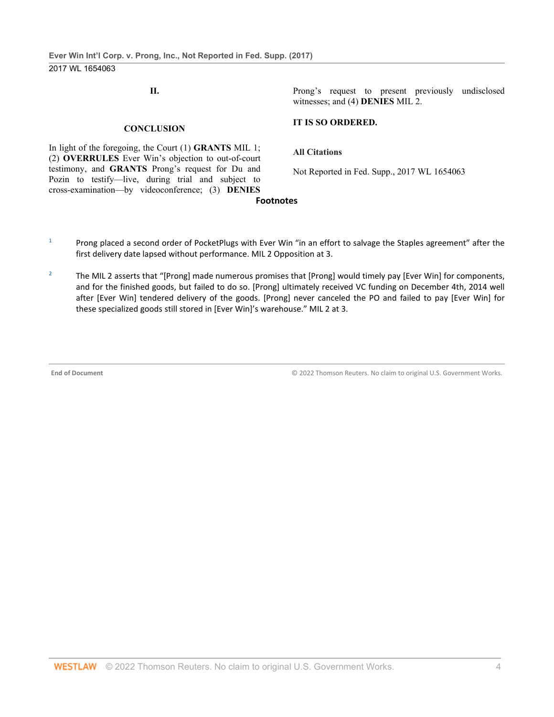**II.**

Prong's request to present previously undisclosed witnesses; and (4) **DENIES** MIL 2.

#### **CONCLUSION**

In light of the foregoing, the Court (1) **GRANTS** MIL 1; (2) **OVERRULES** Ever Win's objection to out-of-court testimony, and **GRANTS** Prong's request for Du and Pozin to testify—live, during trial and subject to cross-examination—by videoconference; (3) **DENIES**

# **IT IS SO ORDERED.**

**All Citations**

Not Reported in Fed. Supp., 2017 WL 1654063

#### **Footnotes**

- <sup>1</sup> Prong placed a second order of PocketPlugs with Ever Win "in an effort to salvage the Staples agreement" after the first delivery date lapsed without performance. MIL 2 Opposition at 3.
- <sup>2</sup> The MIL 2 asserts that "[Prong] made numerous promises that [Prong] would timely pay [Ever Win] for components, and for the finished goods, but failed to do so. [Prong] ultimately received VC funding on December 4th, 2014 well after [Ever Win] tendered delivery of the goods. [Prong] never canceled the PO and failed to pay [Ever Win] for these specialized goods still stored in [Ever Win]'s warehouse." MIL 2 at 3.

**End of Document** © 2022 Thomson Reuters. No claim to original U.S. Government Works.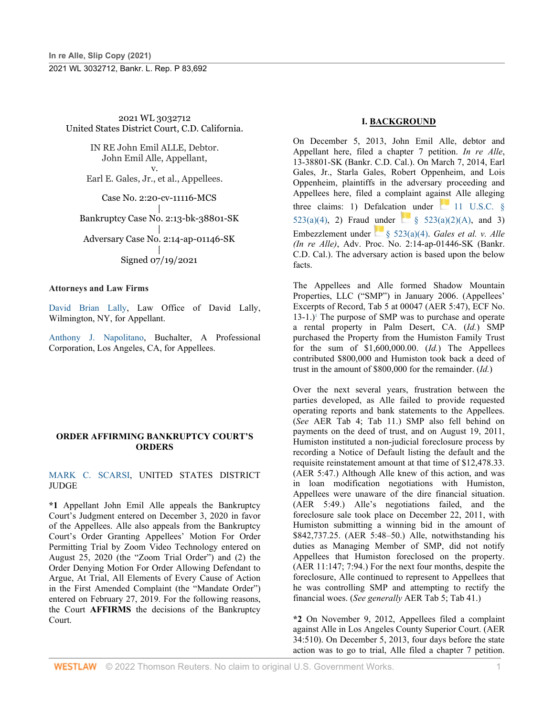2021 WL 3032712 United States District Court, C.D. California.

> IN RE John Emil ALLE, Debtor. John Emil Alle, Appellant, v.

> Earl E. Gales, Jr., et al., Appellees.

Case No. 2:20-cv-11116-MCS |

Bankruptcy Case No. 2:13-bk-38801-SK

| Adversary Case No. 2:14-ap-01146-SK

> | Signed 07/19/2021

#### **Attorneys and Law Firms**

[David Brian Lally,](http://www.westlaw.com/Link/Document/FullText?findType=h&pubNum=176284&cite=0196401501&originatingDoc=I61368f50e91611eba48ad8c74eab983c&refType=RQ&originationContext=document&vr=3.0&rs=cblt1.0&transitionType=DocumentItem&contextData=(sc.UserEnteredCitation)) Law Office of David Lally, Wilmington, NY, for Appellant.

[Anthony J. Napolitano,](http://www.westlaw.com/Link/Document/FullText?findType=h&pubNum=176284&cite=0335109401&originatingDoc=I61368f50e91611eba48ad8c74eab983c&refType=RQ&originationContext=document&vr=3.0&rs=cblt1.0&transitionType=DocumentItem&contextData=(sc.UserEnteredCitation)) Buchalter, A Professional Corporation, Los Angeles, CA, for Appellees.

#### **ORDER AFFIRMING BANKRUPTCY COURT'S ORDERS**

[MARK C. SCARSI,](http://www.westlaw.com/Link/Document/FullText?findType=h&pubNum=176284&cite=0521411401&originatingDoc=I61368f50e91611eba48ad8c74eab983c&refType=RQ&originationContext=document&vr=3.0&rs=cblt1.0&transitionType=DocumentItem&contextData=(sc.UserEnteredCitation)) UNITED STATES DISTRICT JUDGE

**\*1** Appellant John Emil Alle appeals the Bankruptcy Court's Judgment entered on December 3, 2020 in favor of the Appellees. Alle also appeals from the Bankruptcy Court's Order Granting Appellees' Motion For Order Permitting Trial by Zoom Video Technology entered on August 25, 2020 (the "Zoom Trial Order") and (2) the Order Denying Motion For Order Allowing Defendant to Argue, At Trial, All Elements of Every Cause of Action in the First Amended Complaint (the "Mandate Order") entered on February 27, 2019. For the following reasons, the Court **AFFIRMS** the decisions of the Bankruptcy Court.

## **I. BACKGROUND**

On December 5, 2013, John Emil Alle, debtor and Appellant here, filed a chapter 7 petition. *In re Alle*, 13-38801-SK (Bankr. C.D. Cal.). On March 7, 2014, Earl Gales, Jr., Starla Gales, Robert Oppenheim, and Lois Oppenheim, plaintiffs in the adversary proceeding and Appellees here, filed a complaint against Alle alleging three claims: 1) Defalcation under  $\Box$  11 U.S.C. § [523\(a\)\(4\),](http://www.westlaw.com/Link/Document/FullText?findType=L&pubNum=1000546&cite=11USCAS523&originatingDoc=I61368f50e91611eba48ad8c74eab983c&refType=RB&originationContext=document&vr=3.0&rs=cblt1.0&transitionType=DocumentItem&contextData=(sc.UserEnteredCitation)#co_pp_d40e000072291) 2) Fraud under  $\frac{1}{5}$  [§ 523\(a\)\(2\)\(A\),](http://www.westlaw.com/Link/Document/FullText?findType=L&pubNum=1000546&cite=11USCAS523&originatingDoc=I61368f50e91611eba48ad8c74eab983c&refType=RB&originationContext=document&vr=3.0&rs=cblt1.0&transitionType=DocumentItem&contextData=(sc.UserEnteredCitation)#co_pp_b5120000f7a05) and 3) Embezzlement under [§ 523\(a\)\(4\).](http://www.westlaw.com/Link/Document/FullText?findType=L&pubNum=1000546&cite=11USCAS523&originatingDoc=I61368f50e91611eba48ad8c74eab983c&refType=RB&originationContext=document&vr=3.0&rs=cblt1.0&transitionType=DocumentItem&contextData=(sc.UserEnteredCitation)#co_pp_d40e000072291) *Gales et al. v. Alle (In re Alle)*, Adv. Proc. No. 2:14-ap-01446-SK (Bankr. C.D. Cal.). The adversary action is based upon the below facts.

The Appellees and Alle formed Shadow Mountain Properties, LLC ("SMP") in January 2006. (Appellees' Excerpts of Record, Tab 5 at 00047 (AER 5:47), ECF No.  $13-1.$ <sup>1</sup> The purpose of SMP was to purchase and operate a rental property in Palm Desert, CA. (*Id.*) SMP purchased the Property from the Humiston Family Trust for the sum of \$1,600,000.00. (*Id.*) The Appellees contributed \$800,000 and Humiston took back a deed of trust in the amount of \$800,000 for the remainder. (*Id.*)

Over the next several years, frustration between the parties developed, as Alle failed to provide requested operating reports and bank statements to the Appellees. (*See* AER Tab 4; Tab 11.) SMP also fell behind on payments on the deed of trust, and on August 19, 2011, Humiston instituted a non-judicial foreclosure process by recording a Notice of Default listing the default and the requisite reinstatement amount at that time of \$12,478.33. (AER 5:47.) Although Alle knew of this action, and was in loan modification negotiations with Humiston, Appellees were unaware of the dire financial situation. (AER 5:49.) Alle's negotiations failed, and the foreclosure sale took place on December 22, 2011, with Humiston submitting a winning bid in the amount of \$842,737.25. (AER 5:48–50.) Alle, notwithstanding his duties as Managing Member of SMP, did not notify Appellees that Humiston foreclosed on the property. (AER 11:147; 7:94.) For the next four months, despite the foreclosure, Alle continued to represent to Appellees that he was controlling SMP and attempting to rectify the financial woes. (*See generally* AER Tab 5; Tab 41.)

**\*2** On November 9, 2012, Appellees filed a complaint against Alle in Los Angeles County Superior Court. (AER 34:510). On December 5, 2013, four days before the state action was to go to trial, Alle filed a chapter 7 petition.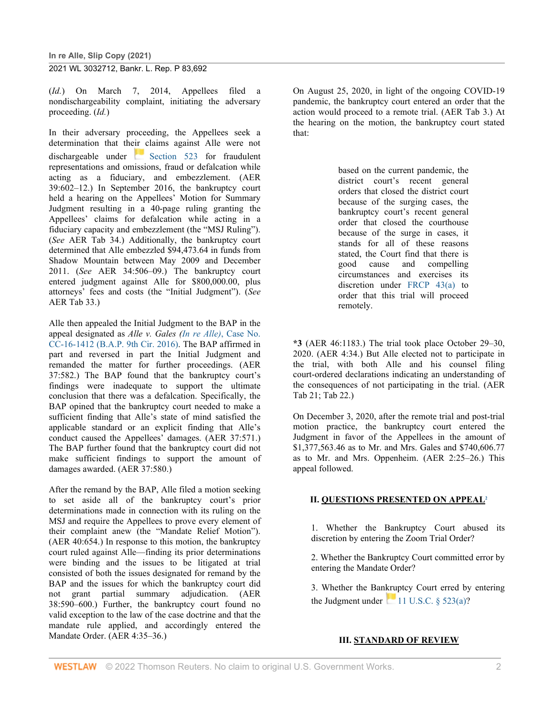(*Id.*) On March 7, 2014, Appellees filed a nondischargeability complaint, initiating the adversary proceeding. (*Id.*)

In their adversary proceeding, the Appellees seek a determination that their claims against Alle were not dischargeable under [Section 523](http://www.westlaw.com/Link/Document/FullText?findType=L&pubNum=1000546&cite=11USCAS523&originatingDoc=I61368f50e91611eba48ad8c74eab983c&refType=LQ&originationContext=document&vr=3.0&rs=cblt1.0&transitionType=DocumentItem&contextData=(sc.UserEnteredCitation)) for fraudulent representations and omissions, fraud or defalcation while acting as a fiduciary, and embezzlement. (AER 39:602–12.) In September 2016, the bankruptcy court held a hearing on the Appellees' Motion for Summary Judgment resulting in a 40-page ruling granting the Appellees' claims for defalcation while acting in a fiduciary capacity and embezzlement (the "MSJ Ruling"). (*See* AER Tab 34.) Additionally, the bankruptcy court determined that Alle embezzled \$94,473.64 in funds from Shadow Mountain between May 2009 and December 2011. (*See* AER 34:506–09.) The bankruptcy court entered judgment against Alle for \$800,000.00, plus attorneys' fees and costs (the "Initial Judgment"). (*See* AER Tab 33.)

Alle then appealed the Initial Judgment to the BAP in the appeal designated as *Alle v. Gales (In re Alle)*[, Case No.](http://www.westlaw.com/Link/Document/FullText?findType=Y&serNum=2042941077&pubNum=0004031&originatingDoc=I61368f50e91611eba48ad8c74eab983c&refType=RP&originationContext=document&vr=3.0&rs=cblt1.0&transitionType=DocumentItem&contextData=(sc.UserEnteredCitation))  [CC-16-1412 \(B.A.P. 9th Cir. 2016\).](http://www.westlaw.com/Link/Document/FullText?findType=Y&serNum=2042941077&pubNum=0004031&originatingDoc=I61368f50e91611eba48ad8c74eab983c&refType=RP&originationContext=document&vr=3.0&rs=cblt1.0&transitionType=DocumentItem&contextData=(sc.UserEnteredCitation)) The BAP affirmed in part and reversed in part the Initial Judgment and remanded the matter for further proceedings. (AER 37:582.) The BAP found that the bankruptcy court's findings were inadequate to support the ultimate conclusion that there was a defalcation. Specifically, the BAP opined that the bankruptcy court needed to make a sufficient finding that Alle's state of mind satisfied the applicable standard or an explicit finding that Alle's conduct caused the Appellees' damages. (AER 37:571.) The BAP further found that the bankruptcy court did not make sufficient findings to support the amount of damages awarded. (AER 37:580.)

After the remand by the BAP, Alle filed a motion seeking to set aside all of the bankruptcy court's prior determinations made in connection with its ruling on the MSJ and require the Appellees to prove every element of their complaint anew (the "Mandate Relief Motion"). (AER 40:654.) In response to this motion, the bankruptcy court ruled against Alle—finding its prior determinations were binding and the issues to be litigated at trial consisted of both the issues designated for remand by the BAP and the issues for which the bankruptcy court did not grant partial summary adjudication. (AER 38:590–600.) Further, the bankruptcy court found no valid exception to the law of the case doctrine and that the mandate rule applied, and accordingly entered the Mandate Order. (AER 4:35–36.)

On August 25, 2020, in light of the ongoing COVID-19 pandemic, the bankruptcy court entered an order that the action would proceed to a remote trial. (AER Tab 3.) At the hearing on the motion, the bankruptcy court stated that:

> based on the current pandemic, the district court's recent general orders that closed the district court because of the surging cases, the bankruptcy court's recent general order that closed the courthouse because of the surge in cases, it stands for all of these reasons stated, the Court find that there is<br>good cause and compelling good cause circumstances and exercises its discretion under [FRCP 43\(a\)](http://www.westlaw.com/Link/Document/FullText?findType=L&pubNum=1000600&cite=USFRCPR43&originatingDoc=I61368f50e91611eba48ad8c74eab983c&refType=LQ&originationContext=document&vr=3.0&rs=cblt1.0&transitionType=DocumentItem&contextData=(sc.UserEnteredCitation)) to order that this trial will proceed remotely.

**\*3** (AER 46:1183.) The trial took place October 29–30, 2020. (AER 4:34.) But Alle elected not to participate in the trial, with both Alle and his counsel filing court-ordered declarations indicating an understanding of the consequences of not participating in the trial. (AER Tab 21; Tab 22.)

On December 3, 2020, after the remote trial and post-trial motion practice, the bankruptcy court entered the Judgment in favor of the Appellees in the amount of \$1,377,563.46 as to Mr. and Mrs. Gales and \$740,606.77 as to Mr. and Mrs. Oppenheim. (AER 2:25–26.) This appeal followed.

#### **II. QUESTIONS PRESENTED ON APPEAL2**

1. Whether the Bankruptcy Court abused its discretion by entering the Zoom Trial Order?

2. Whether the Bankruptcy Court committed error by entering the Mandate Order?

3. Whether the Bankruptcy Court erred by entering the Judgment under  $11$  U.S.C. § 523(a)?

#### **III. STANDARD OF REVIEW**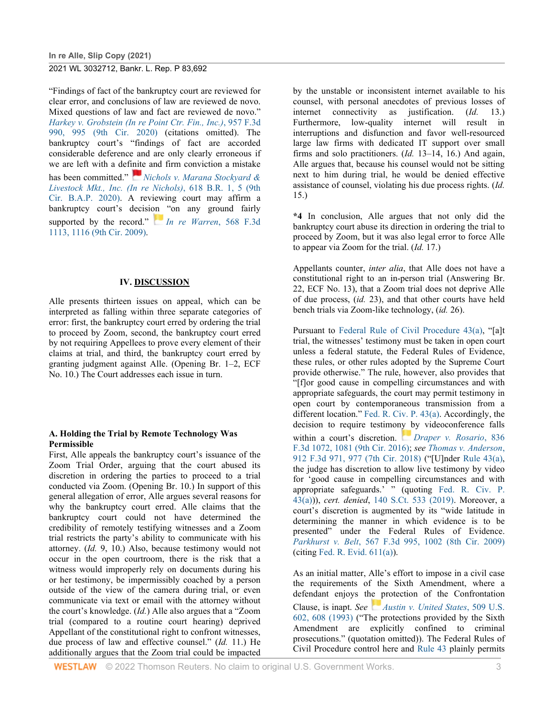"Findings of fact of the bankruptcy court are reviewed for clear error, and conclusions of law are reviewed de novo. Mixed questions of law and fact are reviewed de novo." *[Harkey v. Grobstein \(In re Point Ctr. Fin., Inc.\)](http://www.westlaw.com/Link/Document/FullText?findType=Y&serNum=2050860460&pubNum=0000506&originatingDoc=I61368f50e91611eba48ad8c74eab983c&refType=RP&fi=co_pp_sp_506_995&originationContext=document&vr=3.0&rs=cblt1.0&transitionType=DocumentItem&contextData=(sc.UserEnteredCitation)#co_pp_sp_506_995)*, 957 F.3d [990, 995 \(9th Cir. 2020\)](http://www.westlaw.com/Link/Document/FullText?findType=Y&serNum=2050860460&pubNum=0000506&originatingDoc=I61368f50e91611eba48ad8c74eab983c&refType=RP&fi=co_pp_sp_506_995&originationContext=document&vr=3.0&rs=cblt1.0&transitionType=DocumentItem&contextData=(sc.UserEnteredCitation)#co_pp_sp_506_995) (citations omitted). The bankruptcy court's "findings of fact are accorded considerable deference and are only clearly erroneous if we are left with a def[inite](https://1.next.westlaw.com/Link/RelatedInformation/Flag?documentGuid=I31da6b90dd3311eabaabff88df14112a&transitionType=InlineKeyCiteFlags&originationContext=docHeaderFlag&Rank=0&ppcid=585069859eeb4b7a9933a3df0a76febd&contextData=(sc.UserEnteredCitation)) and firm conviction a mistake has been committed." *[Nichols v. Marana Stockyard &](http://www.westlaw.com/Link/Document/FullText?findType=Y&serNum=2051637248&pubNum=0000164&originatingDoc=I61368f50e91611eba48ad8c74eab983c&refType=RP&fi=co_pp_sp_164_5&originationContext=document&vr=3.0&rs=cblt1.0&transitionType=DocumentItem&contextData=(sc.UserEnteredCitation)#co_pp_sp_164_5)  [Livestock Mkt., Inc. \(In re Nichols\)](http://www.westlaw.com/Link/Document/FullText?findType=Y&serNum=2051637248&pubNum=0000164&originatingDoc=I61368f50e91611eba48ad8c74eab983c&refType=RP&fi=co_pp_sp_164_5&originationContext=document&vr=3.0&rs=cblt1.0&transitionType=DocumentItem&contextData=(sc.UserEnteredCitation)#co_pp_sp_164_5)*, 618 B.R. 1, 5 (9th [Cir. B.A.P. 2020\).](http://www.westlaw.com/Link/Document/FullText?findType=Y&serNum=2051637248&pubNum=0000164&originatingDoc=I61368f50e91611eba48ad8c74eab983c&refType=RP&fi=co_pp_sp_164_5&originationContext=document&vr=3.0&rs=cblt1.0&transitionType=DocumentItem&contextData=(sc.UserEnteredCitation)#co_pp_sp_164_5) A reviewing court may affirm a bankruptcy court's decisi[on](https://1.next.westlaw.com/Link/RelatedInformation/Flag?documentGuid=Ic81c84d25c4311deabded03f2b83b8a4&transitionType=InlineKeyCiteFlags&originationContext=docHeaderFlag&Rank=0&ppcid=585069859eeb4b7a9933a3df0a76febd&contextData=(sc.UserEnteredCitation)) "on any ground fairly supported by the record." *[In re Warren](http://www.westlaw.com/Link/Document/FullText?findType=Y&serNum=2019149817&pubNum=0000506&originatingDoc=I61368f50e91611eba48ad8c74eab983c&refType=RP&fi=co_pp_sp_506_1116&originationContext=document&vr=3.0&rs=cblt1.0&transitionType=DocumentItem&contextData=(sc.UserEnteredCitation)#co_pp_sp_506_1116)*, 568 F.3d [1113, 1116 \(9th Cir. 2009\).](http://www.westlaw.com/Link/Document/FullText?findType=Y&serNum=2019149817&pubNum=0000506&originatingDoc=I61368f50e91611eba48ad8c74eab983c&refType=RP&fi=co_pp_sp_506_1116&originationContext=document&vr=3.0&rs=cblt1.0&transitionType=DocumentItem&contextData=(sc.UserEnteredCitation)#co_pp_sp_506_1116)

#### **IV. DISCUSSION**

Alle presents thirteen issues on appeal, which can be interpreted as falling within three separate categories of error: first, the bankruptcy court erred by ordering the trial to proceed by Zoom, second, the bankruptcy court erred by not requiring Appellees to prove every element of their claims at trial, and third, the bankruptcy court erred by granting judgment against Alle. (Opening Br. 1–2, ECF No. 10.) The Court addresses each issue in turn.

#### **A. Holding the Trial by Remote Technology Was Permissible**

First, Alle appeals the bankruptcy court's issuance of the Zoom Trial Order, arguing that the court abused its discretion in ordering the parties to proceed to a trial conducted via Zoom. (Opening Br. 10.) In support of this general allegation of error, Alle argues several reasons for why the bankruptcy court erred. Alle claims that the bankruptcy court could not have determined the credibility of remotely testifying witnesses and a Zoom trial restricts the party's ability to communicate with his attorney. (*Id.* 9, 10.) Also, because testimony would not occur in the open courtroom, there is the risk that a witness would improperly rely on documents during his or her testimony, be impermissibly coached by a person outside of the view of the camera during trial, or even communicate via text or email with the attorney without the court's knowledge. (*Id.*) Alle also argues that a "Zoom trial (compared to a routine court hearing) deprived Appellant of the constitutional right to confront witnesses, due process of law and effective counsel." (*Id.* 11.) He additionally argues that the Zoom trial could be impacted

by the unstable or inconsistent internet available to his counsel, with personal anecdotes of previous losses of internet connectivity as justification. (*Id.* 13.) Furthermore, low-quality internet will result in interruptions and disfunction and favor well-resourced large law firms with dedicated IT support over small firms and solo practitioners. (*Id.* 13–14, 16.) And again, Alle argues that, because his counsel would not be sitting next to him during trial, he would be denied effective assistance of counsel, violating his due process rights. (*Id.* 15.)

**\*4** In conclusion, Alle argues that not only did the bankruptcy court abuse its direction in ordering the trial to proceed by Zoom, but it was also legal error to force Alle to appear via Zoom for the trial. (*Id.* 17.)

Appellants counter, *inter alia*, that Alle does not have a constitutional right to an in-person trial (Answering Br. 22, ECF No. 13), that a Zoom trial does not deprive Alle of due process, (*id.* 23), and that other courts have held bench trials via Zoom-like technology, (*id.* 26).

Pursuant to [Federal Rule of Civil Procedure 43\(a\),](http://www.westlaw.com/Link/Document/FullText?findType=L&pubNum=1000600&cite=USFRCPR43&originatingDoc=I61368f50e91611eba48ad8c74eab983c&refType=LQ&originationContext=document&vr=3.0&rs=cblt1.0&transitionType=DocumentItem&contextData=(sc.UserEnteredCitation)) "[a]t trial, the witnesses' testimony must be taken in open court unless a federal statute, the Federal Rules of Evidence, these rules, or other rules adopted by the Supreme Court provide otherwise." The rule, however, also provides that "[f]or good cause in compelling circumstances and with appropriate safeguards, the court may permit testimony in open court by contemporaneous transmission from a different location." [Fed. R. Civ. P. 43\(a\).](http://www.westlaw.com/Link/Document/FullText?findType=L&pubNum=1000600&cite=USFRCPR43&originatingDoc=I61368f50e91611eba48ad8c74eab983c&refType=LQ&originationContext=document&vr=3.0&rs=cblt1.0&transitionType=DocumentItem&contextData=(sc.UserEnteredCitation)) Accordingly, the decision to require testimon[y b](https://1.next.westlaw.com/Link/RelatedInformation/Flag?documentGuid=I766a97f0756611e69e6ceb9009bbadab&transitionType=InlineKeyCiteFlags&originationContext=docHeaderFlag&Rank=0&ppcid=585069859eeb4b7a9933a3df0a76febd&contextData=(sc.UserEnteredCitation))y videoconference falls within a court's discretion. *[Draper v. Rosario](http://www.westlaw.com/Link/Document/FullText?findType=Y&serNum=2039720017&pubNum=0000506&originatingDoc=I61368f50e91611eba48ad8c74eab983c&refType=RP&fi=co_pp_sp_506_1081&originationContext=document&vr=3.0&rs=cblt1.0&transitionType=DocumentItem&contextData=(sc.UserEnteredCitation)#co_pp_sp_506_1081)*, 836 [F.3d 1072, 1081 \(9th Cir. 2016\);](http://www.westlaw.com/Link/Document/FullText?findType=Y&serNum=2039720017&pubNum=0000506&originatingDoc=I61368f50e91611eba48ad8c74eab983c&refType=RP&fi=co_pp_sp_506_1081&originationContext=document&vr=3.0&rs=cblt1.0&transitionType=DocumentItem&contextData=(sc.UserEnteredCitation)#co_pp_sp_506_1081) *see [Thomas v. Anderson](http://www.westlaw.com/Link/Document/FullText?findType=Y&serNum=2047318278&pubNum=0000506&originatingDoc=I61368f50e91611eba48ad8c74eab983c&refType=RP&fi=co_pp_sp_506_977&originationContext=document&vr=3.0&rs=cblt1.0&transitionType=DocumentItem&contextData=(sc.UserEnteredCitation)#co_pp_sp_506_977)*, [912 F.3d 971, 977 \(7th Cir. 2018\)](http://www.westlaw.com/Link/Document/FullText?findType=Y&serNum=2047318278&pubNum=0000506&originatingDoc=I61368f50e91611eba48ad8c74eab983c&refType=RP&fi=co_pp_sp_506_977&originationContext=document&vr=3.0&rs=cblt1.0&transitionType=DocumentItem&contextData=(sc.UserEnteredCitation)#co_pp_sp_506_977) ("[U]nder [Rule 43\(a\),](http://www.westlaw.com/Link/Document/FullText?findType=L&pubNum=1000600&cite=USFRCPR43&originatingDoc=I61368f50e91611eba48ad8c74eab983c&refType=LQ&originationContext=document&vr=3.0&rs=cblt1.0&transitionType=DocumentItem&contextData=(sc.UserEnteredCitation))  the judge has discretion to allow live testimony by video for 'good cause in compelling circumstances and with appropriate safeguards.' " (quoting [Fed. R. Civ. P.](http://www.westlaw.com/Link/Document/FullText?findType=L&pubNum=1000600&cite=USFRCPR43&originatingDoc=I61368f50e91611eba48ad8c74eab983c&refType=LQ&originationContext=document&vr=3.0&rs=cblt1.0&transitionType=DocumentItem&contextData=(sc.UserEnteredCitation))  [43\(a\)\)](http://www.westlaw.com/Link/Document/FullText?findType=L&pubNum=1000600&cite=USFRCPR43&originatingDoc=I61368f50e91611eba48ad8c74eab983c&refType=LQ&originationContext=document&vr=3.0&rs=cblt1.0&transitionType=DocumentItem&contextData=(sc.UserEnteredCitation))), *cert. denied*, [140 S.Ct. 533 \(2019\).](http://www.westlaw.com/Link/Document/FullText?findType=Y&serNum=2049637447&pubNum=0000708&originatingDoc=I61368f50e91611eba48ad8c74eab983c&refType=RP&originationContext=document&vr=3.0&rs=cblt1.0&transitionType=DocumentItem&contextData=(sc.UserEnteredCitation)) Moreover, a court's discretion is augmented by its "wide latitude in determining the manner in which evidence is to be presented" under the Federal Rules of Evidence. *Parkhurst v. Belt*[, 567 F.3d 995, 1002 \(8th Cir. 2009\)](http://www.westlaw.com/Link/Document/FullText?findType=Y&serNum=2018994930&pubNum=0000506&originatingDoc=I61368f50e91611eba48ad8c74eab983c&refType=RP&fi=co_pp_sp_506_1002&originationContext=document&vr=3.0&rs=cblt1.0&transitionType=DocumentItem&contextData=(sc.UserEnteredCitation)#co_pp_sp_506_1002)  $(citing Fed. R. Evid. 611(a)).$  $(citing Fed. R. Evid. 611(a)).$  $(citing Fed. R. Evid. 611(a)).$ 

As an initial matter, Alle's effort to impose in a civil case the requirements of the Sixth Amendment, where a defendant enjoys t[he p](https://1.next.westlaw.com/Link/RelatedInformation/Flag?documentGuid=I822c8b779c7e11d9bdd1cfdd544ca3a4&transitionType=InlineKeyCiteFlags&originationContext=docHeaderFlag&Rank=0&ppcid=585069859eeb4b7a9933a3df0a76febd&contextData=(sc.UserEnteredCitation))rotection of the Confrontation Clause, is inapt. *See [Austin v. United States](http://www.westlaw.com/Link/Document/FullText?findType=Y&serNum=1993130661&pubNum=0000780&originatingDoc=I61368f50e91611eba48ad8c74eab983c&refType=RP&fi=co_pp_sp_780_608&originationContext=document&vr=3.0&rs=cblt1.0&transitionType=DocumentItem&contextData=(sc.UserEnteredCitation)#co_pp_sp_780_608)*, 509 U.S. [602, 608 \(1993\)](http://www.westlaw.com/Link/Document/FullText?findType=Y&serNum=1993130661&pubNum=0000780&originatingDoc=I61368f50e91611eba48ad8c74eab983c&refType=RP&fi=co_pp_sp_780_608&originationContext=document&vr=3.0&rs=cblt1.0&transitionType=DocumentItem&contextData=(sc.UserEnteredCitation)#co_pp_sp_780_608) ("The protections provided by the Sixth Amendment are explicitly confined to criminal prosecutions." (quotation omitted)). The Federal Rules of Civil Procedure control here and [Rule 43](http://www.westlaw.com/Link/Document/FullText?findType=L&pubNum=1000600&cite=USFRCPR43&originatingDoc=I61368f50e91611eba48ad8c74eab983c&refType=LQ&originationContext=document&vr=3.0&rs=cblt1.0&transitionType=DocumentItem&contextData=(sc.UserEnteredCitation)) plainly permits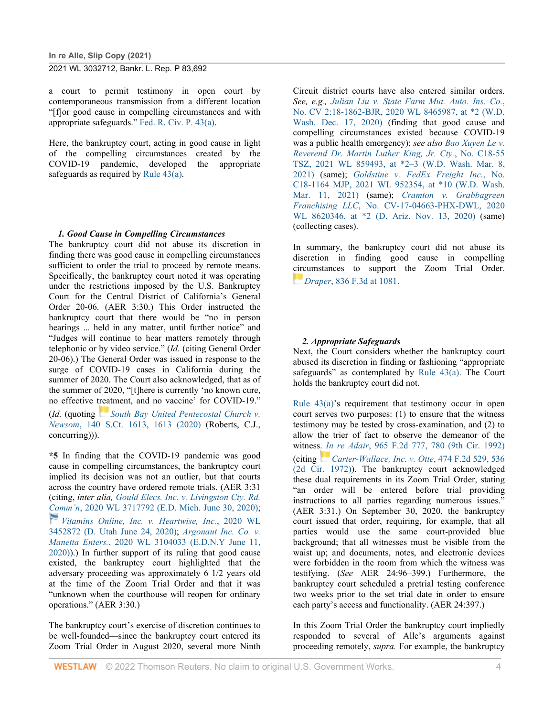a court to permit testimony in open court by contemporaneous transmission from a different location "[f]or good cause in compelling circumstances and with appropriate safeguards." [Fed. R. Civ. P. 43\(a\).](http://www.westlaw.com/Link/Document/FullText?findType=L&pubNum=1000600&cite=USFRCPR43&originatingDoc=I61368f50e91611eba48ad8c74eab983c&refType=LQ&originationContext=document&vr=3.0&rs=cblt1.0&transitionType=DocumentItem&contextData=(sc.UserEnteredCitation))

Here, the bankruptcy court, acting in good cause in light of the compelling circumstances created by the COVID-19 pandemic, developed the appropriate safeguards as required by [Rule 43\(a\).](http://www.westlaw.com/Link/Document/FullText?findType=L&pubNum=1000600&cite=USFRCPR43&originatingDoc=I61368f50e91611eba48ad8c74eab983c&refType=LQ&originationContext=document&vr=3.0&rs=cblt1.0&transitionType=DocumentItem&contextData=(sc.UserEnteredCitation))

#### *1. Good Cause in Compelling Circumstances*

The bankruptcy court did not abuse its discretion in finding there was good cause in compelling circumstances sufficient to order the trial to proceed by remote means. Specifically, the bankruptcy court noted it was operating under the restrictions imposed by the U.S. Bankruptcy Court for the Central District of California's General Order 20-06. (AER 3:30.) This Order instructed the bankruptcy court that there would be "no in person hearings ... held in any matter, until further notice" and "Judges will continue to hear matters remotely through telephonic or by video service." (*Id.* (citing General Order 20-06).) The General Order was issued in response to the surge of COVID-19 cases in California during the summer of 2020. The Court also acknowledged, that as of the summer of 2020, "[t]here is currently 'no known cure, no effective [treat](https://1.next.westlaw.com/Link/RelatedInformation/Flag?documentGuid=Ia98b747882f811ea80afece799150095&transitionType=InlineKeyCiteFlags&originationContext=docHeaderFlag&Rank=0&ppcid=585069859eeb4b7a9933a3df0a76febd&contextData=(sc.UserEnteredCitation))ment, and no vaccine' for COVID-19." (*Id.* (quoting *[South Bay United Pentecostal Church v.](http://www.westlaw.com/Link/Document/FullText?findType=Y&serNum=2051158884&pubNum=0000708&originatingDoc=I61368f50e91611eba48ad8c74eab983c&refType=RP&originationContext=document&vr=3.0&rs=cblt1.0&transitionType=DocumentItem&contextData=(sc.UserEnteredCitation))  Newsom*[, 140 S.Ct. 1613, 1613 \(2020\)](http://www.westlaw.com/Link/Document/FullText?findType=Y&serNum=2051158884&pubNum=0000708&originatingDoc=I61368f50e91611eba48ad8c74eab983c&refType=RP&originationContext=document&vr=3.0&rs=cblt1.0&transitionType=DocumentItem&contextData=(sc.UserEnteredCitation)) (Roberts, C.J., concurring))).

**\*5** In finding that the COVID-19 pandemic was good cause in compelling circumstances, the bankruptcy court implied its decision was not an outlier, but that courts across the country have ordered remote trials. (AER 3:31 (citing, *inter alia, [Gould Elecs. Inc. v. Livingston Cty. Rd.](http://www.westlaw.com/Link/Document/FullText?findType=Y&serNum=2051411787&pubNum=0000999&originatingDoc=I61368f50e91611eba48ad8c74eab983c&refType=RP&originationContext=document&vr=3.0&rs=cblt1.0&transitionType=DocumentItem&contextData=(sc.UserEnteredCitation))  [Com](https://1.next.westlaw.com/Link/RelatedInformation/Flag?documentGuid=If766a1e0b6d111ea93a0cf5da1431849&transitionType=InlineKeyCiteFlags&originationContext=docHeaderFlag&Rank=0&ppcid=585069859eeb4b7a9933a3df0a76febd&contextData=(sc.UserEnteredCitation))m'n*[, 2020 WL 3717792 \(E.D. Mich. June 30, 2020\);](http://www.westlaw.com/Link/Document/FullText?findType=Y&serNum=2051411787&pubNum=0000999&originatingDoc=I61368f50e91611eba48ad8c74eab983c&refType=RP&originationContext=document&vr=3.0&rs=cblt1.0&transitionType=DocumentItem&contextData=(sc.UserEnteredCitation)) *[Vitamins Online, Inc. v. Heartwise, Inc.](http://www.westlaw.com/Link/Document/FullText?findType=Y&serNum=2051326353&pubNum=0000999&originatingDoc=I61368f50e91611eba48ad8c74eab983c&refType=RP&originationContext=document&vr=3.0&rs=cblt1.0&transitionType=DocumentItem&contextData=(sc.UserEnteredCitation))*, 2020 WL [3452872 \(D. Utah June 24, 2020\);](http://www.westlaw.com/Link/Document/FullText?findType=Y&serNum=2051326353&pubNum=0000999&originatingDoc=I61368f50e91611eba48ad8c74eab983c&refType=RP&originationContext=document&vr=3.0&rs=cblt1.0&transitionType=DocumentItem&contextData=(sc.UserEnteredCitation)) *[Argonaut Inc. Co. v.](http://www.westlaw.com/Link/Document/FullText?findType=Y&serNum=2051246202&pubNum=0000999&originatingDoc=I61368f50e91611eba48ad8c74eab983c&refType=RP&originationContext=document&vr=3.0&rs=cblt1.0&transitionType=DocumentItem&contextData=(sc.UserEnteredCitation))  Manetta Enters.*[, 2020 WL 3104033 \(E.D.N.Y June 11,](http://www.westlaw.com/Link/Document/FullText?findType=Y&serNum=2051246202&pubNum=0000999&originatingDoc=I61368f50e91611eba48ad8c74eab983c&refType=RP&originationContext=document&vr=3.0&rs=cblt1.0&transitionType=DocumentItem&contextData=(sc.UserEnteredCitation))  [2020\)\)](http://www.westlaw.com/Link/Document/FullText?findType=Y&serNum=2051246202&pubNum=0000999&originatingDoc=I61368f50e91611eba48ad8c74eab983c&refType=RP&originationContext=document&vr=3.0&rs=cblt1.0&transitionType=DocumentItem&contextData=(sc.UserEnteredCitation)).) In further support of its ruling that good cause existed, the bankruptcy court highlighted that the adversary proceeding was approximately 6 1/2 years old at the time of the Zoom Trial Order and that it was "unknown when the courthouse will reopen for ordinary operations." (AER 3:30.)

The bankruptcy court's exercise of discretion continues to be well-founded—since the bankruptcy court entered its Zoom Trial Order in August 2020, several more Ninth Circuit district courts have also entered similar orders. *See, e.g., [Julian Liu v. State Farm Mut. Auto. Ins. Co.](http://www.westlaw.com/Link/Document/FullText?findType=Y&serNum=2052936591&pubNum=0000999&originatingDoc=I61368f50e91611eba48ad8c74eab983c&refType=RP&fi=co_pp_sp_999_2&originationContext=document&vr=3.0&rs=cblt1.0&transitionType=DocumentItem&contextData=(sc.UserEnteredCitation)#co_pp_sp_999_2)*, [No. CV 2:18-1862-BJR, 2020 WL 8465987, at \\*2 \(W.D.](http://www.westlaw.com/Link/Document/FullText?findType=Y&serNum=2052936591&pubNum=0000999&originatingDoc=I61368f50e91611eba48ad8c74eab983c&refType=RP&fi=co_pp_sp_999_2&originationContext=document&vr=3.0&rs=cblt1.0&transitionType=DocumentItem&contextData=(sc.UserEnteredCitation)#co_pp_sp_999_2)  [Wash. Dec. 17, 2020\)](http://www.westlaw.com/Link/Document/FullText?findType=Y&serNum=2052936591&pubNum=0000999&originatingDoc=I61368f50e91611eba48ad8c74eab983c&refType=RP&fi=co_pp_sp_999_2&originationContext=document&vr=3.0&rs=cblt1.0&transitionType=DocumentItem&contextData=(sc.UserEnteredCitation)#co_pp_sp_999_2) (finding that good cause and compelling circumstances existed because COVID-19 was a public health emergency); *see also [Bao Xuyen Le v.](http://www.westlaw.com/Link/Document/FullText?findType=Y&serNum=2053196898&pubNum=0000999&originatingDoc=I61368f50e91611eba48ad8c74eab983c&refType=RP&fi=co_pp_sp_999_3&originationContext=document&vr=3.0&rs=cblt1.0&transitionType=DocumentItem&contextData=(sc.UserEnteredCitation)#co_pp_sp_999_3)  [Reverend Dr. Martin Luther King, Jr. Cty.](http://www.westlaw.com/Link/Document/FullText?findType=Y&serNum=2053196898&pubNum=0000999&originatingDoc=I61368f50e91611eba48ad8c74eab983c&refType=RP&fi=co_pp_sp_999_3&originationContext=document&vr=3.0&rs=cblt1.0&transitionType=DocumentItem&contextData=(sc.UserEnteredCitation)#co_pp_sp_999_3)*, No. C18-55 [TSZ, 2021 WL 859493, at \\*2–3 \(W.D. Wash. Mar. 8,](http://www.westlaw.com/Link/Document/FullText?findType=Y&serNum=2053196898&pubNum=0000999&originatingDoc=I61368f50e91611eba48ad8c74eab983c&refType=RP&fi=co_pp_sp_999_3&originationContext=document&vr=3.0&rs=cblt1.0&transitionType=DocumentItem&contextData=(sc.UserEnteredCitation)#co_pp_sp_999_3)  [2021\)](http://www.westlaw.com/Link/Document/FullText?findType=Y&serNum=2053196898&pubNum=0000999&originatingDoc=I61368f50e91611eba48ad8c74eab983c&refType=RP&fi=co_pp_sp_999_3&originationContext=document&vr=3.0&rs=cblt1.0&transitionType=DocumentItem&contextData=(sc.UserEnteredCitation)#co_pp_sp_999_3) (same); *[Goldstine v. FedEx Freight Inc.](http://www.westlaw.com/Link/Document/FullText?findType=Y&serNum=2053242493&pubNum=0000999&originatingDoc=I61368f50e91611eba48ad8c74eab983c&refType=RP&fi=co_pp_sp_999_10&originationContext=document&vr=3.0&rs=cblt1.0&transitionType=DocumentItem&contextData=(sc.UserEnteredCitation)#co_pp_sp_999_10)*, No. [C18-1164 MJP, 2021 WL 952354, at \\*10 \(W.D. Wash.](http://www.westlaw.com/Link/Document/FullText?findType=Y&serNum=2053242493&pubNum=0000999&originatingDoc=I61368f50e91611eba48ad8c74eab983c&refType=RP&fi=co_pp_sp_999_10&originationContext=document&vr=3.0&rs=cblt1.0&transitionType=DocumentItem&contextData=(sc.UserEnteredCitation)#co_pp_sp_999_10)  [Mar. 11, 2021\)](http://www.westlaw.com/Link/Document/FullText?findType=Y&serNum=2053242493&pubNum=0000999&originatingDoc=I61368f50e91611eba48ad8c74eab983c&refType=RP&fi=co_pp_sp_999_10&originationContext=document&vr=3.0&rs=cblt1.0&transitionType=DocumentItem&contextData=(sc.UserEnteredCitation)#co_pp_sp_999_10) (same); *[Cramton v. Grabbagreen](http://www.westlaw.com/Link/Document/FullText?findType=Y&serNum=2053093584&pubNum=0000999&originatingDoc=I61368f50e91611eba48ad8c74eab983c&refType=RP&fi=co_pp_sp_999_2&originationContext=document&vr=3.0&rs=cblt1.0&transitionType=DocumentItem&contextData=(sc.UserEnteredCitation)#co_pp_sp_999_2)  Franchising LLC*[, No. CV-17-04663-PHX-DWL, 2020](http://www.westlaw.com/Link/Document/FullText?findType=Y&serNum=2053093584&pubNum=0000999&originatingDoc=I61368f50e91611eba48ad8c74eab983c&refType=RP&fi=co_pp_sp_999_2&originationContext=document&vr=3.0&rs=cblt1.0&transitionType=DocumentItem&contextData=(sc.UserEnteredCitation)#co_pp_sp_999_2)  [WL 8620346, at \\*2 \(D. Ariz. Nov. 13, 2020\)](http://www.westlaw.com/Link/Document/FullText?findType=Y&serNum=2053093584&pubNum=0000999&originatingDoc=I61368f50e91611eba48ad8c74eab983c&refType=RP&fi=co_pp_sp_999_2&originationContext=document&vr=3.0&rs=cblt1.0&transitionType=DocumentItem&contextData=(sc.UserEnteredCitation)#co_pp_sp_999_2) (same) (collecting cases).

In summary, the bankruptcy court did not abuse its discretion in finding good cause in compelling [circ](https://1.next.westlaw.com/Link/RelatedInformation/Flag?documentGuid=I766a97f0756611e69e6ceb9009bbadab&transitionType=InlineKeyCiteFlags&originationContext=docHeaderFlag&Rank=0&ppcid=585069859eeb4b7a9933a3df0a76febd&contextData=(sc.UserEnteredCitation))umstances to support the Zoom Trial Order. *[D](https://1.next.westlaw.com/Link/RelatedInformation/Flag?documentGuid=I766a97f0756611e69e6ceb9009bbadab&transitionType=InlineKeyCiteFlags&originationContext=docHeaderFlag&Rank=0&ppcid=585069859eeb4b7a9933a3df0a76febd&contextData=(sc.UserEnteredCitation))raper*[, 836 F.3d at 1081.](http://www.westlaw.com/Link/Document/FullText?findType=Y&serNum=2039720017&pubNum=0000506&originatingDoc=I61368f50e91611eba48ad8c74eab983c&refType=RP&fi=co_pp_sp_506_1081&originationContext=document&vr=3.0&rs=cblt1.0&transitionType=DocumentItem&contextData=(sc.UserEnteredCitation)#co_pp_sp_506_1081)

#### *2. Appropriate Safeguards*

Next, the Court considers whether the bankruptcy court abused its discretion in finding or fashioning "appropriate safeguards" as contemplated by [Rule 43\(a\).](http://www.westlaw.com/Link/Document/FullText?findType=L&pubNum=1000600&cite=USFRCPR43&originatingDoc=I61368f50e91611eba48ad8c74eab983c&refType=LQ&originationContext=document&vr=3.0&rs=cblt1.0&transitionType=DocumentItem&contextData=(sc.UserEnteredCitation)) The Court holds the bankruptcy court did not.

Rule  $43(a)$ 's requirement that testimony occur in open court serves two purposes: (1) to ensure that the witness testimony may be tested by cross-examination, and (2) to allow the trier of fact to observe the demeanor of the witness. *[In](https://1.next.westlaw.com/Link/RelatedInformation/Flag?documentGuid=I12ad3bd38ff611d9a707f4371c9c34f0&transitionType=InlineKeyCiteFlags&originationContext=docHeaderFlag&Rank=0&ppcid=585069859eeb4b7a9933a3df0a76febd&contextData=(sc.UserEnteredCitation)) re Adair*[, 965 F.2d 777, 780 \(9th Cir. 1992\)](http://www.westlaw.com/Link/Document/FullText?findType=Y&serNum=1992100663&pubNum=0000350&originatingDoc=I61368f50e91611eba48ad8c74eab983c&refType=RP&fi=co_pp_sp_350_780&originationContext=document&vr=3.0&rs=cblt1.0&transitionType=DocumentItem&contextData=(sc.UserEnteredCitation)#co_pp_sp_350_780) (citing *[Carter-Wallace, Inc. v. Otte](http://www.westlaw.com/Link/Document/FullText?findType=Y&serNum=1972113588&pubNum=0000350&originatingDoc=I61368f50e91611eba48ad8c74eab983c&refType=RP&fi=co_pp_sp_350_536&originationContext=document&vr=3.0&rs=cblt1.0&transitionType=DocumentItem&contextData=(sc.UserEnteredCitation)#co_pp_sp_350_536)*, 474 F.2d 529, 536 [\(2d Cir. 1972\)\)](http://www.westlaw.com/Link/Document/FullText?findType=Y&serNum=1972113588&pubNum=0000350&originatingDoc=I61368f50e91611eba48ad8c74eab983c&refType=RP&fi=co_pp_sp_350_536&originationContext=document&vr=3.0&rs=cblt1.0&transitionType=DocumentItem&contextData=(sc.UserEnteredCitation)#co_pp_sp_350_536). The bankruptcy court acknowledged these dual requirements in its Zoom Trial Order, stating "an order will be entered before trial providing instructions to all parties regarding numerous issues." (AER 3:31.) On September 30, 2020, the bankruptcy court issued that order, requiring, for example, that all parties would use the same court-provided blue background; that all witnesses must be visible from the waist up; and documents, notes, and electronic devices were forbidden in the room from which the witness was testifying. (*See* AER 24:96–399.) Furthermore, the bankruptcy court scheduled a pretrial testing conference two weeks prior to the set trial date in order to ensure each party's access and functionality. (AER 24:397.)

In this Zoom Trial Order the bankruptcy court impliedly responded to several of Alle's arguments against proceeding remotely, *supra.* For example, the bankruptcy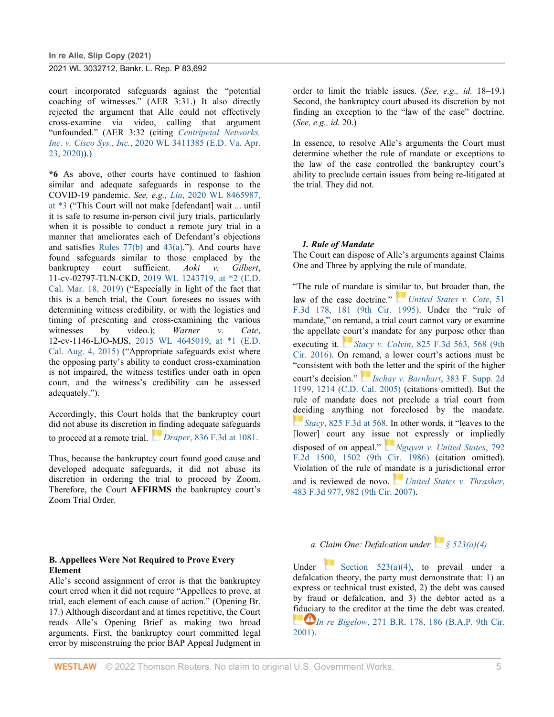court incorporated safeguards against the "potential coaching of witnesses." (AER 3:31.) It also directly rejected the argument that Alle could not effectively cross-examine via video, calling that argument "unfounded." (AER 3:32 (citing *[Centripetal Networks,](http://www.westlaw.com/Link/Document/FullText?findType=Y&serNum=2051300639&pubNum=0000999&originatingDoc=I61368f50e91611eba48ad8c74eab983c&refType=RP&originationContext=document&vr=3.0&rs=cblt1.0&transitionType=DocumentItem&contextData=(sc.UserEnteredCitation))  Inc. v. Cisco Sys., Inc.*[, 2020 WL 3411385 \(E.D. Va. Apr.](http://www.westlaw.com/Link/Document/FullText?findType=Y&serNum=2051300639&pubNum=0000999&originatingDoc=I61368f50e91611eba48ad8c74eab983c&refType=RP&originationContext=document&vr=3.0&rs=cblt1.0&transitionType=DocumentItem&contextData=(sc.UserEnteredCitation))  [23, 2020\)\)](http://www.westlaw.com/Link/Document/FullText?findType=Y&serNum=2051300639&pubNum=0000999&originatingDoc=I61368f50e91611eba48ad8c74eab983c&refType=RP&originationContext=document&vr=3.0&rs=cblt1.0&transitionType=DocumentItem&contextData=(sc.UserEnteredCitation)).)

**\*6** As above, other courts have continued to fashion similar and adequate safeguards in response to the COVID-19 pandemic. *See, e.g., Liu*[, 2020 WL 8465987,](http://www.westlaw.com/Link/Document/FullText?findType=Y&serNum=2052936591&pubNum=0000999&originatingDoc=I61368f50e91611eba48ad8c74eab983c&refType=RP&fi=co_pp_sp_999_3&originationContext=document&vr=3.0&rs=cblt1.0&transitionType=DocumentItem&contextData=(sc.UserEnteredCitation)#co_pp_sp_999_3)  [at \\*3](http://www.westlaw.com/Link/Document/FullText?findType=Y&serNum=2052936591&pubNum=0000999&originatingDoc=I61368f50e91611eba48ad8c74eab983c&refType=RP&fi=co_pp_sp_999_3&originationContext=document&vr=3.0&rs=cblt1.0&transitionType=DocumentItem&contextData=(sc.UserEnteredCitation)#co_pp_sp_999_3) ("This Court will not make [defendant] wait ... until it is safe to resume in-person civil jury trials, particularly when it is possible to conduct a remote jury trial in a manner that ameliorates each of Defendant's objections and satisfies Rules  $77(b)$  and  $43(a)$ ."). And courts have found safeguards similar to those emplaced by the bankruptcy court sufficient. *Aoki v. Gilbert*, 11-cv-02797-TLN-CKD, [2019 WL 1243719, at \\*2 \(E.D.](http://www.westlaw.com/Link/Document/FullText?findType=Y&serNum=2047792379&pubNum=0000999&originatingDoc=I61368f50e91611eba48ad8c74eab983c&refType=RP&fi=co_pp_sp_999_2&originationContext=document&vr=3.0&rs=cblt1.0&transitionType=DocumentItem&contextData=(sc.UserEnteredCitation)#co_pp_sp_999_2)  [Cal. Mar. 18, 2019\)](http://www.westlaw.com/Link/Document/FullText?findType=Y&serNum=2047792379&pubNum=0000999&originatingDoc=I61368f50e91611eba48ad8c74eab983c&refType=RP&fi=co_pp_sp_999_2&originationContext=document&vr=3.0&rs=cblt1.0&transitionType=DocumentItem&contextData=(sc.UserEnteredCitation)#co_pp_sp_999_2) ("Especially in light of the fact that this is a bench trial, the Court foresees no issues with determining witness credibility, or with the logistics and timing of presenting and cross-examining the various witnesses by video.); *Warner v. Cate*, 12-cv-1146-LJO-MJS, [2015 WL 4645019, at \\*1 \(E.D.](http://www.westlaw.com/Link/Document/FullText?findType=Y&serNum=2036823314&pubNum=0000999&originatingDoc=I61368f50e91611eba48ad8c74eab983c&refType=RP&fi=co_pp_sp_999_1&originationContext=document&vr=3.0&rs=cblt1.0&transitionType=DocumentItem&contextData=(sc.UserEnteredCitation)#co_pp_sp_999_1)  [Cal. Aug. 4, 2015\)](http://www.westlaw.com/Link/Document/FullText?findType=Y&serNum=2036823314&pubNum=0000999&originatingDoc=I61368f50e91611eba48ad8c74eab983c&refType=RP&fi=co_pp_sp_999_1&originationContext=document&vr=3.0&rs=cblt1.0&transitionType=DocumentItem&contextData=(sc.UserEnteredCitation)#co_pp_sp_999_1) ("Appropriate safeguards exist where the opposing party's ability to conduct cross-examination is not impaired, the witness testifies under oath in open court, and the witness's credibility can be assessed adequately.").

Accordingly, this Court holds that the bankruptcy court did not abuse its discretion i[n fi](https://1.next.westlaw.com/Link/RelatedInformation/Flag?documentGuid=I766a97f0756611e69e6ceb9009bbadab&transitionType=InlineKeyCiteFlags&originationContext=docHeaderFlag&Rank=0&ppcid=585069859eeb4b7a9933a3df0a76febd&contextData=(sc.UserEnteredCitation))nding adequate safeguards to proceed at a remote trial. *[D](https://1.next.westlaw.com/Link/RelatedInformation/Flag?documentGuid=I766a97f0756611e69e6ceb9009bbadab&transitionType=InlineKeyCiteFlags&originationContext=docHeaderFlag&Rank=0&ppcid=585069859eeb4b7a9933a3df0a76febd&contextData=(sc.UserEnteredCitation))raper*[, 836 F.3d at 1081.](http://www.westlaw.com/Link/Document/FullText?findType=Y&serNum=2039720017&pubNum=0000506&originatingDoc=I61368f50e91611eba48ad8c74eab983c&refType=RP&fi=co_pp_sp_506_1081&originationContext=document&vr=3.0&rs=cblt1.0&transitionType=DocumentItem&contextData=(sc.UserEnteredCitation)#co_pp_sp_506_1081)

Thus, because the bankruptcy court found good cause and developed adequate safeguards, it did not abuse its discretion in ordering the trial to proceed by Zoom. Therefore, the Court **AFFIRMS** the bankruptcy court's Zoom Trial Order.

#### **B. Appellees Were Not Required to Prove Every Element**

Alle's second assignment of error is that the bankruptcy court erred when it did not require "Appellees to prove, at trial, each element of each cause of action." (Opening Br. 17.) Although discordant and at times repetitive, the Court reads Alle's Opening Brief as making two broad arguments. First, the bankruptcy court committed legal error by misconstruing the prior BAP Appeal Judgment in order to limit the triable issues. (*See, e.g., id.* 18–19.) Second, the bankruptcy court abused its discretion by not finding an exception to the "law of the case" doctrine. (*See, e.g., id.* 20.)

In essence, to resolve Alle's arguments the Court must determine whether the rule of mandate or exceptions to the law of the case controlled the bankruptcy court's ability to preclude certain issues from being re-litigated at the trial. They did not.

#### *1. Rule of Mandate*

The Court can dispose of Alle's arguments against Claims One and Three by applying the rule of mandate.

"The rule of mandate is similar to, but broader than, the law of the case doctrine." *[United States v. Cote](http://www.westlaw.com/Link/Document/FullText?findType=Y&serNum=1995066500&pubNum=0000506&originatingDoc=I61368f50e91611eba48ad8c74eab983c&refType=RP&fi=co_pp_sp_506_181&originationContext=document&vr=3.0&rs=cblt1.0&transitionType=DocumentItem&contextData=(sc.UserEnteredCitation)#co_pp_sp_506_181)*, 51 [F.3d 178, 181 \(9th Cir. 1995\).](http://www.westlaw.com/Link/Document/FullText?findType=Y&serNum=1995066500&pubNum=0000506&originatingDoc=I61368f50e91611eba48ad8c74eab983c&refType=RP&fi=co_pp_sp_506_181&originationContext=document&vr=3.0&rs=cblt1.0&transitionType=DocumentItem&contextData=(sc.UserEnteredCitation)#co_pp_sp_506_181) Under the "rule of mandate," on remand, a trial court cannot vary or examine the appellate court's mandate for any purpose other than executing it. *[S](https://1.next.westlaw.com/Link/RelatedInformation/Flag?documentGuid=Ibbb823302d4111e68cefc52a15cd8e9f&transitionType=InlineKeyCiteFlags&originationContext=docHeaderFlag&Rank=0&ppcid=585069859eeb4b7a9933a3df0a76febd&contextData=(sc.UserEnteredCitation))tacy v. Colvin*, [825 F.3d 563, 568 \(9th](http://www.westlaw.com/Link/Document/FullText?findType=Y&serNum=2039090929&pubNum=0000506&originatingDoc=I61368f50e91611eba48ad8c74eab983c&refType=RP&fi=co_pp_sp_506_568&originationContext=document&vr=3.0&rs=cblt1.0&transitionType=DocumentItem&contextData=(sc.UserEnteredCitation)#co_pp_sp_506_568)  [Cir. 2016\).](http://www.westlaw.com/Link/Document/FullText?findType=Y&serNum=2039090929&pubNum=0000506&originatingDoc=I61368f50e91611eba48ad8c74eab983c&refType=RP&fi=co_pp_sp_506_568&originationContext=document&vr=3.0&rs=cblt1.0&transitionType=DocumentItem&contextData=(sc.UserEnteredCitation)#co_pp_sp_506_568) On remand, a lower court's actions must be "consistent with both the letter and the spirit of the higher court's decision." *[Ischay v. Barnhart](http://www.westlaw.com/Link/Document/FullText?findType=Y&serNum=2007282974&pubNum=0004637&originatingDoc=I61368f50e91611eba48ad8c74eab983c&refType=RP&fi=co_pp_sp_4637_1214&originationContext=document&vr=3.0&rs=cblt1.0&transitionType=DocumentItem&contextData=(sc.UserEnteredCitation)#co_pp_sp_4637_1214)*, 383 F. Supp. 2d [1199, 1214 \(C.D. Cal. 2005\)](http://www.westlaw.com/Link/Document/FullText?findType=Y&serNum=2007282974&pubNum=0004637&originatingDoc=I61368f50e91611eba48ad8c74eab983c&refType=RP&fi=co_pp_sp_4637_1214&originationContext=document&vr=3.0&rs=cblt1.0&transitionType=DocumentItem&contextData=(sc.UserEnteredCitation)#co_pp_sp_4637_1214) (citations omitted). But the rule of mandate does not preclude a trial court from [dec](https://1.next.westlaw.com/Link/RelatedInformation/Flag?documentGuid=Ibbb823302d4111e68cefc52a15cd8e9f&transitionType=InlineKeyCiteFlags&originationContext=docHeaderFlag&Rank=0&ppcid=585069859eeb4b7a9933a3df0a76febd&contextData=(sc.UserEnteredCitation))iding anything not foreclosed by the mandate. *[S](https://1.next.westlaw.com/Link/RelatedInformation/Flag?documentGuid=Ibbb823302d4111e68cefc52a15cd8e9f&transitionType=InlineKeyCiteFlags&originationContext=docHeaderFlag&Rank=0&ppcid=585069859eeb4b7a9933a3df0a76febd&contextData=(sc.UserEnteredCitation))tacy*[, 825 F.3d at 568.](http://www.westlaw.com/Link/Document/FullText?findType=Y&serNum=2039090929&pubNum=0000506&originatingDoc=I61368f50e91611eba48ad8c74eab983c&refType=RP&fi=co_pp_sp_506_568&originationContext=document&vr=3.0&rs=cblt1.0&transitionType=DocumentItem&contextData=(sc.UserEnteredCitation)#co_pp_sp_506_568) In other words, it "leaves to the [lower] court any issue not expressly or impliedly disposed of on appeal." *[Nguyen v. United States](http://www.westlaw.com/Link/Document/FullText?findType=Y&serNum=1986134002&pubNum=0000350&originatingDoc=I61368f50e91611eba48ad8c74eab983c&refType=RP&fi=co_pp_sp_350_1502&originationContext=document&vr=3.0&rs=cblt1.0&transitionType=DocumentItem&contextData=(sc.UserEnteredCitation)#co_pp_sp_350_1502)*, 792 [F.2d 1500, 1502 \(9th Cir. 1986\)](http://www.westlaw.com/Link/Document/FullText?findType=Y&serNum=1986134002&pubNum=0000350&originatingDoc=I61368f50e91611eba48ad8c74eab983c&refType=RP&fi=co_pp_sp_350_1502&originationContext=document&vr=3.0&rs=cblt1.0&transitionType=DocumentItem&contextData=(sc.UserEnteredCitation)#co_pp_sp_350_1502) (citation omitted). Violation of the rule of m[anda](https://1.next.westlaw.com/Link/RelatedInformation/Flag?documentGuid=I6578924aedac11dbafc6849dc347959a&transitionType=InlineKeyCiteFlags&originationContext=docHeaderFlag&Rank=0&ppcid=585069859eeb4b7a9933a3df0a76febd&contextData=(sc.UserEnteredCitation))te is a jurisdictional error and is reviewed de novo. *[United States v. Thrasher](http://www.westlaw.com/Link/Document/FullText?findType=Y&serNum=2011975875&pubNum=0000506&originatingDoc=I61368f50e91611eba48ad8c74eab983c&refType=RP&fi=co_pp_sp_506_982&originationContext=document&vr=3.0&rs=cblt1.0&transitionType=DocumentItem&contextData=(sc.UserEnteredCitation)#co_pp_sp_506_982)*, [483 F.3d 977, 982 \(9th Cir. 2007\).](http://www.westlaw.com/Link/Document/FullText?findType=Y&serNum=2011975875&pubNum=0000506&originatingDoc=I61368f50e91611eba48ad8c74eab983c&refType=RP&fi=co_pp_sp_506_982&originationContext=document&vr=3.0&rs=cblt1.0&transitionType=DocumentItem&contextData=(sc.UserEnteredCitation)#co_pp_sp_506_982)

*a. Claim One: Defalcation under [§ 523\(a\)\(4\)](http://www.westlaw.com/Link/Document/FullText?findType=L&pubNum=1000546&cite=11USCAS523&originatingDoc=I61368f50e91611eba48ad8c74eab983c&refType=RB&originationContext=document&vr=3.0&rs=cblt1.0&transitionType=DocumentItem&contextData=(sc.UserEnteredCitation)#co_pp_d40e000072291)*

Under Section  $523(a)(4)$ , to prevail under a defalcation theory, the party must demonstrate that: 1) an express or technical trust existed, 2) the debt was caused by fraud or defalcation, and 3) the debtor acted as a fiduciary to the creditor at the time the debt was created. *[I](https://1.next.westlaw.com/Link/RelatedInformation/Flag?documentGuid=I5529d9d46e5211d98778bd0185d69771&transitionType=InlineKeyCiteFlags&originationContext=docHeaderFlag&Rank=0&ppcid=585069859eeb4b7a9933a3df0a76febd&contextData=(sc.UserEnteredCitation))In re Bigelow*, 271 B.R. 178, 186 (B.A.P. 9th Cir. [2001\).](http://www.westlaw.com/Link/Document/FullText?findType=Y&serNum=2001590227&pubNum=0000164&originatingDoc=I61368f50e91611eba48ad8c74eab983c&refType=RP&fi=co_pp_sp_164_186&originationContext=document&vr=3.0&rs=cblt1.0&transitionType=DocumentItem&contextData=(sc.UserEnteredCitation)#co_pp_sp_164_186)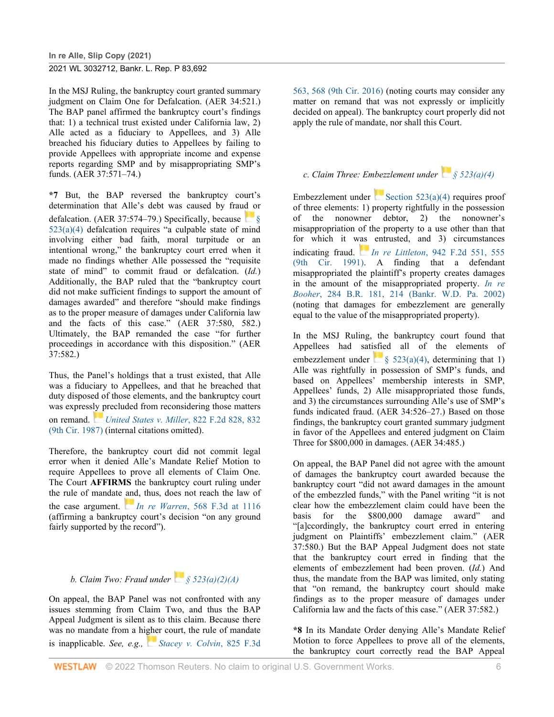In the MSJ Ruling, the bankruptcy court granted summary judgment on Claim One for Defalcation. (AER 34:521.) The BAP panel affirmed the bankruptcy court's findings that: 1) a technical trust existed under California law, 2) Alle acted as a fiduciary to Appellees, and 3) Alle breached his fiduciary duties to Appellees by failing to provide Appellees with appropriate income and expense reports regarding SMP and by misappropriating SMP's funds. (AER 37:571–74.)

**\*7** But, the BAP reversed the bankruptcy court's determination that Alle's debt was caused by fraud or defalcation. (AER 37:574–79.) Specifically, because  $\Box$  § [523\(a\)\(4\)](http://www.westlaw.com/Link/Document/FullText?findType=L&pubNum=1000546&cite=11USCAS523&originatingDoc=I61368f50e91611eba48ad8c74eab983c&refType=RB&originationContext=document&vr=3.0&rs=cblt1.0&transitionType=DocumentItem&contextData=(sc.UserEnteredCitation)#co_pp_d40e000072291) defalcation requires "a culpable state of mind involving either bad faith, moral turpitude or an intentional wrong," the bankruptcy court erred when it made no findings whether Alle possessed the "requisite state of mind" to commit fraud or defalcation. (*Id.*) Additionally, the BAP ruled that the "bankruptcy court did not make sufficient findings to support the amount of damages awarded" and therefore "should make findings as to the proper measure of damages under California law and the facts of this case." (AER 37:580, 582.) Ultimately, the BAP remanded the case "for further proceedings in accordance with this disposition." (AER 37:582.)

Thus, the Panel's holdings that a trust existed, that Alle was a fiduciary to Appellees, and that he breached that duty disposed of those elements, and the bankruptcy court was express[ly p](https://1.next.westlaw.com/Link/RelatedInformation/Flag?documentGuid=I79af22fa953011d9a707f4371c9c34f0&transitionType=InlineKeyCiteFlags&originationContext=docHeaderFlag&Rank=0&ppcid=585069859eeb4b7a9933a3df0a76febd&contextData=(sc.UserEnteredCitation))recluded from reconsidering those matters on remand. *[United States v. Miller](http://www.westlaw.com/Link/Document/FullText?findType=Y&serNum=1987088149&pubNum=0000350&originatingDoc=I61368f50e91611eba48ad8c74eab983c&refType=RP&fi=co_pp_sp_350_832&originationContext=document&vr=3.0&rs=cblt1.0&transitionType=DocumentItem&contextData=(sc.UserEnteredCitation)#co_pp_sp_350_832)*, 822 F.2d 828, 832 [\(9th Cir. 1987\)](http://www.westlaw.com/Link/Document/FullText?findType=Y&serNum=1987088149&pubNum=0000350&originatingDoc=I61368f50e91611eba48ad8c74eab983c&refType=RP&fi=co_pp_sp_350_832&originationContext=document&vr=3.0&rs=cblt1.0&transitionType=DocumentItem&contextData=(sc.UserEnteredCitation)#co_pp_sp_350_832) (internal citations omitted).

Therefore, the bankruptcy court did not commit legal error when it denied Alle's Mandate Relief Motion to require Appellees to prove all elements of Claim One. The Court **AFFIRMS** the bankruptcy court ruling under the rule of mandate and, thus, does not reach the law of the case argument. *[I](https://1.next.westlaw.com/Link/RelatedInformation/Flag?documentGuid=Ic81c84d25c4311deabded03f2b83b8a4&transitionType=InlineKeyCiteFlags&originationContext=docHeaderFlag&Rank=0&ppcid=585069859eeb4b7a9933a3df0a76febd&contextData=(sc.UserEnteredCitation))n re Warren*[, 568 F.3d at 1116](http://www.westlaw.com/Link/Document/FullText?findType=Y&serNum=2019149817&pubNum=0000506&originatingDoc=I61368f50e91611eba48ad8c74eab983c&refType=RP&fi=co_pp_sp_506_1116&originationContext=document&vr=3.0&rs=cblt1.0&transitionType=DocumentItem&contextData=(sc.UserEnteredCitation)#co_pp_sp_506_1116) (affirming a bankruptcy court's decision "on any ground fairly supported by the record").

*b. Claim Two: Fraud under [§ 523\(a\)\(2\)\(A\)](http://www.westlaw.com/Link/Document/FullText?findType=L&pubNum=1000546&cite=11USCAS523&originatingDoc=I61368f50e91611eba48ad8c74eab983c&refType=RB&originationContext=document&vr=3.0&rs=cblt1.0&transitionType=DocumentItem&contextData=(sc.UserEnteredCitation)#co_pp_b5120000f7a05)*

On appeal, the BAP Panel was not confronted with any issues stemming from Claim Two, and thus the BAP Appeal Judgment is silent as to this claim. Because there was no mandate from a higher court, the rule of mandate is inapplicable. *See, e.g., [Stacey v. Colvin](http://www.westlaw.com/Link/Document/FullText?findType=Y&serNum=2039090929&pubNum=0000506&originatingDoc=I61368f50e91611eba48ad8c74eab983c&refType=RP&fi=co_pp_sp_506_568&originationContext=document&vr=3.0&rs=cblt1.0&transitionType=DocumentItem&contextData=(sc.UserEnteredCitation)#co_pp_sp_506_568)*, 825 F.3d

[563, 568 \(9th Cir. 2016\)](http://www.westlaw.com/Link/Document/FullText?findType=Y&serNum=2039090929&pubNum=0000506&originatingDoc=I61368f50e91611eba48ad8c74eab983c&refType=RP&fi=co_pp_sp_506_568&originationContext=document&vr=3.0&rs=cblt1.0&transitionType=DocumentItem&contextData=(sc.UserEnteredCitation)#co_pp_sp_506_568) (noting courts may consider any matter on remand that was not expressly or implicitly decided on appeal). The bankruptcy court properly did not apply the rule of mandate, nor shall this Court.

# *c. Claim Three: Embezzlement under [§ 523\(a\)\(4\)](http://www.westlaw.com/Link/Document/FullText?findType=L&pubNum=1000546&cite=11USCAS523&originatingDoc=I61368f50e91611eba48ad8c74eab983c&refType=RB&originationContext=document&vr=3.0&rs=cblt1.0&transitionType=DocumentItem&contextData=(sc.UserEnteredCitation)#co_pp_d40e000072291)*

Embezzlement under Section  $523(a)(4)$  requires proof of three elements: 1) property rightfully in the possession of the nonowner debtor, 2) the nonowner's misappropriation of the property to a use other than that for which it [was](https://1.next.westlaw.com/Link/RelatedInformation/Flag?documentGuid=I05ef97c594c011d9bdd1cfdd544ca3a4&transitionType=InlineKeyCiteFlags&originationContext=docHeaderFlag&Rank=0&ppcid=585069859eeb4b7a9933a3df0a76febd&contextData=(sc.UserEnteredCitation)) entrusted, and 3) circumstances indicating fraud. *[I](https://1.next.westlaw.com/Link/RelatedInformation/Flag?documentGuid=I05ef97c594c011d9bdd1cfdd544ca3a4&transitionType=InlineKeyCiteFlags&originationContext=docHeaderFlag&Rank=0&ppcid=585069859eeb4b7a9933a3df0a76febd&contextData=(sc.UserEnteredCitation))n re Littleton*[, 942 F.2d 551, 555](http://www.westlaw.com/Link/Document/FullText?findType=Y&serNum=1991138540&pubNum=0000350&originatingDoc=I61368f50e91611eba48ad8c74eab983c&refType=RP&fi=co_pp_sp_350_555&originationContext=document&vr=3.0&rs=cblt1.0&transitionType=DocumentItem&contextData=(sc.UserEnteredCitation)#co_pp_sp_350_555)  [\(9th Cir. 1991\).](http://www.westlaw.com/Link/Document/FullText?findType=Y&serNum=1991138540&pubNum=0000350&originatingDoc=I61368f50e91611eba48ad8c74eab983c&refType=RP&fi=co_pp_sp_350_555&originationContext=document&vr=3.0&rs=cblt1.0&transitionType=DocumentItem&contextData=(sc.UserEnteredCitation)#co_pp_sp_350_555) A finding that a defendant misappropriated the plaintiff's property creates damages in the amount of the misappropriated property. *[In re](http://www.westlaw.com/Link/Document/FullText?findType=Y&serNum=2002662526&pubNum=0000164&originatingDoc=I61368f50e91611eba48ad8c74eab983c&refType=RP&fi=co_pp_sp_164_214&originationContext=document&vr=3.0&rs=cblt1.0&transitionType=DocumentItem&contextData=(sc.UserEnteredCitation)#co_pp_sp_164_214)  Booher*[, 284 B.R. 181, 214 \(Bankr. W.D. Pa. 2002\)](http://www.westlaw.com/Link/Document/FullText?findType=Y&serNum=2002662526&pubNum=0000164&originatingDoc=I61368f50e91611eba48ad8c74eab983c&refType=RP&fi=co_pp_sp_164_214&originationContext=document&vr=3.0&rs=cblt1.0&transitionType=DocumentItem&contextData=(sc.UserEnteredCitation)#co_pp_sp_164_214) (noting that damages for embezzlement are generally equal to the value of the misappropriated property).

In the MSJ Ruling, the bankruptcy court found that Appellees had satisfied all of the elements of embezzlement under  $\frac{1}{8}$  523(a)(4), determining that 1) Alle was rightfully in possession of SMP's funds, and based on Appellees' membership interests in SMP, Appellees' funds, 2) Alle misappropriated those funds, and 3) the circumstances surrounding Alle's use of SMP's funds indicated fraud. (AER 34:526–27.) Based on those findings, the bankruptcy court granted summary judgment in favor of the Appellees and entered judgment on Claim Three for \$800,000 in damages. (AER 34:485.)

On appeal, the BAP Panel did not agree with the amount of damages the bankruptcy court awarded because the bankruptcy court "did not award damages in the amount of the embezzled funds," with the Panel writing "it is not clear how the embezzlement claim could have been the basis for the \$800,000 damage award" and "[a]ccordingly, the bankruptcy court erred in entering judgment on Plaintiffs' embezzlement claim." (AER 37:580.) But the BAP Appeal Judgment does not state that the bankruptcy court erred in finding that the elements of embezzlement had been proven. (*Id.*) And thus, the mandate from the BAP was limited, only stating that "on remand, the bankruptcy court should make findings as to the proper measure of damages under California law and the facts of this case." (AER 37:582.)

**\*8** In its Mandate Order denying Alle's Mandate Relief Motion to force Appellees to prove all of the elements, the bankruptcy court correctly read the BAP Appeal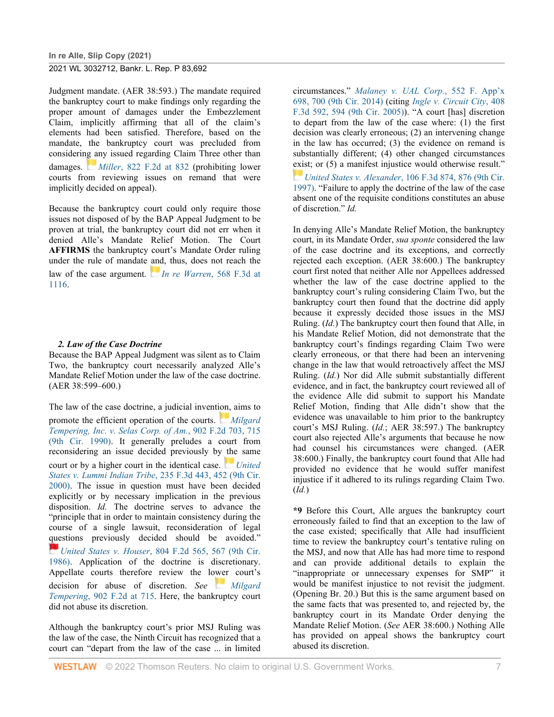**In re Alle, Slip Copy (2021)**

#### 2021 WL 3032712, Bankr. L. Rep. P 83,692

Judgment mandate. (AER 38:593.) The mandate required the bankruptcy court to make findings only regarding the proper amount of damages under the Embezzlement Claim, implicitly affirming that all of the claim's elements had been satisfied. Therefore, based on the mandate, the bankruptcy court was precluded from considerin[g a](https://1.next.westlaw.com/Link/RelatedInformation/Flag?documentGuid=I79af22fa953011d9a707f4371c9c34f0&transitionType=InlineKeyCiteFlags&originationContext=docHeaderFlag&Rank=0&ppcid=585069859eeb4b7a9933a3df0a76febd&contextData=(sc.UserEnteredCitation))ny issued regarding Claim Three other than damages. *[M](https://1.next.westlaw.com/Link/RelatedInformation/Flag?documentGuid=I79af22fa953011d9a707f4371c9c34f0&transitionType=InlineKeyCiteFlags&originationContext=docHeaderFlag&Rank=0&ppcid=585069859eeb4b7a9933a3df0a76febd&contextData=(sc.UserEnteredCitation))iller*[, 822 F.2d at 832](http://www.westlaw.com/Link/Document/FullText?findType=Y&serNum=1987088149&pubNum=0000350&originatingDoc=I61368f50e91611eba48ad8c74eab983c&refType=RP&fi=co_pp_sp_350_832&originationContext=document&vr=3.0&rs=cblt1.0&transitionType=DocumentItem&contextData=(sc.UserEnteredCitation)#co_pp_sp_350_832) (prohibiting lower courts from reviewing issues on remand that were implicitly decided on appeal).

Because the bankruptcy court could only require those issues not disposed of by the BAP Appeal Judgment to be proven at trial, the bankruptcy court did not err when it denied Alle's Mandate Relief Motion. The Court **AFFIRMS** the bankruptcy court's Mandate Order ruling under the rule of mandate [and](https://1.next.westlaw.com/Link/RelatedInformation/Flag?documentGuid=Ic81c84d25c4311deabded03f2b83b8a4&transitionType=InlineKeyCiteFlags&originationContext=docHeaderFlag&Rank=0&ppcid=585069859eeb4b7a9933a3df0a76febd&contextData=(sc.UserEnteredCitation)), thus, does not reach the law of the case argument. *[I](https://1.next.westlaw.com/Link/RelatedInformation/Flag?documentGuid=Ic81c84d25c4311deabded03f2b83b8a4&transitionType=InlineKeyCiteFlags&originationContext=docHeaderFlag&Rank=0&ppcid=585069859eeb4b7a9933a3df0a76febd&contextData=(sc.UserEnteredCitation))n re Warren*[, 568 F.3d at](http://www.westlaw.com/Link/Document/FullText?findType=Y&serNum=2019149817&pubNum=0000506&originatingDoc=I61368f50e91611eba48ad8c74eab983c&refType=RP&fi=co_pp_sp_506_1116&originationContext=document&vr=3.0&rs=cblt1.0&transitionType=DocumentItem&contextData=(sc.UserEnteredCitation)#co_pp_sp_506_1116)  [1116.](http://www.westlaw.com/Link/Document/FullText?findType=Y&serNum=2019149817&pubNum=0000506&originatingDoc=I61368f50e91611eba48ad8c74eab983c&refType=RP&fi=co_pp_sp_506_1116&originationContext=document&vr=3.0&rs=cblt1.0&transitionType=DocumentItem&contextData=(sc.UserEnteredCitation)#co_pp_sp_506_1116)

#### *2. Law of the Case Doctrine*

Because the BAP Appeal Judgment was silent as to Claim Two, the bankruptcy court necessarily analyzed Alle's Mandate Relief Motion under the law of the case doctrine. (AER 38:599–600.)

The law of the case doctrine, a judicial invention, aims to promote the efficient operation of the courts. *[Milgard](http://www.westlaw.com/Link/Document/FullText?findType=Y&serNum=1990067748&pubNum=0000350&originatingDoc=I61368f50e91611eba48ad8c74eab983c&refType=RP&fi=co_pp_sp_350_715&originationContext=document&vr=3.0&rs=cblt1.0&transitionType=DocumentItem&contextData=(sc.UserEnteredCitation)#co_pp_sp_350_715)  [Tempering, Inc. v. Selas Corp. of Am.](http://www.westlaw.com/Link/Document/FullText?findType=Y&serNum=1990067748&pubNum=0000350&originatingDoc=I61368f50e91611eba48ad8c74eab983c&refType=RP&fi=co_pp_sp_350_715&originationContext=document&vr=3.0&rs=cblt1.0&transitionType=DocumentItem&contextData=(sc.UserEnteredCitation)#co_pp_sp_350_715)*, 902 F.2d 703, 715 [\(9th Cir. 1990\).](http://www.westlaw.com/Link/Document/FullText?findType=Y&serNum=1990067748&pubNum=0000350&originatingDoc=I61368f50e91611eba48ad8c74eab983c&refType=RP&fi=co_pp_sp_350_715&originationContext=document&vr=3.0&rs=cblt1.0&transitionType=DocumentItem&contextData=(sc.UserEnteredCitation)#co_pp_sp_350_715) It generally preludes a court from reconsidering an issue decided previously by [the](https://1.next.westlaw.com/Link/RelatedInformation/Flag?documentGuid=Iff2d90fe799311d98c82a53fc8ac8757&transitionType=InlineKeyCiteFlags&originationContext=docHeaderFlag&Rank=0&ppcid=585069859eeb4b7a9933a3df0a76febd&contextData=(sc.UserEnteredCitation)) same court or by a higher court in the identical case. *[United](http://www.westlaw.com/Link/Document/FullText?findType=Y&serNum=2000645568&pubNum=0000506&originatingDoc=I61368f50e91611eba48ad8c74eab983c&refType=RP&fi=co_pp_sp_506_452&originationContext=document&vr=3.0&rs=cblt1.0&transitionType=DocumentItem&contextData=(sc.UserEnteredCitation)#co_pp_sp_506_452)  States v. Lummi Indian Tribe*[, 235 F.3d 443, 452 \(9th Cir.](http://www.westlaw.com/Link/Document/FullText?findType=Y&serNum=2000645568&pubNum=0000506&originatingDoc=I61368f50e91611eba48ad8c74eab983c&refType=RP&fi=co_pp_sp_506_452&originationContext=document&vr=3.0&rs=cblt1.0&transitionType=DocumentItem&contextData=(sc.UserEnteredCitation)#co_pp_sp_506_452)  [2000\).](http://www.westlaw.com/Link/Document/FullText?findType=Y&serNum=2000645568&pubNum=0000506&originatingDoc=I61368f50e91611eba48ad8c74eab983c&refType=RP&fi=co_pp_sp_506_452&originationContext=document&vr=3.0&rs=cblt1.0&transitionType=DocumentItem&contextData=(sc.UserEnteredCitation)#co_pp_sp_506_452) The issue in question must have been decided explicitly or by necessary implication in the previous disposition. *Id.* The doctrine serves to advance the "principle that in order to maintain consistency during the course of a single lawsuit, reconsideration of legal questions previously decided should be avoided." *[U](https://1.next.westlaw.com/Link/RelatedInformation/Flag?documentGuid=I918943d094d411d9bc61beebb95be672&transitionType=InlineKeyCiteFlags&originationContext=docHeaderFlag&Rank=0&ppcid=585069859eeb4b7a9933a3df0a76febd&contextData=(sc.UserEnteredCitation))nited States v. Houser*[, 804 F.2d 565, 567 \(9th Cir.](http://www.westlaw.com/Link/Document/FullText?findType=Y&serNum=1986156627&pubNum=0000350&originatingDoc=I61368f50e91611eba48ad8c74eab983c&refType=RP&fi=co_pp_sp_350_567&originationContext=document&vr=3.0&rs=cblt1.0&transitionType=DocumentItem&contextData=(sc.UserEnteredCitation)#co_pp_sp_350_567)  [1986\).](http://www.westlaw.com/Link/Document/FullText?findType=Y&serNum=1986156627&pubNum=0000350&originatingDoc=I61368f50e91611eba48ad8c74eab983c&refType=RP&fi=co_pp_sp_350_567&originationContext=document&vr=3.0&rs=cblt1.0&transitionType=DocumentItem&contextData=(sc.UserEnteredCitation)#co_pp_sp_350_567) Application of the doctrine is discretionary. Appellate courts therefore review the lower court's decision for abuse of discretion. *See [Milgard](http://www.westlaw.com/Link/Document/FullText?findType=Y&serNum=1990067748&pubNum=0000350&originatingDoc=I61368f50e91611eba48ad8c74eab983c&refType=RP&fi=co_pp_sp_350_715&originationContext=document&vr=3.0&rs=cblt1.0&transitionType=DocumentItem&contextData=(sc.UserEnteredCitation)#co_pp_sp_350_715)  Tempering*[, 902 F.2d at 715.](http://www.westlaw.com/Link/Document/FullText?findType=Y&serNum=1990067748&pubNum=0000350&originatingDoc=I61368f50e91611eba48ad8c74eab983c&refType=RP&fi=co_pp_sp_350_715&originationContext=document&vr=3.0&rs=cblt1.0&transitionType=DocumentItem&contextData=(sc.UserEnteredCitation)#co_pp_sp_350_715) Here, the bankruptcy court did not abuse its discretion.

Although the bankruptcy court's prior MSJ Ruling was the law of the case, the Ninth Circuit has recognized that a court can "depart from the law of the case ... in limited circumstances." *[Malaney v. UAL Corp.](http://www.westlaw.com/Link/Document/FullText?findType=Y&serNum=2032547926&pubNum=0006538&originatingDoc=I61368f50e91611eba48ad8c74eab983c&refType=RP&fi=co_pp_sp_6538_700&originationContext=document&vr=3.0&rs=cblt1.0&transitionType=DocumentItem&contextData=(sc.UserEnteredCitation)#co_pp_sp_6538_700)*, 552 F. App'x [698, 700 \(9th Cir. 2014\)](http://www.westlaw.com/Link/Document/FullText?findType=Y&serNum=2032547926&pubNum=0006538&originatingDoc=I61368f50e91611eba48ad8c74eab983c&refType=RP&fi=co_pp_sp_6538_700&originationContext=document&vr=3.0&rs=cblt1.0&transitionType=DocumentItem&contextData=(sc.UserEnteredCitation)#co_pp_sp_6538_700) (citing *[Ingle v. Circuit City](http://www.westlaw.com/Link/Document/FullText?findType=Y&serNum=2006606000&pubNum=0000506&originatingDoc=I61368f50e91611eba48ad8c74eab983c&refType=RP&fi=co_pp_sp_506_594&originationContext=document&vr=3.0&rs=cblt1.0&transitionType=DocumentItem&contextData=(sc.UserEnteredCitation)#co_pp_sp_506_594)*, 408 [F.3d 592, 594 \(9th Cir. 2005\)\)](http://www.westlaw.com/Link/Document/FullText?findType=Y&serNum=2006606000&pubNum=0000506&originatingDoc=I61368f50e91611eba48ad8c74eab983c&refType=RP&fi=co_pp_sp_506_594&originationContext=document&vr=3.0&rs=cblt1.0&transitionType=DocumentItem&contextData=(sc.UserEnteredCitation)#co_pp_sp_506_594). "A court [has] discretion to depart from the law of the case where: (1) the first decision was clearly erroneous; (2) an intervening change in the law has occurred; (3) the evidence on remand is substantially different; (4) other changed circumstances [exis](https://1.next.westlaw.com/Link/RelatedInformation/Flag?documentGuid=I6826fa0b941111d9a707f4371c9c34f0&transitionType=InlineKeyCiteFlags&originationContext=docHeaderFlag&Rank=0&ppcid=585069859eeb4b7a9933a3df0a76febd&contextData=(sc.UserEnteredCitation))t; or (5) a manifest injustice would otherwise result." *[U](https://1.next.westlaw.com/Link/RelatedInformation/Flag?documentGuid=I6826fa0b941111d9a707f4371c9c34f0&transitionType=InlineKeyCiteFlags&originationContext=docHeaderFlag&Rank=0&ppcid=585069859eeb4b7a9933a3df0a76febd&contextData=(sc.UserEnteredCitation))nited States v. Alexander*[, 106 F.3d 874, 876 \(9th Cir.](http://www.westlaw.com/Link/Document/FullText?findType=Y&serNum=1997043934&pubNum=0000506&originatingDoc=I61368f50e91611eba48ad8c74eab983c&refType=RP&fi=co_pp_sp_506_876&originationContext=document&vr=3.0&rs=cblt1.0&transitionType=DocumentItem&contextData=(sc.UserEnteredCitation)#co_pp_sp_506_876)  [1997\).](http://www.westlaw.com/Link/Document/FullText?findType=Y&serNum=1997043934&pubNum=0000506&originatingDoc=I61368f50e91611eba48ad8c74eab983c&refType=RP&fi=co_pp_sp_506_876&originationContext=document&vr=3.0&rs=cblt1.0&transitionType=DocumentItem&contextData=(sc.UserEnteredCitation)#co_pp_sp_506_876) "Failure to apply the doctrine of the law of the case absent one of the requisite conditions constitutes an abuse of discretion." *Id.*

In denying Alle's Mandate Relief Motion, the bankruptcy court, in its Mandate Order, *sua sponte* considered the law of the case doctrine and its exceptions, and correctly rejected each exception. (AER 38:600.) The bankruptcy court first noted that neither Alle nor Appellees addressed whether the law of the case doctrine applied to the bankruptcy court's ruling considering Claim Two, but the bankruptcy court then found that the doctrine did apply because it expressly decided those issues in the MSJ Ruling. (*Id.*) The bankruptcy court then found that Alle, in his Mandate Relief Motion, did not demonstrate that the bankruptcy court's findings regarding Claim Two were clearly erroneous, or that there had been an intervening change in the law that would retroactively affect the MSJ Ruling. (*Id.*) Nor did Alle submit substantially different evidence, and in fact, the bankruptcy court reviewed all of the evidence Alle did submit to support his Mandate Relief Motion, finding that Alle didn't show that the evidence was unavailable to him prior to the bankruptcy court's MSJ Ruling. (*Id.*; AER 38:597.) The bankruptcy court also rejected Alle's arguments that because he now had counsel his circumstances were changed. (AER 38:600.) Finally, the bankruptcy court found that Alle had provided no evidence that he would suffer manifest injustice if it adhered to its rulings regarding Claim Two. (*Id.*)

**\*9** Before this Court, Alle argues the bankruptcy court erroneously failed to find that an exception to the law of the case existed; specifically that Alle had insufficient time to review the bankruptcy court's tentative ruling on the MSJ, and now that Alle has had more time to respond and can provide additional details to explain the "inappropriate or unnecessary expenses for SMP" it would be manifest injustice to not revisit the judgment. (Opening Br. 20.) But this is the same argument based on the same facts that was presented to, and rejected by, the bankruptcy court in its Mandate Order denying the Mandate Relief Motion. (*See* AER 38:600.) Nothing Alle has provided on appeal shows the bankruptcy court abused its discretion.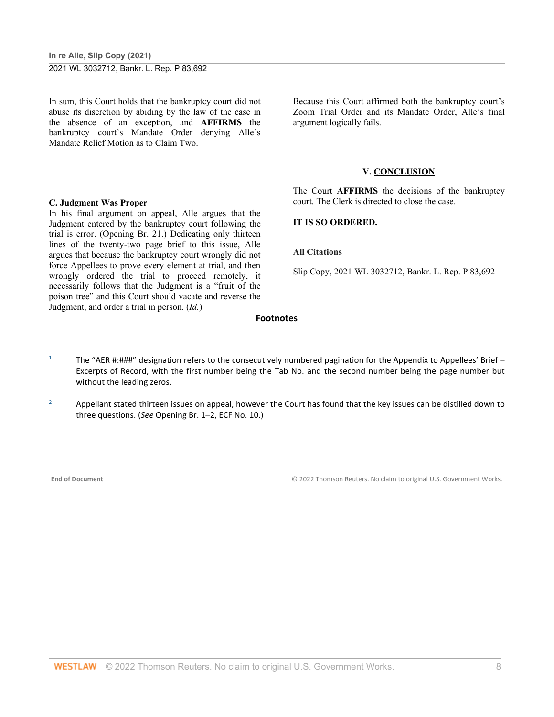In sum, this Court holds that the bankruptcy court did not abuse its discretion by abiding by the law of the case in the absence of an exception, and **AFFIRMS** the bankruptcy court's Mandate Order denying Alle's Mandate Relief Motion as to Claim Two.

# **C. Judgment Was Proper**

In his final argument on appeal, Alle argues that the Judgment entered by the bankruptcy court following the trial is error. (Opening Br. 21.) Dedicating only thirteen lines of the twenty-two page brief to this issue, Alle argues that because the bankruptcy court wrongly did not force Appellees to prove every element at trial, and then wrongly ordered the trial to proceed remotely, it necessarily follows that the Judgment is a "fruit of the poison tree" and this Court should vacate and reverse the Judgment, and order a trial in person. (*Id.*)

Because this Court affirmed both the bankruptcy court's Zoom Trial Order and its Mandate Order, Alle's final argument logically fails.

#### **V. CONCLUSION**

The Court **AFFIRMS** the decisions of the bankruptcy court. The Clerk is directed to close the case.

#### **IT IS SO ORDERED.**

#### **All Citations**

Slip Copy, 2021 WL 3032712, Bankr. L. Rep. P 83,692

#### **Footnotes**

- <sup>1</sup> The "AER #:###" designation refers to the consecutively numbered pagination for the Appendix to Appellees' Brief Excerpts of Record, with the first number being the Tab No. and the second number being the page number but without the leading zeros.
- <sup>2</sup> Appellant stated thirteen issues on appeal, however the Court has found that the key issues can be distilled down to three questions. (*See* Opening Br. 1–2, ECF No. 10.)

**End of Document** © 2022 Thomson Reuters. No claim to original U.S. Government Works.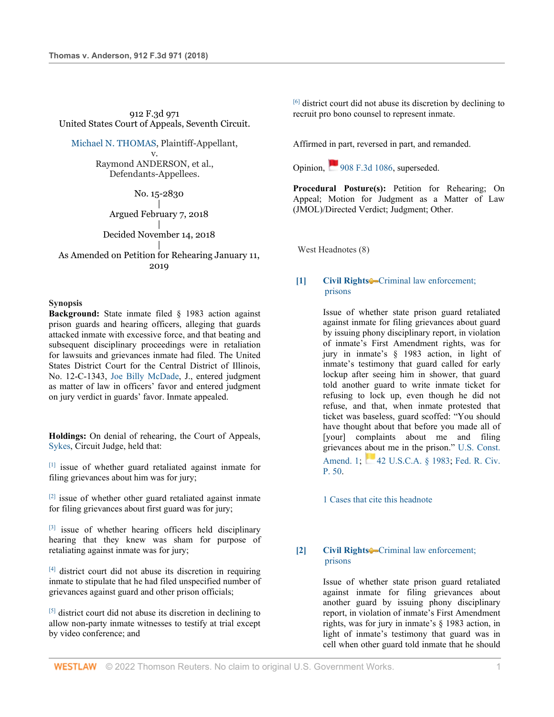912 F.3d 971 United States Court of Appeals, Seventh Circuit.

[Michael N. THOMAS,](http://www.westlaw.com/Search/Results.html?query=advanced%3a+OAID(5064428784)&saveJuris=False&contentType=BUSINESS-INVESTIGATOR&startIndex=1&contextData=(sc.Default)&categoryPageUrl=Home%2fCompanyInvestigator&originationContext=document&vr=3.0&rs=cblt1.0&transitionType=DocumentItem) Plaintiff-Appellant, v.

> Raymond ANDERSON, et al., Defendants-Appellees.

> > No. 15-2830

 $\blacksquare$ Argued February 7, 2018

| Decided November 14, 2018 |

As Amended on Petition for Rehearing January 11, 2019

#### **Synopsis**

**Background:** State inmate filed § 1983 action against prison guards and hearing officers, alleging that guards attacked inmate with excessive force, and that beating and subsequent disciplinary proceedings were in retaliation for lawsuits and grievances inmate had filed. The United States District Court for the Central District of Illinois, No. 12-C-1343, [Joe Billy McDade,](http://www.westlaw.com/Link/Document/FullText?findType=h&pubNum=176284&cite=0138711801&originatingDoc=Ie9fcebd015ed11e9a99cca37ea0f7dc8&refType=RQ&originationContext=document&vr=3.0&rs=cblt1.0&transitionType=DocumentItem&contextData=(sc.UserEnteredCitation)) J., entered judgment as matter of law in officers' favor and entered judgment on jury verdict in guards' favor. Inmate appealed.

**Holdings:** On denial of rehearing, the Court of Appeals, [Sykes,](http://www.westlaw.com/Link/Document/FullText?findType=h&pubNum=176284&cite=0286765401&originatingDoc=Ie9fcebd015ed11e9a99cca37ea0f7dc8&refType=RQ&originationContext=document&vr=3.0&rs=cblt1.0&transitionType=DocumentItem&contextData=(sc.UserEnteredCitation)) Circuit Judge, held that:

[1] issue of whether guard retaliated against inmate for filing grievances about him was for jury;

 $[2]$  issue of whether other guard retaliated against inmate for filing grievances about first guard was for jury;

 $[3]$  issue of whether hearing officers held disciplinary hearing that they knew was sham for purpose of retaliating against inmate was for jury;

[4] district court did not abuse its discretion in requiring inmate to stipulate that he had filed unspecified number of grievances against guard and other prison officials;

[5] district court did not abuse its discretion in declining to allow non-party inmate witnesses to testify at trial except by video conference; and

 $[6]$  district court did not abuse its discretion by declining to recruit pro bono counsel to represent inmate.

Affirmed in part, reversed in part, and remanded.

Opinion, $\frac{100}{208}$  F.3d 1086, superseded.

**Procedural Posture(s):** Petition for Rehearing; On Appeal; Motion for Judgment as a Matter of Law (JMOL)/Directed Verdict; Judgment; Other.

West Headnotes (8)

#### **[1] [Civil Rights](http://www.westlaw.com/Browse/Home/KeyNumber/78/View.html?docGuid=Ie9fcebd015ed11e9a99cca37ea0f7dc8&originationContext=document&vr=3.0&rs=cblt1.0&transitionType=DocumentItem&contextData=(sc.UserEnteredCitation))** Criminal law enforcement; [prisons](http://www.westlaw.com/Browse/Home/KeyNumber/78k1429/View.html?docGuid=Ie9fcebd015ed11e9a99cca37ea0f7dc8&originationContext=document&vr=3.0&rs=cblt1.0&transitionType=DocumentItem&contextData=(sc.UserEnteredCitation))

Issue of whether state prison guard retaliated against inmate for filing grievances about guard by issuing phony disciplinary report, in violation of inmate's First Amendment rights, was for jury in inmate's § 1983 action, in light of inmate's testimony that guard called for early lockup after seeing him in shower, that guard told another guard to write inmate ticket for refusing to lock up, even though he did not refuse, and that, when inmate protested that ticket was baseless, guard scoffed: "You should have thought about that before you made all of [your] complaints about me and filing grievances about me in the prison." [U.S. Const.](http://www.westlaw.com/Link/Document/FullText?findType=L&pubNum=1000583&cite=USCOAMENDI&originatingDoc=Ie9fcebd015ed11e9a99cca37ea0f7dc8&refType=LQ&originationContext=document&vr=3.0&rs=cblt1.0&transitionType=DocumentItem&contextData=(sc.UserEnteredCitation))  [Amend. 1;](http://www.westlaw.com/Link/Document/FullText?findType=L&pubNum=1000583&cite=USCOAMENDI&originatingDoc=Ie9fcebd015ed11e9a99cca37ea0f7dc8&refType=LQ&originationContext=document&vr=3.0&rs=cblt1.0&transitionType=DocumentItem&contextData=(sc.UserEnteredCitation)) [42 U.S.C.A. § 1983;](http://www.westlaw.com/Link/Document/FullText?findType=L&pubNum=1000546&cite=42USCAS1983&originatingDoc=Ie9fcebd015ed11e9a99cca37ea0f7dc8&refType=LQ&originationContext=document&vr=3.0&rs=cblt1.0&transitionType=DocumentItem&contextData=(sc.UserEnteredCitation)) Fed. R. Civ. [P. 50.](http://www.westlaw.com/Link/Document/FullText?findType=L&pubNum=1000600&cite=USFRCPR50&originatingDoc=Ie9fcebd015ed11e9a99cca37ea0f7dc8&refType=LQ&originationContext=document&vr=3.0&rs=cblt1.0&transitionType=DocumentItem&contextData=(sc.UserEnteredCitation))

[1 Cases that cite this headnote](http://www.westlaw.com/Link/RelatedInformation/DocHeadnoteLink?docGuid=Ie9fcebd015ed11e9a99cca37ea0f7dc8&headnoteId=204731827800120200915112036&originationContext=document&vr=3.0&rs=cblt1.0&transitionType=CitingReferences&contextData=(sc.UserEnteredCitation))

#### **[2] [Civil Rights](http://www.westlaw.com/Browse/Home/KeyNumber/78/View.html?docGuid=Ie9fcebd015ed11e9a99cca37ea0f7dc8&originationContext=document&vr=3.0&rs=cblt1.0&transitionType=DocumentItem&contextData=(sc.UserEnteredCitation))** Criminal law enforcement; [prisons](http://www.westlaw.com/Browse/Home/KeyNumber/78k1429/View.html?docGuid=Ie9fcebd015ed11e9a99cca37ea0f7dc8&originationContext=document&vr=3.0&rs=cblt1.0&transitionType=DocumentItem&contextData=(sc.UserEnteredCitation))

Issue of whether state prison guard retaliated against inmate for filing grievances about another guard by issuing phony disciplinary report, in violation of inmate's First Amendment rights, was for jury in inmate's § 1983 action, in light of inmate's testimony that guard was in cell when other guard told inmate that he should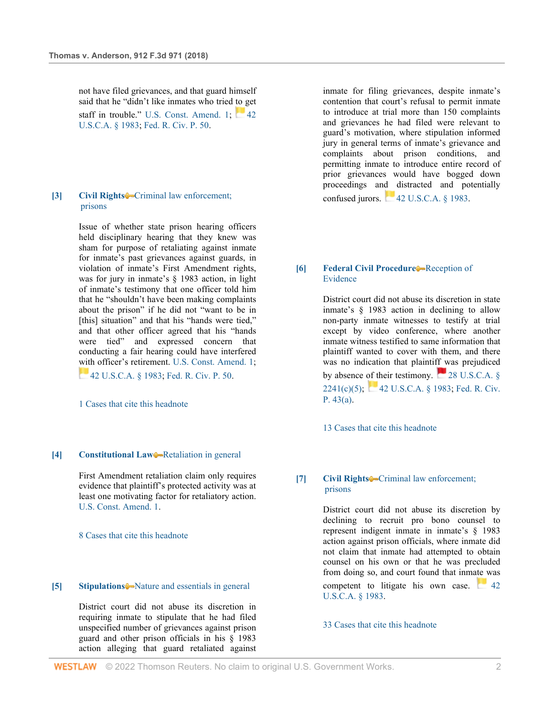not have filed grievances, and that guard himself said that he "didn't like inmates who tried to get staff in trouble." [U.S. Const. Amend. 1;](http://www.westlaw.com/Link/Document/FullText?findType=L&pubNum=1000583&cite=USCOAMENDI&originatingDoc=Ie9fcebd015ed11e9a99cca37ea0f7dc8&refType=LQ&originationContext=document&vr=3.0&rs=cblt1.0&transitionType=DocumentItem&contextData=(sc.UserEnteredCitation))  $\sim$  42 [U.S.C.A. § 1983;](http://www.westlaw.com/Link/Document/FullText?findType=L&pubNum=1000546&cite=42USCAS1983&originatingDoc=Ie9fcebd015ed11e9a99cca37ea0f7dc8&refType=LQ&originationContext=document&vr=3.0&rs=cblt1.0&transitionType=DocumentItem&contextData=(sc.UserEnteredCitation)) [Fed. R. Civ. P. 50.](http://www.westlaw.com/Link/Document/FullText?findType=L&pubNum=1000600&cite=USFRCPR50&originatingDoc=Ie9fcebd015ed11e9a99cca37ea0f7dc8&refType=LQ&originationContext=document&vr=3.0&rs=cblt1.0&transitionType=DocumentItem&contextData=(sc.UserEnteredCitation))

#### **[3] [Civil Rights](http://www.westlaw.com/Browse/Home/KeyNumber/78/View.html?docGuid=Ie9fcebd015ed11e9a99cca37ea0f7dc8&originationContext=document&vr=3.0&rs=cblt1.0&transitionType=DocumentItem&contextData=(sc.UserEnteredCitation))** Criminal law enforcement; [prisons](http://www.westlaw.com/Browse/Home/KeyNumber/78k1429/View.html?docGuid=Ie9fcebd015ed11e9a99cca37ea0f7dc8&originationContext=document&vr=3.0&rs=cblt1.0&transitionType=DocumentItem&contextData=(sc.UserEnteredCitation))

Issue of whether state prison hearing officers held disciplinary hearing that they knew was sham for purpose of retaliating against inmate for inmate's past grievances against guards, in violation of inmate's First Amendment rights, was for jury in inmate's § 1983 action, in light of inmate's testimony that one officer told him that he "shouldn't have been making complaints about the prison" if he did not "want to be in [this] situation" and that his "hands were tied." and that other officer agreed that his "hands were tied" and expressed concern that conducting a fair hearing could have interfered with officer's retirement. [U.S. Const. Amend. 1;](http://www.westlaw.com/Link/Document/FullText?findType=L&pubNum=1000583&cite=USCOAMENDI&originatingDoc=Ie9fcebd015ed11e9a99cca37ea0f7dc8&refType=LQ&originationContext=document&vr=3.0&rs=cblt1.0&transitionType=DocumentItem&contextData=(sc.UserEnteredCitation)) **[42 U.S.C.A. § 1983;](http://www.westlaw.com/Link/Document/FullText?findType=L&pubNum=1000546&cite=42USCAS1983&originatingDoc=Ie9fcebd015ed11e9a99cca37ea0f7dc8&refType=LQ&originationContext=document&vr=3.0&rs=cblt1.0&transitionType=DocumentItem&contextData=(sc.UserEnteredCitation)) [Fed. R. Civ. P. 50.](http://www.westlaw.com/Link/Document/FullText?findType=L&pubNum=1000600&cite=USFRCPR50&originatingDoc=Ie9fcebd015ed11e9a99cca37ea0f7dc8&refType=LQ&originationContext=document&vr=3.0&rs=cblt1.0&transitionType=DocumentItem&contextData=(sc.UserEnteredCitation))** 

[1 Cases that cite this headnote](http://www.westlaw.com/Link/RelatedInformation/DocHeadnoteLink?docGuid=Ie9fcebd015ed11e9a99cca37ea0f7dc8&headnoteId=204731827800320200915112036&originationContext=document&vr=3.0&rs=cblt1.0&transitionType=CitingReferences&contextData=(sc.UserEnteredCitation))

#### **[4] [Constitutional Law](http://www.westlaw.com/Browse/Home/KeyNumber/92/View.html?docGuid=Ie9fcebd015ed11e9a99cca37ea0f7dc8&originationContext=document&vr=3.0&rs=cblt1.0&transitionType=DocumentItem&contextData=(sc.UserEnteredCitation))**—[Retaliation in general](http://www.westlaw.com/Browse/Home/KeyNumber/92k1171/View.html?docGuid=Ie9fcebd015ed11e9a99cca37ea0f7dc8&originationContext=document&vr=3.0&rs=cblt1.0&transitionType=DocumentItem&contextData=(sc.UserEnteredCitation))

First Amendment retaliation claim only requires evidence that plaintiff's protected activity was at least one motivating factor for retaliatory action. [U.S. Const. Amend. 1.](http://www.westlaw.com/Link/Document/FullText?findType=L&pubNum=1000583&cite=USCOAMENDI&originatingDoc=Ie9fcebd015ed11e9a99cca37ea0f7dc8&refType=LQ&originationContext=document&vr=3.0&rs=cblt1.0&transitionType=DocumentItem&contextData=(sc.UserEnteredCitation))

[8 Cases that cite this headnote](http://www.westlaw.com/Link/RelatedInformation/DocHeadnoteLink?docGuid=Ie9fcebd015ed11e9a99cca37ea0f7dc8&headnoteId=204731827800420200915112036&originationContext=document&vr=3.0&rs=cblt1.0&transitionType=CitingReferences&contextData=(sc.UserEnteredCitation))

#### **[5] [Stipulations](http://www.westlaw.com/Browse/Home/KeyNumber/363/View.html?docGuid=Ie9fcebd015ed11e9a99cca37ea0f7dc8&originationContext=document&vr=3.0&rs=cblt1.0&transitionType=DocumentItem&contextData=(sc.UserEnteredCitation))** $\bigcirc$ -[Nature and essentials in general](http://www.westlaw.com/Browse/Home/KeyNumber/363k1/View.html?docGuid=Ie9fcebd015ed11e9a99cca37ea0f7dc8&originationContext=document&vr=3.0&rs=cblt1.0&transitionType=DocumentItem&contextData=(sc.UserEnteredCitation))

District court did not abuse its discretion in requiring inmate to stipulate that he had filed unspecified number of grievances against prison guard and other prison officials in his § 1983 action alleging that guard retaliated against

inmate for filing grievances, despite inmate's contention that court's refusal to permit inmate to introduce at trial more than 150 complaints and grievances he had filed were relevant to guard's motivation, where stipulation informed jury in general terms of inmate's grievance and complaints about prison conditions, and permitting inmate to introduce entire record of prior grievances would have bogged down proceedings and distracted and potentially confused jurors.  $42$  U.S.C.A.  $§$  1983.

#### **[6] [Federal Civil Procedure](http://www.westlaw.com/Browse/Home/KeyNumber/170A/View.html?docGuid=Ie9fcebd015ed11e9a99cca37ea0f7dc8&originationContext=document&vr=3.0&rs=cblt1.0&transitionType=DocumentItem&contextData=(sc.UserEnteredCitation))** [Reception of](http://www.westlaw.com/Browse/Home/KeyNumber/170AXV(C)/View.html?docGuid=Ie9fcebd015ed11e9a99cca37ea0f7dc8&originationContext=document&vr=3.0&rs=cblt1.0&transitionType=DocumentItem&contextData=(sc.UserEnteredCitation))  [Evidence](http://www.westlaw.com/Browse/Home/KeyNumber/170AXV(C)/View.html?docGuid=Ie9fcebd015ed11e9a99cca37ea0f7dc8&originationContext=document&vr=3.0&rs=cblt1.0&transitionType=DocumentItem&contextData=(sc.UserEnteredCitation))

District court did not abuse its discretion in state inmate's § 1983 action in declining to allow non-party inmate witnesses to testify at trial except by video conference, where another inmate witness testified to same information that plaintiff wanted to cover with them, and there was no indication that plaintiff was prejudiced byabsence of their testimony.  $28$  U.S.C.A. § [2241\(c\)\(5\);](http://www.westlaw.com/Link/Document/FullText?findType=L&pubNum=1000546&cite=28USCAS2241&originatingDoc=Ie9fcebd015ed11e9a99cca37ea0f7dc8&refType=SP&originationContext=document&vr=3.0&rs=cblt1.0&transitionType=DocumentItem&contextData=(sc.UserEnteredCitation)#co_pp_a83c0000180e0)  $\blacksquare$  [42 U.S.C.A. § 1983;](http://www.westlaw.com/Link/Document/FullText?findType=L&pubNum=1000546&cite=42USCAS1983&originatingDoc=Ie9fcebd015ed11e9a99cca37ea0f7dc8&refType=LQ&originationContext=document&vr=3.0&rs=cblt1.0&transitionType=DocumentItem&contextData=(sc.UserEnteredCitation)) Fed. R. Civ. [P. 43\(a\).](http://www.westlaw.com/Link/Document/FullText?findType=L&pubNum=1000600&cite=USFRCPR43&originatingDoc=Ie9fcebd015ed11e9a99cca37ea0f7dc8&refType=LQ&originationContext=document&vr=3.0&rs=cblt1.0&transitionType=DocumentItem&contextData=(sc.UserEnteredCitation))

[13 Cases that cite this headnote](http://www.westlaw.com/Link/RelatedInformation/DocHeadnoteLink?docGuid=Ie9fcebd015ed11e9a99cca37ea0f7dc8&headnoteId=204731827800620200915112036&originationContext=document&vr=3.0&rs=cblt1.0&transitionType=CitingReferences&contextData=(sc.UserEnteredCitation))

#### **[7] [Civil Rights](http://www.westlaw.com/Browse/Home/KeyNumber/78/View.html?docGuid=Ie9fcebd015ed11e9a99cca37ea0f7dc8&originationContext=document&vr=3.0&rs=cblt1.0&transitionType=DocumentItem&contextData=(sc.UserEnteredCitation))** Criminal law enforcement; [prisons](http://www.westlaw.com/Browse/Home/KeyNumber/78k1445/View.html?docGuid=Ie9fcebd015ed11e9a99cca37ea0f7dc8&originationContext=document&vr=3.0&rs=cblt1.0&transitionType=DocumentItem&contextData=(sc.UserEnteredCitation))

District court did not abuse its discretion by declining to recruit pro bono counsel to represent indigent inmate in inmate's § 1983 action against prison officials, where inmate did not claim that inmate had attempted to obtain counsel on his own or that he was precluded from doing so, and court found that inmate was competent to litigate his own case.  $42$ [U.S.C.A. § 1983.](http://www.westlaw.com/Link/Document/FullText?findType=L&pubNum=1000546&cite=42USCAS1983&originatingDoc=Ie9fcebd015ed11e9a99cca37ea0f7dc8&refType=LQ&originationContext=document&vr=3.0&rs=cblt1.0&transitionType=DocumentItem&contextData=(sc.UserEnteredCitation))

#### [33 Cases that cite this headnote](http://www.westlaw.com/Link/RelatedInformation/DocHeadnoteLink?docGuid=Ie9fcebd015ed11e9a99cca37ea0f7dc8&headnoteId=204731827800720200915112036&originationContext=document&vr=3.0&rs=cblt1.0&transitionType=CitingReferences&contextData=(sc.UserEnteredCitation))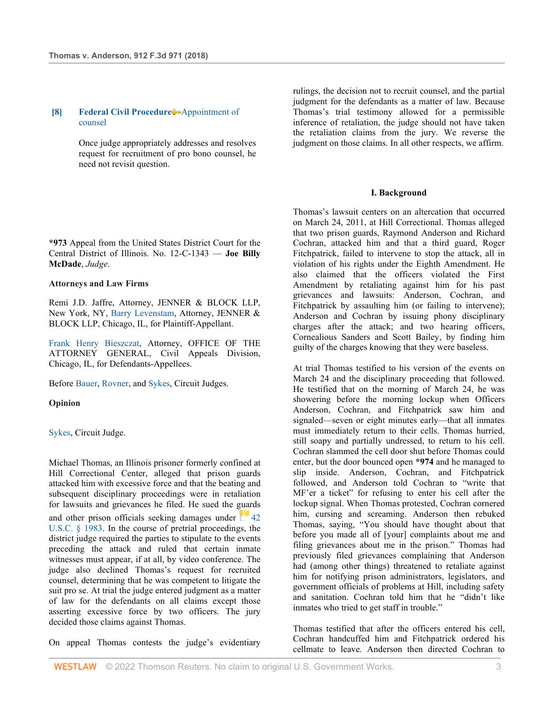#### **[8] [Federal Civil Procedure](http://www.westlaw.com/Browse/Home/KeyNumber/170A/View.html?docGuid=Ie9fcebd015ed11e9a99cca37ea0f7dc8&originationContext=document&vr=3.0&rs=cblt1.0&transitionType=DocumentItem&contextData=(sc.UserEnteredCitation))** [Appointment of](http://www.westlaw.com/Browse/Home/KeyNumber/170Ak1951.29/View.html?docGuid=Ie9fcebd015ed11e9a99cca37ea0f7dc8&originationContext=document&vr=3.0&rs=cblt1.0&transitionType=DocumentItem&contextData=(sc.UserEnteredCitation))  [counsel](http://www.westlaw.com/Browse/Home/KeyNumber/170Ak1951.29/View.html?docGuid=Ie9fcebd015ed11e9a99cca37ea0f7dc8&originationContext=document&vr=3.0&rs=cblt1.0&transitionType=DocumentItem&contextData=(sc.UserEnteredCitation))

Once judge appropriately addresses and resolves request for recruitment of pro bono counsel, he need not revisit question.

**\*973** Appeal from the United States District Court for the Central District of Illinois. No. 12-C-1343 — **Joe Billy McDade**, *Judge*.

#### **Attorneys and Law Firms**

Remi J.D. Jaffre, Attorney, JENNER & BLOCK LLP, New York, NY, [Barry Levenstam,](http://www.westlaw.com/Link/Document/FullText?findType=h&pubNum=176284&cite=0113030101&originatingDoc=Ie9fcebd015ed11e9a99cca37ea0f7dc8&refType=RQ&originationContext=document&vr=3.0&rs=cblt1.0&transitionType=DocumentItem&contextData=(sc.UserEnteredCitation)) Attorney, JENNER & BLOCK LLP, Chicago, IL, for Plaintiff-Appellant.

[Frank Henry Bieszczat,](http://www.westlaw.com/Link/Document/FullText?findType=h&pubNum=176284&cite=0218710001&originatingDoc=Ie9fcebd015ed11e9a99cca37ea0f7dc8&refType=RQ&originationContext=document&vr=3.0&rs=cblt1.0&transitionType=DocumentItem&contextData=(sc.UserEnteredCitation)) Attorney, OFFICE OF THE ATTORNEY GENERAL, Civil Appeals Division, Chicago, IL, for Defendants-Appellees.

Befor[e Bauer,](http://www.westlaw.com/Link/Document/FullText?findType=h&pubNum=176284&cite=0232459001&originatingDoc=Ie9fcebd015ed11e9a99cca37ea0f7dc8&refType=RQ&originationContext=document&vr=3.0&rs=cblt1.0&transitionType=DocumentItem&contextData=(sc.UserEnteredCitation)) [Rovner,](http://www.westlaw.com/Link/Document/FullText?findType=h&pubNum=176284&cite=0201329001&originatingDoc=Ie9fcebd015ed11e9a99cca37ea0f7dc8&refType=RQ&originationContext=document&vr=3.0&rs=cblt1.0&transitionType=DocumentItem&contextData=(sc.UserEnteredCitation)) and [Sykes,](http://www.westlaw.com/Link/Document/FullText?findType=h&pubNum=176284&cite=0286765401&originatingDoc=Ie9fcebd015ed11e9a99cca37ea0f7dc8&refType=RQ&originationContext=document&vr=3.0&rs=cblt1.0&transitionType=DocumentItem&contextData=(sc.UserEnteredCitation)) Circuit Judges.

**Opinion**

#### [Sykes,](http://www.westlaw.com/Link/Document/FullText?findType=h&pubNum=176284&cite=0286765401&originatingDoc=Ie9fcebd015ed11e9a99cca37ea0f7dc8&refType=RQ&originationContext=document&vr=3.0&rs=cblt1.0&transitionType=DocumentItem&contextData=(sc.UserEnteredCitation)) Circuit Judge.

Michael Thomas, an Illinois prisoner formerly confined at Hill Correctional Center, alleged that prison guards attacked him with excessive force and that the beating and subsequent disciplinary proceedings were in retaliation for lawsuits and grievances he filed. He sued the guards and other prison officials seeking damages under  $42$ [U.S.C. § 1983.](http://www.westlaw.com/Link/Document/FullText?findType=L&pubNum=1000546&cite=42USCAS1983&originatingDoc=Ie9fcebd015ed11e9a99cca37ea0f7dc8&refType=LQ&originationContext=document&vr=3.0&rs=cblt1.0&transitionType=DocumentItem&contextData=(sc.UserEnteredCitation)) In the course of pretrial proceedings, the district judge required the parties to stipulate to the events preceding the attack and ruled that certain inmate witnesses must appear, if at all, by video conference. The judge also declined Thomas's request for recruited counsel, determining that he was competent to litigate the suit pro se. At trial the judge entered judgment as a matter of law for the defendants on all claims except those asserting excessive force by two officers. The jury decided those claims against Thomas.

On appeal Thomas contests the judge's evidentiary

rulings, the decision not to recruit counsel, and the partial judgment for the defendants as a matter of law. Because Thomas's trial testimony allowed for a permissible inference of retaliation, the judge should not have taken the retaliation claims from the jury. We reverse the judgment on those claims. In all other respects, we affirm.

#### **I. Background**

Thomas's lawsuit centers on an altercation that occurred on March 24, 2011, at Hill Correctional. Thomas alleged that two prison guards, Raymond Anderson and Richard Cochran, attacked him and that a third guard, Roger Fitchpatrick, failed to intervene to stop the attack, all in violation of his rights under the Eighth Amendment. He also claimed that the officers violated the First Amendment by retaliating against him for his past grievances and lawsuits: Anderson, Cochran, and Fitchpatrick by assaulting him (or failing to intervene); Anderson and Cochran by issuing phony disciplinary charges after the attack; and two hearing officers, Cornealious Sanders and Scott Bailey, by finding him guilty of the charges knowing that they were baseless.

At trial Thomas testified to his version of the events on March 24 and the disciplinary proceeding that followed. He testified that on the morning of March 24, he was showering before the morning lockup when Officers Anderson, Cochran, and Fitchpatrick saw him and signaled—seven or eight minutes early—that all inmates must immediately return to their cells. Thomas hurried, still soapy and partially undressed, to return to his cell. Cochran slammed the cell door shut before Thomas could enter, but the door bounced open **\*974** and he managed to slip inside. Anderson, Cochran, and Fitchpatrick followed, and Anderson told Cochran to "write that MF'er a ticket" for refusing to enter his cell after the lockup signal. When Thomas protested, Cochran cornered him, cursing and screaming. Anderson then rebuked Thomas, saying, "You should have thought about that before you made all of [your] complaints about me and filing grievances about me in the prison." Thomas had previously filed grievances complaining that Anderson had (among other things) threatened to retaliate against him for notifying prison administrators, legislators, and government officials of problems at Hill, including safety and sanitation. Cochran told him that he "didn't like inmates who tried to get staff in trouble."

Thomas testified that after the officers entered his cell, Cochran handcuffed him and Fitchpatrick ordered his cellmate to leave. Anderson then directed Cochran to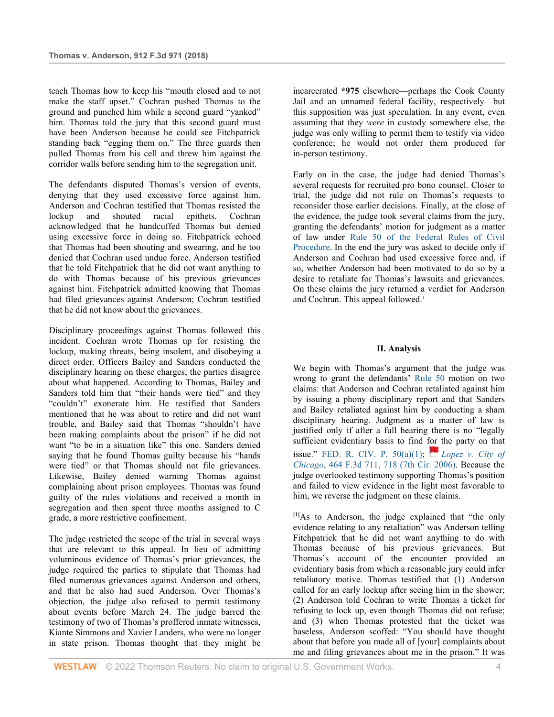teach Thomas how to keep his "mouth closed and to not make the staff upset." Cochran pushed Thomas to the ground and punched him while a second guard "yanked" him. Thomas told the jury that this second guard must have been Anderson because he could see Fitchpatrick standing back "egging them on." The three guards then pulled Thomas from his cell and threw him against the corridor walls before sending him to the segregation unit.

The defendants disputed Thomas's version of events, denying that they used excessive force against him. Anderson and Cochran testified that Thomas resisted the lockup and shouted racial epithets. Cochran acknowledged that he handcuffed Thomas but denied using excessive force in doing so. Fitchpatrick echoed that Thomas had been shouting and swearing, and he too denied that Cochran used undue force. Anderson testified that he told Fitchpatrick that he did not want anything to do with Thomas because of his previous grievances against him. Fitchpatrick admitted knowing that Thomas had filed grievances against Anderson; Cochran testified that he did not know about the grievances.

Disciplinary proceedings against Thomas followed this incident. Cochran wrote Thomas up for resisting the lockup, making threats, being insolent, and disobeying a direct order. Officers Bailey and Sanders conducted the disciplinary hearing on these charges; the parties disagree about what happened. According to Thomas, Bailey and Sanders told him that "their hands were tied" and they "couldn't" exonerate him. He testified that Sanders mentioned that he was about to retire and did not want trouble, and Bailey said that Thomas "shouldn't have been making complaints about the prison" if he did not want "to be in a situation like" this one. Sanders denied saying that he found Thomas guilty because his "hands were tied" or that Thomas should not file grievances. Likewise, Bailey denied warning Thomas against complaining about prison employees. Thomas was found guilty of the rules violations and received a month in segregation and then spent three months assigned to C grade, a more restrictive confinement.

The judge restricted the scope of the trial in several ways that are relevant to this appeal. In lieu of admitting voluminous evidence of Thomas's prior grievances, the judge required the parties to stipulate that Thomas had filed numerous grievances against Anderson and others, and that he also had sued Anderson. Over Thomas's objection, the judge also refused to permit testimony about events before March 24. The judge barred the testimony of two of Thomas's proffered inmate witnesses, Kiante Simmons and Xavier Landers, who were no longer in state prison. Thomas thought that they might be

incarcerated **\*975** elsewhere—perhaps the Cook County Jail and an unnamed federal facility, respectively—but this supposition was just speculation. In any event, even assuming that they *were* in custody somewhere else, the judge was only willing to permit them to testify via video conference; he would not order them produced for in-person testimony.

Early on in the case, the judge had denied Thomas's several requests for recruited pro bono counsel. Closer to trial, the judge did not rule on Thomas's requests to reconsider those earlier decisions. Finally, at the close of the evidence, the judge took several claims from the jury, granting the defendants' motion for judgment as a matter of law under Rule 50 of the [Federal Rules of Civil](http://www.westlaw.com/Link/Document/FullText?findType=L&pubNum=1000600&cite=USFRCPR50&originatingDoc=Ie9fcebd015ed11e9a99cca37ea0f7dc8&refType=LQ&originationContext=document&vr=3.0&rs=cblt1.0&transitionType=DocumentItem&contextData=(sc.UserEnteredCitation))  [Procedure.](http://www.westlaw.com/Link/Document/FullText?findType=L&pubNum=1000600&cite=USFRCPR50&originatingDoc=Ie9fcebd015ed11e9a99cca37ea0f7dc8&refType=LQ&originationContext=document&vr=3.0&rs=cblt1.0&transitionType=DocumentItem&contextData=(sc.UserEnteredCitation)) In the end the jury was asked to decide only if Anderson and Cochran had used excessive force and, if so, whether Anderson had been motivated to do so by a desire to retaliate for Thomas's lawsuits and grievances. On these claims the jury returned a verdict for Anderson and Cochran. This appeal followed.<sup>1</sup>

#### **II. Analysis**

We begin with Thomas's argument that the judge was wrong to grant the defendants' [Rule 50](http://www.westlaw.com/Link/Document/FullText?findType=L&pubNum=1000600&cite=USFRCPR50&originatingDoc=Ie9fcebd015ed11e9a99cca37ea0f7dc8&refType=LQ&originationContext=document&vr=3.0&rs=cblt1.0&transitionType=DocumentItem&contextData=(sc.UserEnteredCitation)) motion on two claims: that Anderson and Cochran retaliated against him by issuing a phony disciplinary report and that Sanders and Bailey retaliated against him by conducting a sham disciplinary hearing. Judgment as a matter of law is justified only if after a full hearing there is no "legally sufficient evidentiary basis to find [for](https://1.next.westlaw.com/Link/RelatedInformation/Flag?documentGuid=I449edd5e4a5111db80c2e56cac103088&transitionType=InlineKeyCiteFlags&originationContext=docHeaderFlag&Rank=0&ppcid=9e540f9954514950a868d99226b0cc59&contextData=(sc.UserEnteredCitation)) the party on that issue." FED. R. CIV. P.  $50(a)(1)$ ; *Lopez v. City of Chicago*[, 464 F.3d 711, 718 \(7th Cir. 2006\).](http://www.westlaw.com/Link/Document/FullText?findType=Y&serNum=2010346967&pubNum=0000506&originatingDoc=Ie9fcebd015ed11e9a99cca37ea0f7dc8&refType=RP&fi=co_pp_sp_506_718&originationContext=document&vr=3.0&rs=cblt1.0&transitionType=DocumentItem&contextData=(sc.UserEnteredCitation)#co_pp_sp_506_718) Because the judge overlooked testimony supporting Thomas's position and failed to view evidence in the light most favorable to him, we reverse the judgment on these claims.

**[1]**As to Anderson, the judge explained that "the only evidence relating to any retaliation" was Anderson telling Fitchpatrick that he did not want anything to do with Thomas because of his previous grievances. But Thomas's account of the encounter provided an evidentiary basis from which a reasonable jury could infer retaliatory motive. Thomas testified that (1) Anderson called for an early lockup after seeing him in the shower; (2) Anderson told Cochran to write Thomas a ticket for refusing to lock up, even though Thomas did not refuse; and (3) when Thomas protested that the ticket was baseless, Anderson scoffed: "You should have thought about that before you made all of [your] complaints about me and filing grievances about me in the prison." It was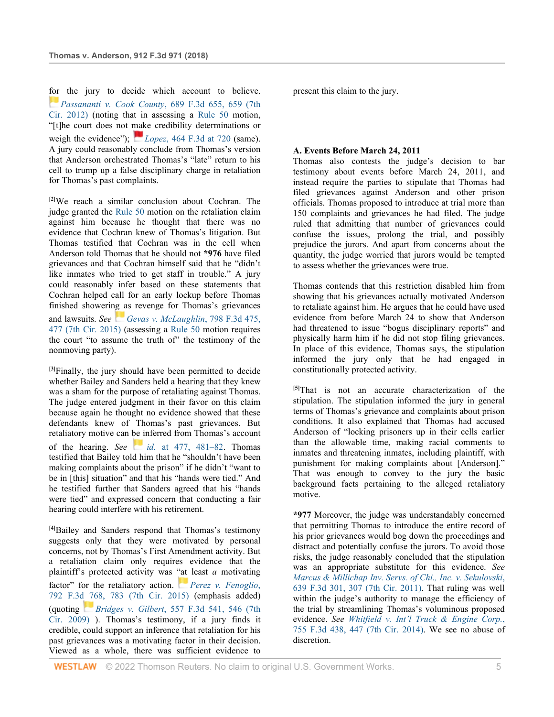[for](https://1.next.westlaw.com/Link/RelatedInformation/Flag?documentGuid=Ie8411c4ad2aa11e1b60ab297d3d07bc5&transitionType=InlineKeyCiteFlags&originationContext=docHeaderFlag&Rank=0&ppcid=9e540f9954514950a868d99226b0cc59&contextData=(sc.UserEnteredCitation)) the jury to decide which account to believe. *[Passananti v. Cook County](http://www.westlaw.com/Link/Document/FullText?findType=Y&serNum=2028247222&pubNum=0000506&originatingDoc=Ie9fcebd015ed11e9a99cca37ea0f7dc8&refType=RP&fi=co_pp_sp_506_659&originationContext=document&vr=3.0&rs=cblt1.0&transitionType=DocumentItem&contextData=(sc.UserEnteredCitation)#co_pp_sp_506_659)*, 689 F.3d 655, 659 (7th [Cir. 2012\)](http://www.westlaw.com/Link/Document/FullText?findType=Y&serNum=2028247222&pubNum=0000506&originatingDoc=Ie9fcebd015ed11e9a99cca37ea0f7dc8&refType=RP&fi=co_pp_sp_506_659&originationContext=document&vr=3.0&rs=cblt1.0&transitionType=DocumentItem&contextData=(sc.UserEnteredCitation)#co_pp_sp_506_659) (noting that in assessing a [Rule 50](http://www.westlaw.com/Link/Document/FullText?findType=L&pubNum=1000600&cite=USFRCPR50&originatingDoc=Ie9fcebd015ed11e9a99cca37ea0f7dc8&refType=LQ&originationContext=document&vr=3.0&rs=cblt1.0&transitionType=DocumentItem&contextData=(sc.UserEnteredCitation)) motion, "[t]he court does not make credibility determinations or weigh the evidence"); *[L](https://1.next.westlaw.com/Link/RelatedInformation/Flag?documentGuid=I449edd5e4a5111db80c2e56cac103088&transitionType=InlineKeyCiteFlags&originationContext=docHeaderFlag&Rank=0&ppcid=9e540f9954514950a868d99226b0cc59&contextData=(sc.UserEnteredCitation))opez*[, 464 F.3d at 720](http://www.westlaw.com/Link/Document/FullText?findType=Y&serNum=2010346967&pubNum=0000506&originatingDoc=Ie9fcebd015ed11e9a99cca37ea0f7dc8&refType=RP&fi=co_pp_sp_506_720&originationContext=document&vr=3.0&rs=cblt1.0&transitionType=DocumentItem&contextData=(sc.UserEnteredCitation)#co_pp_sp_506_720) (same). A jury could reasonably conclude from Thomas's version that Anderson orchestrated Thomas's "late" return to his cell to trump up a false disciplinary charge in retaliation for Thomas's past complaints.

**[2]**We reach a similar conclusion about Cochran. The judge granted the [Rule 50](http://www.westlaw.com/Link/Document/FullText?findType=L&pubNum=1000600&cite=USFRCPR50&originatingDoc=Ie9fcebd015ed11e9a99cca37ea0f7dc8&refType=LQ&originationContext=document&vr=3.0&rs=cblt1.0&transitionType=DocumentItem&contextData=(sc.UserEnteredCitation)) motion on the retaliation claim against him because he thought that there was no evidence that Cochran knew of Thomas's litigation. But Thomas testified that Cochran was in the cell when Anderson told Thomas that he should not **\*976** have filed grievances and that Cochran himself said that he "didn't like inmates who tried to get staff in trouble." A jury could reasonably infer based on these statements that Cochran helped call for an early lockup before Thomas finished showering as revenge for Thomas's grievances and lawsuits. *See[Gevas v. McLaughlin](http://www.westlaw.com/Link/Document/FullText?findType=Y&serNum=2036918040&pubNum=0000506&originatingDoc=Ie9fcebd015ed11e9a99cca37ea0f7dc8&refType=RP&fi=co_pp_sp_506_477&originationContext=document&vr=3.0&rs=cblt1.0&transitionType=DocumentItem&contextData=(sc.UserEnteredCitation)#co_pp_sp_506_477)*, 798 F.3d 475, [477 \(7th Cir. 2015\)](http://www.westlaw.com/Link/Document/FullText?findType=Y&serNum=2036918040&pubNum=0000506&originatingDoc=Ie9fcebd015ed11e9a99cca37ea0f7dc8&refType=RP&fi=co_pp_sp_506_477&originationContext=document&vr=3.0&rs=cblt1.0&transitionType=DocumentItem&contextData=(sc.UserEnteredCitation)#co_pp_sp_506_477) (assessing a [Rule 50](http://www.westlaw.com/Link/Document/FullText?findType=L&pubNum=1000600&cite=USFRCPR50&originatingDoc=Ie9fcebd015ed11e9a99cca37ea0f7dc8&refType=LQ&originationContext=document&vr=3.0&rs=cblt1.0&transitionType=DocumentItem&contextData=(sc.UserEnteredCitation)) motion requires the court "to assume the truth of" the testimony of the nonmoving party).

**[3]**Finally, the jury should have been permitted to decide whether Bailey and Sanders held a hearing that they knew was a sham for the purpose of retaliating against Thomas. The judge entered judgment in their favor on this claim because again he thought no evidence showed that these defendants knew of Thomas's past grievances. But retaliatory motive can be inferred from Thomas's account of the hearing. *See [i](https://1.next.westlaw.com/Link/RelatedInformation/Flag?documentGuid=I07989848477311e5b4bafa136b480ad2&transitionType=InlineKeyCiteFlags&originationContext=docHeaderFlag&Rank=0&ppcid=9e540f9954514950a868d99226b0cc59&contextData=(sc.UserEnteredCitation))d.* [at 477, 481–82.](http://www.westlaw.com/Link/Document/FullText?findType=Y&serNum=2036918040&pubNum=0000506&originatingDoc=Ie9fcebd015ed11e9a99cca37ea0f7dc8&refType=RP&fi=co_pp_sp_506_477&originationContext=document&vr=3.0&rs=cblt1.0&transitionType=DocumentItem&contextData=(sc.UserEnteredCitation)#co_pp_sp_506_477) Thomas testified that Bailey told him that he "shouldn't have been making complaints about the prison" if he didn't "want to be in [this] situation" and that his "hands were tied." And he testified further that Sanders agreed that his "hands were tied" and expressed concern that conducting a fair hearing could interfere with his retirement.

**[4]**Bailey and Sanders respond that Thomas's testimony suggests only that they were motivated by personal concerns, not by Thomas's First Amendment activity. But a retaliation claim only requires evidence that the plaintiff's protected activity was ["at](https://1.next.westlaw.com/Link/RelatedInformation/Flag?documentGuid=I447d4821253a11e5a795ac035416da91&transitionType=InlineKeyCiteFlags&originationContext=docHeaderFlag&Rank=0&ppcid=9e540f9954514950a868d99226b0cc59&contextData=(sc.UserEnteredCitation)) least *a* motivating factor" for the retaliatory action. *[Perez v. Fenoglio](http://www.westlaw.com/Link/Document/FullText?findType=Y&serNum=2036635184&pubNum=0000506&originatingDoc=Ie9fcebd015ed11e9a99cca37ea0f7dc8&refType=RP&fi=co_pp_sp_506_783&originationContext=document&vr=3.0&rs=cblt1.0&transitionType=DocumentItem&contextData=(sc.UserEnteredCitation)#co_pp_sp_506_783)*, [792 F.3d 768, 783 \(7th Cir. 2015\)](http://www.westlaw.com/Link/Document/FullText?findType=Y&serNum=2036635184&pubNum=0000506&originatingDoc=Ie9fcebd015ed11e9a99cca37ea0f7dc8&refType=RP&fi=co_pp_sp_506_783&originationContext=document&vr=3.0&rs=cblt1.0&transitionType=DocumentItem&contextData=(sc.UserEnteredCitation)#co_pp_sp_506_783) (emphasis added) (quoting *[B](https://1.next.westlaw.com/Link/RelatedInformation/Flag?documentGuid=I70dcff9e08c311deb77d9846f86fae5c&transitionType=InlineKeyCiteFlags&originationContext=docHeaderFlag&Rank=0&ppcid=9e540f9954514950a868d99226b0cc59&contextData=(sc.UserEnteredCitation))ridges v. Gilbert*[, 557 F.3d 541, 546 \(7th](http://www.westlaw.com/Link/Document/FullText?findType=Y&serNum=2018265637&pubNum=0000506&originatingDoc=Ie9fcebd015ed11e9a99cca37ea0f7dc8&refType=RP&fi=co_pp_sp_506_546&originationContext=document&vr=3.0&rs=cblt1.0&transitionType=DocumentItem&contextData=(sc.UserEnteredCitation)#co_pp_sp_506_546)  [Cir. 2009\)](http://www.westlaw.com/Link/Document/FullText?findType=Y&serNum=2018265637&pubNum=0000506&originatingDoc=Ie9fcebd015ed11e9a99cca37ea0f7dc8&refType=RP&fi=co_pp_sp_506_546&originationContext=document&vr=3.0&rs=cblt1.0&transitionType=DocumentItem&contextData=(sc.UserEnteredCitation)#co_pp_sp_506_546) ). Thomas's testimony, if a jury finds it credible, could support an inference that retaliation for his past grievances was a motivating factor in their decision. Viewed as a whole, there was sufficient evidence to

**WESTLAW** © 2022 Thomson Reuters. No claim to original U.S. Government Works.  $\overline{\phantom{a}}$  5

present this claim to the jury.

#### **A. Events Before March 24, 2011**

Thomas also contests the judge's decision to bar testimony about events before March 24, 2011, and instead require the parties to stipulate that Thomas had filed grievances against Anderson and other prison officials. Thomas proposed to introduce at trial more than 150 complaints and grievances he had filed. The judge ruled that admitting that number of grievances could confuse the issues, prolong the trial, and possibly prejudice the jurors. And apart from concerns about the quantity, the judge worried that jurors would be tempted to assess whether the grievances were true.

Thomas contends that this restriction disabled him from showing that his grievances actually motivated Anderson to retaliate against him. He argues that he could have used evidence from before March 24 to show that Anderson had threatened to issue "bogus disciplinary reports" and physically harm him if he did not stop filing grievances. In place of this evidence, Thomas says, the stipulation informed the jury only that he had engaged in constitutionally protected activity.

**[5]**That is not an accurate characterization of the stipulation. The stipulation informed the jury in general terms of Thomas's grievance and complaints about prison conditions. It also explained that Thomas had accused Anderson of "locking prisoners up in their cells earlier than the allowable time, making racial comments to inmates and threatening inmates, including plaintiff, with punishment for making complaints about [Anderson]." That was enough to convey to the jury the basic background facts pertaining to the alleged retaliatory motive.

**\*977** Moreover, the judge was understandably concerned that permitting Thomas to introduce the entire record of his prior grievances would bog down the proceedings and distract and potentially confuse the jurors. To avoid those risks, the judge reasonably concluded that the stipulation was an appropriate substitute for this evidence. *See [Marcus & Millichap Inv. Servs. of Chi., Inc. v. Sekulovski](http://www.westlaw.com/Link/Document/FullText?findType=Y&serNum=2024844888&pubNum=0000506&originatingDoc=Ie9fcebd015ed11e9a99cca37ea0f7dc8&refType=RP&fi=co_pp_sp_506_307&originationContext=document&vr=3.0&rs=cblt1.0&transitionType=DocumentItem&contextData=(sc.UserEnteredCitation)#co_pp_sp_506_307)*, [639 F.3d 301, 307 \(7th Cir. 2011\).](http://www.westlaw.com/Link/Document/FullText?findType=Y&serNum=2024844888&pubNum=0000506&originatingDoc=Ie9fcebd015ed11e9a99cca37ea0f7dc8&refType=RP&fi=co_pp_sp_506_307&originationContext=document&vr=3.0&rs=cblt1.0&transitionType=DocumentItem&contextData=(sc.UserEnteredCitation)#co_pp_sp_506_307) That ruling was well within the judge's authority to manage the efficiency of the trial by streamlining Thomas's voluminous proposed evidence. *See Whitfield [v. Int'l Truck & Engine Corp.](http://www.westlaw.com/Link/Document/FullText?findType=Y&serNum=2033539043&pubNum=0000506&originatingDoc=Ie9fcebd015ed11e9a99cca37ea0f7dc8&refType=RP&fi=co_pp_sp_506_447&originationContext=document&vr=3.0&rs=cblt1.0&transitionType=DocumentItem&contextData=(sc.UserEnteredCitation)#co_pp_sp_506_447)*, [755 F.3d 438, 447 \(7th Cir. 2014\).](http://www.westlaw.com/Link/Document/FullText?findType=Y&serNum=2033539043&pubNum=0000506&originatingDoc=Ie9fcebd015ed11e9a99cca37ea0f7dc8&refType=RP&fi=co_pp_sp_506_447&originationContext=document&vr=3.0&rs=cblt1.0&transitionType=DocumentItem&contextData=(sc.UserEnteredCitation)#co_pp_sp_506_447) We see no abuse of discretion.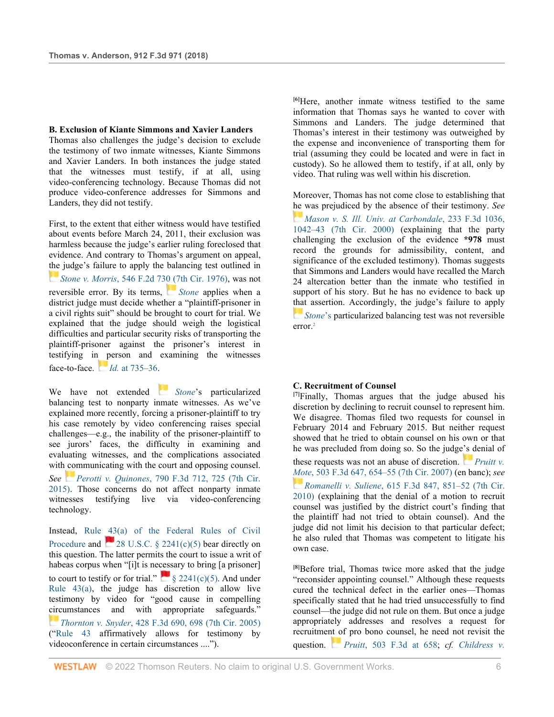#### **B. Exclusion of Kiante Simmons and Xavier Landers**

Thomas also challenges the judge's decision to exclude the testimony of two inmate witnesses, Kiante Simmons and Xavier Landers. In both instances the judge stated that the witnesses must testify, if at all, using video-conferencing technology. Because Thomas did not produce video-conference addresses for Simmons and Landers, they did not testify.

First, to the extent that either witness would have testified about events before March 24, 2011, their exclusion was harmless because the judge's earlier ruling foreclosed that evidence. And contrary to Thomas's argument on appeal, [the](https://1.next.westlaw.com/Link/RelatedInformation/Flag?documentGuid=I9b3474b490ef11d98e8fb00d6c6a02dd&transitionType=InlineKeyCiteFlags&originationContext=docHeaderFlag&Rank=0&ppcid=9e540f9954514950a868d99226b0cc59&contextData=(sc.UserEnteredCitation)) judge's failure to apply the balancing test outlined in *[S](https://1.next.westlaw.com/Link/RelatedInformation/Flag?documentGuid=I9b3474b490ef11d98e8fb00d6c6a02dd&transitionType=InlineKeyCiteFlags&originationContext=docHeaderFlag&Rank=0&ppcid=9e540f9954514950a868d99226b0cc59&contextData=(sc.UserEnteredCitation))tone v. Morris*[, 546 F.2d 730 \(7th Cir. 1976\),](http://www.westlaw.com/Link/Document/FullText?findType=Y&serNum=1976125693&pubNum=0000350&originatingDoc=Ie9fcebd015ed11e9a99cca37ea0f7dc8&refType=RP&originationContext=document&vr=3.0&rs=cblt1.0&transitionType=DocumentItem&contextData=(sc.UserEnteredCitation)) was not reversible error. By its terms, *[Stone](http://www.westlaw.com/Link/Document/FullText?findType=Y&serNum=1976125693&pubNum=0000350&originatingDoc=Ie9fcebd015ed11e9a99cca37ea0f7dc8&refType=RP&originationContext=document&vr=3.0&rs=cblt1.0&transitionType=DocumentItem&contextData=(sc.UserEnteredCitation))* applies when a district judge must decide whether a "plaintiff-prisoner in a civil rights suit" should be brought to court for trial. We explained that the judge should weigh the logistical difficulties and particular security risks of transporting the plaintiff-prisoner against the prisoner's interest in testifying i[n p](https://1.next.westlaw.com/Link/RelatedInformation/Flag?documentGuid=I9b3474b490ef11d98e8fb00d6c6a02dd&transitionType=InlineKeyCiteFlags&originationContext=docHeaderFlag&Rank=0&ppcid=9e540f9954514950a868d99226b0cc59&contextData=(sc.UserEnteredCitation))erson and examining the witnesses face-to-face. *[I](https://1.next.westlaw.com/Link/RelatedInformation/Flag?documentGuid=I9b3474b490ef11d98e8fb00d6c6a02dd&transitionType=InlineKeyCiteFlags&originationContext=docHeaderFlag&Rank=0&ppcid=9e540f9954514950a868d99226b0cc59&contextData=(sc.UserEnteredCitation))d.* [at 735–36.](http://www.westlaw.com/Link/Document/FullText?findType=Y&serNum=1976125693&pubNum=0000350&originatingDoc=Ie9fcebd015ed11e9a99cca37ea0f7dc8&refType=RP&fi=co_pp_sp_350_735&originationContext=document&vr=3.0&rs=cblt1.0&transitionType=DocumentItem&contextData=(sc.UserEnteredCitation)#co_pp_sp_350_735)

We have not extended *[Stone](http://www.westlaw.com/Link/Document/FullText?findType=Y&serNum=1976125693&pubNum=0000350&originatingDoc=Ie9fcebd015ed11e9a99cca37ea0f7dc8&refType=RP&originationContext=document&vr=3.0&rs=cblt1.0&transitionType=DocumentItem&contextData=(sc.UserEnteredCitation))*'s particularized balancing test to nonparty inmate witnesses. As we've explained more recently, forcing a prisoner-plaintiff to try his case remotely by video conferencing raises special challenges—e.g., the inability of the prisoner-plaintiff to see jurors' faces, the difficulty in examining and evaluating witnesses, and the complications associated with communicating with the court and opposing counsel. *See [P](https://1.next.westlaw.com/Link/RelatedInformation/Flag?documentGuid=I6b6f929f18fb11e5a807ad48145ed9f1&transitionType=InlineKeyCiteFlags&originationContext=docHeaderFlag&Rank=0&ppcid=9e540f9954514950a868d99226b0cc59&contextData=(sc.UserEnteredCitation))erotti v. Quinones*[, 790 F.3d 712, 725 \(7th Cir.](http://www.westlaw.com/Link/Document/FullText?findType=Y&serNum=2036506478&pubNum=0000506&originatingDoc=Ie9fcebd015ed11e9a99cca37ea0f7dc8&refType=RP&fi=co_pp_sp_506_725&originationContext=document&vr=3.0&rs=cblt1.0&transitionType=DocumentItem&contextData=(sc.UserEnteredCitation)#co_pp_sp_506_725)  [2015\).](http://www.westlaw.com/Link/Document/FullText?findType=Y&serNum=2036506478&pubNum=0000506&originatingDoc=Ie9fcebd015ed11e9a99cca37ea0f7dc8&refType=RP&fi=co_pp_sp_506_725&originationContext=document&vr=3.0&rs=cblt1.0&transitionType=DocumentItem&contextData=(sc.UserEnteredCitation)#co_pp_sp_506_725) Those concerns do not affect nonparty inmate witnesses testifying live via video-conferencing technology.

Instead, [Rule 43\(a\) of the Federal Rules of Civil](http://www.westlaw.com/Link/Document/FullText?findType=L&pubNum=1000600&cite=USFRCPR43&originatingDoc=Ie9fcebd015ed11e9a99cca37ea0f7dc8&refType=LQ&originationContext=document&vr=3.0&rs=cblt1.0&transitionType=DocumentItem&contextData=(sc.UserEnteredCitation))  [Procedure](http://www.westlaw.com/Link/Document/FullText?findType=L&pubNum=1000600&cite=USFRCPR43&originatingDoc=Ie9fcebd015ed11e9a99cca37ea0f7dc8&refType=LQ&originationContext=document&vr=3.0&rs=cblt1.0&transitionType=DocumentItem&contextData=(sc.UserEnteredCitation))and  $28$  U.S.C. § 2241(c)(5) bear directly on this question. The latter permits the court to issue a writ of habeas corpus when "[i]t is ne[cess](https://1.next.westlaw.com/Link/RelatedInformation/Flag?documentGuid=N196EBE50F52711DC9B078B6FBC8D380B&transitionType=InlineKeyCiteFlags&originationContext=docHeaderFlag&Rank=0&ppcid=9e540f9954514950a868d99226b0cc59&contextData=(sc.UserEnteredCitation))ary to bring [a prisoner] to court to testify or for trial."  $\frac{1}{2}$  [§ 2241\(c\)\(5\).](http://www.westlaw.com/Link/Document/FullText?findType=L&pubNum=1000546&cite=28USCAS2241&originatingDoc=Ie9fcebd015ed11e9a99cca37ea0f7dc8&refType=RB&originationContext=document&vr=3.0&rs=cblt1.0&transitionType=DocumentItem&contextData=(sc.UserEnteredCitation)#co_pp_a83c0000180e0) And under Rule  $43(a)$ , the judge has discretion to allow live testimony by video for "good cause in compelling circumstances and with appropriate safeguards." *[T](https://1.next.westlaw.com/Link/RelatedInformation/Flag?documentGuid=I5c628e9a4c9211dab072a248d584787d&transitionType=InlineKeyCiteFlags&originationContext=docHeaderFlag&Rank=0&ppcid=9e540f9954514950a868d99226b0cc59&contextData=(sc.UserEnteredCitation))hornton v. Snyder*[, 428 F.3d 690, 698 \(7th Cir. 2005\)](http://www.westlaw.com/Link/Document/FullText?findType=Y&serNum=2007617052&pubNum=0000506&originatingDoc=Ie9fcebd015ed11e9a99cca37ea0f7dc8&refType=RP&fi=co_pp_sp_506_698&originationContext=document&vr=3.0&rs=cblt1.0&transitionType=DocumentItem&contextData=(sc.UserEnteredCitation)#co_pp_sp_506_698) (["Rule 43](http://www.westlaw.com/Link/Document/FullText?findType=L&pubNum=1000600&cite=USFRCPR43&originatingDoc=Ie9fcebd015ed11e9a99cca37ea0f7dc8&refType=LQ&originationContext=document&vr=3.0&rs=cblt1.0&transitionType=DocumentItem&contextData=(sc.UserEnteredCitation)) affirmatively allows for testimony by videoconference in certain circumstances ....").

**[6]**Here, another inmate witness testified to the same information that Thomas says he wanted to cover with Simmons and Landers. The judge determined that Thomas's interest in their testimony was outweighed by the expense and inconvenience of transporting them for trial (assuming they could be located and were in fact in custody). So he allowed them to testify, if at all, only by video. That ruling was well within his discretion.

Moreover, Thomas has not come close to establishing that [he w](https://1.next.westlaw.com/Link/RelatedInformation/Flag?documentGuid=Iff3495d4799311d98c82a53fc8ac8757&transitionType=InlineKeyCiteFlags&originationContext=docHeaderFlag&Rank=0&ppcid=9e540f9954514950a868d99226b0cc59&contextData=(sc.UserEnteredCitation))as prejudiced by the absence of their testimony. *See [Mason v. S. Ill. Univ. at Carbondale](http://www.westlaw.com/Link/Document/FullText?findType=Y&serNum=2000632034&pubNum=0000506&originatingDoc=Ie9fcebd015ed11e9a99cca37ea0f7dc8&refType=RP&fi=co_pp_sp_506_1042&originationContext=document&vr=3.0&rs=cblt1.0&transitionType=DocumentItem&contextData=(sc.UserEnteredCitation)#co_pp_sp_506_1042)*, 233 F.3d 1036, [1042–43 \(7th Cir. 2000\)](http://www.westlaw.com/Link/Document/FullText?findType=Y&serNum=2000632034&pubNum=0000506&originatingDoc=Ie9fcebd015ed11e9a99cca37ea0f7dc8&refType=RP&fi=co_pp_sp_506_1042&originationContext=document&vr=3.0&rs=cblt1.0&transitionType=DocumentItem&contextData=(sc.UserEnteredCitation)#co_pp_sp_506_1042) (explaining that the party challenging the exclusion of the evidence **\*978** must record the grounds for admissibility, content, and significance of the excluded testimony). Thomas suggests that Simmons and Landers would have recalled the March 24 altercation better than the inmate who testified in support of his story. But he has no evidence to back up [that](https://1.next.westlaw.com/Link/RelatedInformation/Flag?documentGuid=I9b3474b490ef11d98e8fb00d6c6a02dd&transitionType=InlineKeyCiteFlags&originationContext=docHeaderFlag&Rank=0&ppcid=9e540f9954514950a868d99226b0cc59&contextData=(sc.UserEnteredCitation)) assertion. Accordingly, the judge's failure to apply *[Stone](http://www.westlaw.com/Link/Document/FullText?findType=Y&serNum=1976125693&originatingDoc=Ie9fcebd015ed11e9a99cca37ea0f7dc8&refType=RP&originationContext=document&vr=3.0&rs=cblt1.0&transitionType=DocumentItem&contextData=(sc.UserEnteredCitation))*'s particularized balancing test was not reversible error.2

#### **C. Recruitment of Counsel**

**[7]**Finally, Thomas argues that the judge abused his discretion by declining to recruit counsel to represent him. We disagree. Thomas filed two requests for counsel in February 2014 and February 2015. But neither request showed that he tried to obtain counsel on his own or that he was precluded from doing so. So the judge's denial of these requests was not an abuse of discretion. *[Pruitt v.](http://www.westlaw.com/Link/Document/FullText?findType=Y&serNum=2013372112&pubNum=0000506&originatingDoc=Ie9fcebd015ed11e9a99cca37ea0f7dc8&refType=RP&fi=co_pp_sp_506_654&originationContext=document&vr=3.0&rs=cblt1.0&transitionType=DocumentItem&contextData=(sc.UserEnteredCitation)#co_pp_sp_506_654)  [Mo](https://1.next.westlaw.com/Link/RelatedInformation/Flag?documentGuid=If3aa8efea54211dfb5fdfcf739be147c&transitionType=InlineKeyCiteFlags&originationContext=docHeaderFlag&Rank=0&ppcid=9e540f9954514950a868d99226b0cc59&contextData=(sc.UserEnteredCitation))te*[, 503 F.3d 647, 654–55 \(7th Cir. 2007\)](http://www.westlaw.com/Link/Document/FullText?findType=Y&serNum=2013372112&pubNum=0000506&originatingDoc=Ie9fcebd015ed11e9a99cca37ea0f7dc8&refType=RP&fi=co_pp_sp_506_654&originationContext=document&vr=3.0&rs=cblt1.0&transitionType=DocumentItem&contextData=(sc.UserEnteredCitation)#co_pp_sp_506_654) (en banc); *see [R](https://1.next.westlaw.com/Link/RelatedInformation/Flag?documentGuid=If3aa8efea54211dfb5fdfcf739be147c&transitionType=InlineKeyCiteFlags&originationContext=docHeaderFlag&Rank=0&ppcid=9e540f9954514950a868d99226b0cc59&contextData=(sc.UserEnteredCitation))omanelli v. Suliene*[, 615 F.3d 847, 851–52 \(7th Cir.](http://www.westlaw.com/Link/Document/FullText?findType=Y&serNum=2022742156&pubNum=0000506&originatingDoc=Ie9fcebd015ed11e9a99cca37ea0f7dc8&refType=RP&fi=co_pp_sp_506_851&originationContext=document&vr=3.0&rs=cblt1.0&transitionType=DocumentItem&contextData=(sc.UserEnteredCitation)#co_pp_sp_506_851)  [2010\)](http://www.westlaw.com/Link/Document/FullText?findType=Y&serNum=2022742156&pubNum=0000506&originatingDoc=Ie9fcebd015ed11e9a99cca37ea0f7dc8&refType=RP&fi=co_pp_sp_506_851&originationContext=document&vr=3.0&rs=cblt1.0&transitionType=DocumentItem&contextData=(sc.UserEnteredCitation)#co_pp_sp_506_851) (explaining that the denial of a motion to recruit counsel was justified by the district court's finding that the plaintiff had not tried to obtain counsel). And the judge did not limit his decision to that particular defect; he also ruled that Thomas was competent to litigate his own case.

**[8]**Before trial, Thomas twice more asked that the judge "reconsider appointing counsel." Although these requests cured the technical defect in the earlier ones—Thomas specifically stated that he had tried unsuccessfully to find counsel—the judge did not rule on them. But once a judge appropriately addresses and resolves a request for recruitme[nt o](https://1.next.westlaw.com/Link/RelatedInformation/Flag?documentGuid=I03b1a5bc71dc11dc8200d0063168b01f&transitionType=InlineKeyCiteFlags&originationContext=docHeaderFlag&Rank=0&ppcid=9e540f9954514950a868d99226b0cc59&contextData=(sc.UserEnteredCitation))f pro bono counsel, he need not revisit the question. *[P](https://1.next.westlaw.com/Link/RelatedInformation/Flag?documentGuid=I03b1a5bc71dc11dc8200d0063168b01f&transitionType=InlineKeyCiteFlags&originationContext=docHeaderFlag&Rank=0&ppcid=9e540f9954514950a868d99226b0cc59&contextData=(sc.UserEnteredCitation))ruitt*[, 503 F.3d at 658;](http://www.westlaw.com/Link/Document/FullText?findType=Y&serNum=2013372112&pubNum=0000506&originatingDoc=Ie9fcebd015ed11e9a99cca37ea0f7dc8&refType=RP&fi=co_pp_sp_506_658&originationContext=document&vr=3.0&rs=cblt1.0&transitionType=DocumentItem&contextData=(sc.UserEnteredCitation)#co_pp_sp_506_658) *cf. [Childress v.](http://www.westlaw.com/Link/Document/FullText?findType=Y&serNum=2036314994&pubNum=0000506&originatingDoc=Ie9fcebd015ed11e9a99cca37ea0f7dc8&refType=RP&fi=co_pp_sp_506_442&originationContext=document&vr=3.0&rs=cblt1.0&transitionType=DocumentItem&contextData=(sc.UserEnteredCitation)#co_pp_sp_506_442)*